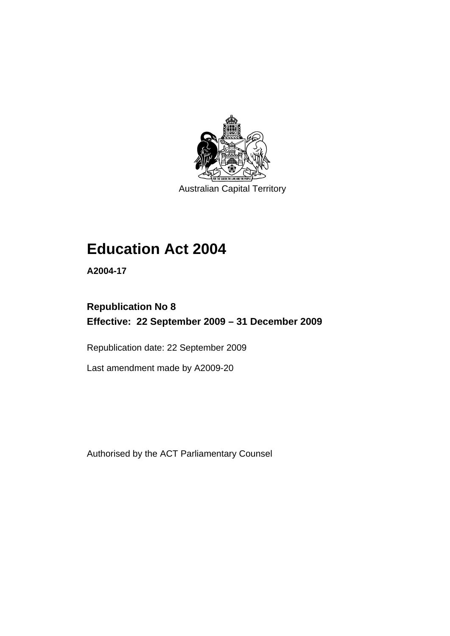

Australian Capital Territory

# **[Education Act 2004](#page-10-0)**

**A2004-17** 

# **Republication No 8 Effective: 22 September 2009 – 31 December 2009**

Republication date: 22 September 2009

Last amendment made by A2009-20

Authorised by the ACT Parliamentary Counsel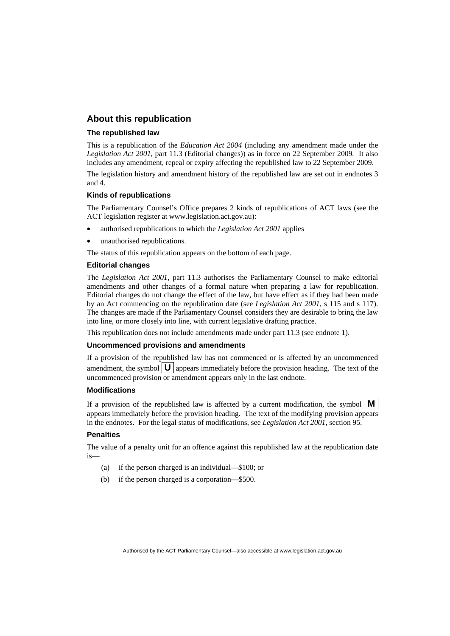#### **About this republication**

#### **The republished law**

This is a republication of the *Education Act 2004* (including any amendment made under the *Legislation Act 2001*, part 11.3 (Editorial changes)) as in force on 22 September 2009*.* It also includes any amendment, repeal or expiry affecting the republished law to 22 September 2009.

The legislation history and amendment history of the republished law are set out in endnotes 3 and 4.

#### **Kinds of republications**

The Parliamentary Counsel's Office prepares 2 kinds of republications of ACT laws (see the ACT legislation register at www.legislation.act.gov.au):

- authorised republications to which the *Legislation Act 2001* applies
- unauthorised republications.

The status of this republication appears on the bottom of each page.

#### **Editorial changes**

The *Legislation Act 2001*, part 11.3 authorises the Parliamentary Counsel to make editorial amendments and other changes of a formal nature when preparing a law for republication. Editorial changes do not change the effect of the law, but have effect as if they had been made by an Act commencing on the republication date (see *Legislation Act 2001*, s 115 and s 117). The changes are made if the Parliamentary Counsel considers they are desirable to bring the law into line, or more closely into line, with current legislative drafting practice.

This republication does not include amendments made under part 11.3 (see endnote 1).

#### **Uncommenced provisions and amendments**

If a provision of the republished law has not commenced or is affected by an uncommenced amendment, the symbol  $\mathbf{U}$  appears immediately before the provision heading. The text of the uncommenced provision or amendment appears only in the last endnote.

#### **Modifications**

If a provision of the republished law is affected by a current modification, the symbol  $\mathbf{M}$ appears immediately before the provision heading. The text of the modifying provision appears in the endnotes. For the legal status of modifications, see *Legislation Act 2001*, section 95.

#### **Penalties**

The value of a penalty unit for an offence against this republished law at the republication date is—

- (a) if the person charged is an individual—\$100; or
- (b) if the person charged is a corporation—\$500.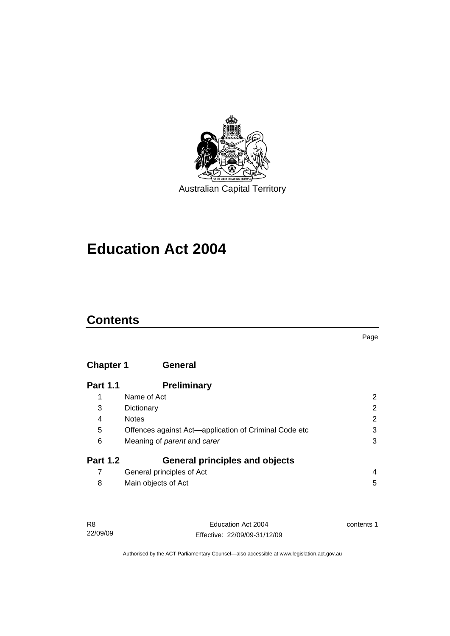

Australian Capital Territory

# **[Education Act 2004](#page-10-0)**

## **Contents**

Page

### **Chapter 1 General**

| <b>Part 1.1</b> | <b>Preliminary</b>                                    |   |
|-----------------|-------------------------------------------------------|---|
|                 | Name of Act                                           | 2 |
| 3               | Dictionary                                            | 2 |
| 4               | <b>Notes</b>                                          | 2 |
| 5               | Offences against Act-application of Criminal Code etc | 3 |
| 6               | Meaning of parent and carer                           | 3 |
| <b>Part 1.2</b> | <b>General principles and objects</b>                 |   |
|                 | General principles of Act                             | 4 |
| 8               | Main objects of Act                                   | 5 |

| <b>R8</b> | Education Act 2004           | contents 1 |
|-----------|------------------------------|------------|
| 22/09/09  | Effective: 22/09/09-31/12/09 |            |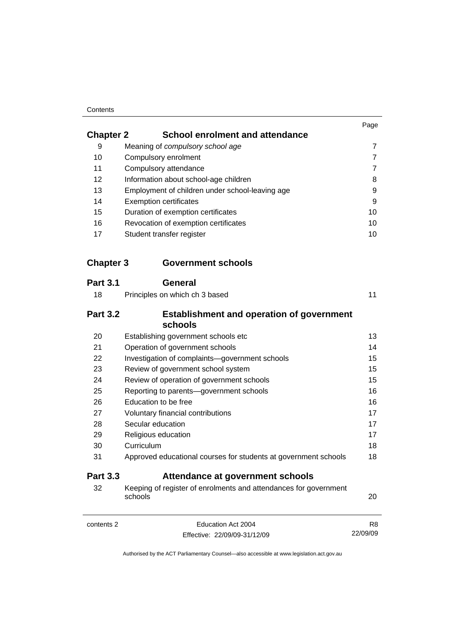#### **Contents**

|                  |                                                                             | Page           |
|------------------|-----------------------------------------------------------------------------|----------------|
| <b>Chapter 2</b> | <b>School enrolment and attendance</b>                                      |                |
| 9                | Meaning of compulsory school age                                            | 7              |
| 10               | Compulsory enrolment                                                        | 7              |
| 11               | Compulsory attendance                                                       | $\overline{7}$ |
| 12               | Information about school-age children                                       | 8              |
| 13               | Employment of children under school-leaving age                             | 9              |
| 14               | <b>Exemption certificates</b>                                               | 9              |
| 15               | Duration of exemption certificates                                          | 10             |
| 16               | Revocation of exemption certificates                                        | 10             |
| 17               | Student transfer register                                                   | 10             |
| <b>Chapter 3</b> | <b>Government schools</b>                                                   |                |
| <b>Part 3.1</b>  | General                                                                     |                |
| 18               | Principles on which ch 3 based                                              | 11             |
| <b>Part 3.2</b>  | <b>Establishment and operation of government</b><br>schools                 |                |
| 20               | Establishing government schools etc                                         | 13             |
| 21               | Operation of government schools                                             | 14             |
| 22               | Investigation of complaints-government schools                              | 15             |
| 23               | Review of government school system                                          | 15             |
| 24               | Review of operation of government schools                                   | 15             |
| 25               | Reporting to parents-government schools                                     | 16             |
| 26               | Education to be free                                                        | 16             |
| 27               | Voluntary financial contributions                                           | 17             |
| 28               | Secular education                                                           | 17             |
| 29               | Religious education                                                         | 17             |
| 30               | Curriculum                                                                  | 18             |
| 31               | Approved educational courses for students at government schools             | 18             |
| <b>Part 3.3</b>  | Attendance at government schools                                            |                |
| 32               | Keeping of register of enrolments and attendances for government<br>schools | 20             |
| contents 2       | Education Act 2004                                                          | R8             |
|                  | Effective: 22/09/09-31/12/09                                                | 22/09/09       |
|                  |                                                                             |                |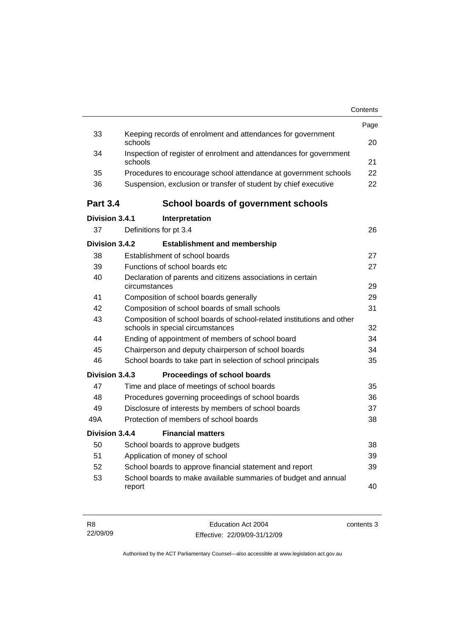|                 |                                                                                                           | Contents |
|-----------------|-----------------------------------------------------------------------------------------------------------|----------|
|                 |                                                                                                           | Page     |
| 33              | Keeping records of enrolment and attendances for government<br>schools                                    | 20       |
| 34              | Inspection of register of enrolment and attendances for government<br>schools                             | 21       |
| 35              | Procedures to encourage school attendance at government schools                                           | 22       |
| 36              | Suspension, exclusion or transfer of student by chief executive                                           | 22       |
| <b>Part 3.4</b> | <b>School boards of government schools</b>                                                                |          |
| Division 3.4.1  | Interpretation                                                                                            |          |
| 37              | Definitions for pt 3.4                                                                                    | 26       |
| Division 3.4.2  | <b>Establishment and membership</b>                                                                       |          |
| 38              | Establishment of school boards                                                                            | 27       |
| 39              | Functions of school boards etc.                                                                           | 27       |
| 40              | Declaration of parents and citizens associations in certain<br>circumstances                              | 29       |
| 41              | Composition of school boards generally                                                                    | 29       |
| 42              | Composition of school boards of small schools                                                             | 31       |
| 43              | Composition of school boards of school-related institutions and other<br>schools in special circumstances | 32       |
| 44              | Ending of appointment of members of school board                                                          | 34       |
| 45              | Chairperson and deputy chairperson of school boards                                                       | 34       |
| 46              | School boards to take part in selection of school principals                                              | 35       |
| Division 3.4.3  | Proceedings of school boards                                                                              |          |
| 47              | Time and place of meetings of school boards                                                               | 35       |
| 48              | Procedures governing proceedings of school boards                                                         | 36       |
| 49              | Disclosure of interests by members of school boards                                                       | 37       |
| 49A             | Protection of members of school boards                                                                    | 38       |
| Division 3.4.4  | <b>Financial matters</b>                                                                                  |          |
| 50              | School boards to approve budgets                                                                          | 38       |
| 51              | Application of money of school                                                                            | 39       |
| 52              | School boards to approve financial statement and report                                                   | 39       |
| 53              | School boards to make available summaries of budget and annual<br>report                                  | 40       |
|                 |                                                                                                           |          |

| - R8     | Education Act 2004           | contents 3 |
|----------|------------------------------|------------|
| 22/09/09 | Effective: 22/09/09-31/12/09 |            |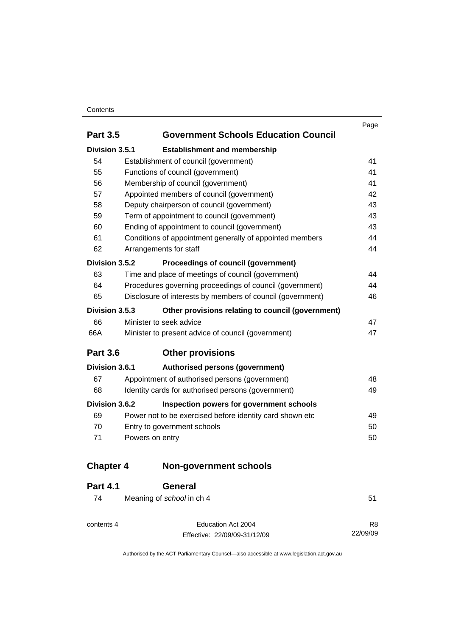#### **Contents**

|                  |                                                            | Page |
|------------------|------------------------------------------------------------|------|
| <b>Part 3.5</b>  | <b>Government Schools Education Council</b>                |      |
| Division 3.5.1   | <b>Establishment and membership</b>                        |      |
| 54               | Establishment of council (government)                      | 41   |
| 55               | Functions of council (government)                          | 41   |
| 56               | Membership of council (government)                         | 41   |
| 57               | Appointed members of council (government)                  | 42   |
| 58               | Deputy chairperson of council (government)                 | 43   |
| 59               | Term of appointment to council (government)                | 43   |
| 60               | Ending of appointment to council (government)              | 43   |
| 61               | Conditions of appointment generally of appointed members   | 44   |
| 62               | Arrangements for staff                                     | 44   |
| Division 3.5.2   | <b>Proceedings of council (government)</b>                 |      |
| 63               | Time and place of meetings of council (government)         | 44   |
| 64               | Procedures governing proceedings of council (government)   | 44   |
| 65               | Disclosure of interests by members of council (government) | 46   |
| Division 3.5.3   | Other provisions relating to council (government)          |      |
| 66               | Minister to seek advice                                    | 47   |
| 66A              | Minister to present advice of council (government)         | 47   |
| <b>Part 3.6</b>  | <b>Other provisions</b>                                    |      |
| Division 3.6.1   | Authorised persons (government)                            |      |
| 67               | Appointment of authorised persons (government)             | 48   |
| 68               | Identity cards for authorised persons (government)         | 49   |
| Division 3.6.2   | Inspection powers for government schools                   |      |
| 69               | Power not to be exercised before identity card shown etc   | 49   |
| 70               | Entry to government schools                                | 50   |
| 71               | Powers on entry                                            | 50   |
| <b>Chapter 4</b> | <b>Non-government schools</b>                              |      |

| <b>Part 4.1</b> | <b>General</b>                                     |                            |
|-----------------|----------------------------------------------------|----------------------------|
| 74              | Meaning of school in ch 4                          | 51                         |
| contents 4      | Education Act 2004<br>Effective: 22/09/09-31/12/09 | R <sub>8</sub><br>22/09/09 |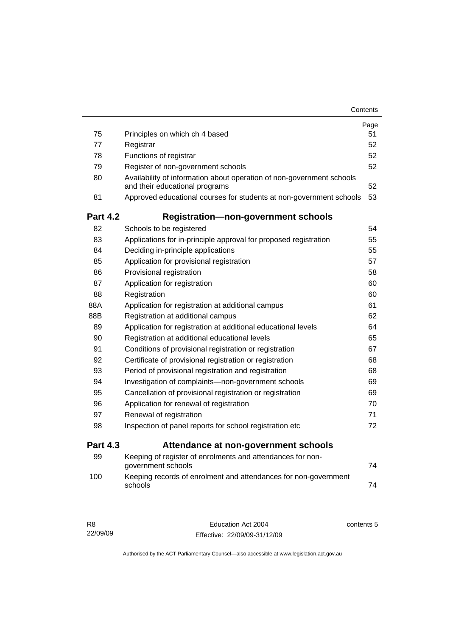|                 |                                                                                                         | Contents |
|-----------------|---------------------------------------------------------------------------------------------------------|----------|
|                 |                                                                                                         | Page     |
| 75              | Principles on which ch 4 based                                                                          | 51       |
| 77              | Registrar                                                                                               | 52       |
| 78              | Functions of registrar                                                                                  | 52       |
| 79              | Register of non-government schools                                                                      | 52       |
| 80              | Availability of information about operation of non-government schools<br>and their educational programs | 52       |
| 81              | Approved educational courses for students at non-government schools                                     | 53       |
| <b>Part 4.2</b> | <b>Registration-non-government schools</b>                                                              |          |
| 82              | Schools to be registered                                                                                | 54       |
| 83              | Applications for in-principle approval for proposed registration                                        | 55       |
| 84              | Deciding in-principle applications                                                                      | 55       |
| 85              | Application for provisional registration                                                                | 57       |
| 86              | Provisional registration                                                                                | 58       |
| 87              | Application for registration                                                                            | 60       |
| 88              | Registration                                                                                            | 60       |
| 88A             | Application for registration at additional campus                                                       | 61       |
| 88B             | Registration at additional campus                                                                       | 62       |
| 89              | Application for registration at additional educational levels                                           | 64       |
| 90              | Registration at additional educational levels                                                           | 65       |
| 91              | Conditions of provisional registration or registration                                                  | 67       |
| 92              | Certificate of provisional registration or registration                                                 | 68       |
| 93              | Period of provisional registration and registration                                                     | 68       |
| 94              | Investigation of complaints-non-government schools                                                      | 69       |
| 95              | Cancellation of provisional registration or registration                                                | 69       |
| 96              | Application for renewal of registration                                                                 | 70       |
| 97              | Renewal of registration                                                                                 | 71       |
| 98              | Inspection of panel reports for school registration etc                                                 | 72       |
| <b>Part 4.3</b> | Attendance at non-government schools                                                                    |          |
| 99              | Keeping of register of enrolments and attendances for non-<br>government schools                        | 74       |
| 100             | Keeping records of enrolment and attendances for non-government<br>schools                              | 74       |

| -R8      | Education Act 2004           | contents 5 |
|----------|------------------------------|------------|
| 22/09/09 | Effective: 22/09/09-31/12/09 |            |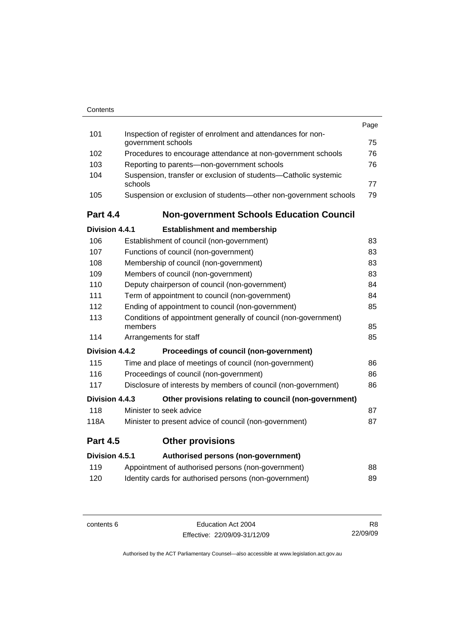| Contents |
|----------|
|          |

|                       |                                                                                    | Page |
|-----------------------|------------------------------------------------------------------------------------|------|
| 101                   | Inspection of register of enrolment and attendances for non-<br>government schools | 75   |
| 102                   | Procedures to encourage attendance at non-government schools                       | 76   |
| 103                   | Reporting to parents-non-government schools                                        | 76   |
| 104                   | Suspension, transfer or exclusion of students-Catholic systemic                    |      |
|                       | schools                                                                            | 77   |
| 105                   | Suspension or exclusion of students-other non-government schools                   | 79   |
| <b>Part 4.4</b>       | <b>Non-government Schools Education Council</b>                                    |      |
| <b>Division 4.4.1</b> | <b>Establishment and membership</b>                                                |      |
| 106                   | Establishment of council (non-government)                                          | 83   |
| 107                   | Functions of council (non-government)                                              | 83   |
| 108                   | Membership of council (non-government)                                             | 83   |
| 109                   | Members of council (non-government)                                                | 83   |
| 110                   | Deputy chairperson of council (non-government)                                     | 84   |
| 111                   | Term of appointment to council (non-government)                                    | 84   |
| 112                   | Ending of appointment to council (non-government)                                  | 85   |
| 113                   | Conditions of appointment generally of council (non-government)<br>members         | 85   |
| 114                   | Arrangements for staff                                                             | 85   |
| Division 4.4.2        | Proceedings of council (non-government)                                            |      |
| 115                   | Time and place of meetings of council (non-government)                             | 86   |
| 116                   | Proceedings of council (non-government)                                            | 86   |
| 117                   | Disclosure of interests by members of council (non-government)                     | 86   |
| Division 4.4.3        | Other provisions relating to council (non-government)                              |      |
| 118                   | Minister to seek advice                                                            | 87   |
| 118A                  | Minister to present advice of council (non-government)                             | 87   |
| <b>Part 4.5</b>       | <b>Other provisions</b>                                                            |      |
| Division 4.5.1        | Authorised persons (non-government)                                                |      |
| 119                   | Appointment of authorised persons (non-government)                                 | 88   |
| 120                   | Identity cards for authorised persons (non-government)                             | 89   |
|                       |                                                                                    |      |

contents 6 Education Act 2004 Effective: 22/09/09-31/12/09

R8 22/09/09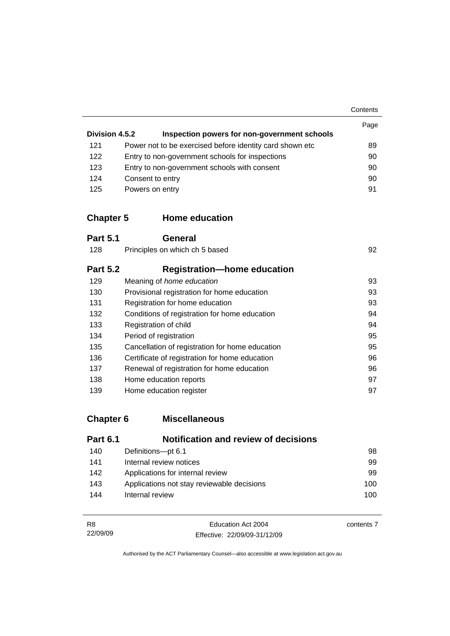**Contents** 

| Division 4.5.2 | Inspection powers for non-government schools              | Page |
|----------------|-----------------------------------------------------------|------|
| 121            | Power not to be exercised before identity card shown etc. | 89   |
| 122            | Entry to non-government schools for inspections           | 90   |
| 123            | Entry to non-government schools with consent              | 90   |
| 124            | Consent to entry                                          | 90   |
| 125            | Powers on entry                                           | 91   |

### **Chapter 5 Home education**

| <b>Part 5.1</b> | General                                         |    |
|-----------------|-------------------------------------------------|----|
| 128             | Principles on which ch 5 based                  | 92 |
| <b>Part 5.2</b> | <b>Registration-home education</b>              |    |
| 129             | Meaning of home education                       | 93 |
| 130             | Provisional registration for home education     | 93 |
| 131             | Registration for home education                 | 93 |
| 132             | Conditions of registration for home education   | 94 |
| 133             | Registration of child                           | 94 |
| 134             | Period of registration                          | 95 |
| 135             | Cancellation of registration for home education | 95 |
| 136             | Certificate of registration for home education  | 96 |
| 137             | Renewal of registration for home education      | 96 |
| 138             | Home education reports                          | 97 |
| 139             | Home education register                         | 97 |

# **Chapter 6 Miscellaneous**

| <b>Part 6.1</b> | <b>Notification and review of decisions</b> |     |
|-----------------|---------------------------------------------|-----|
| 140             | Definitions-pt 6.1                          | 98  |
| 141             | Internal review notices                     | 99  |
| 142             | Applications for internal review            | 99  |
| 143             | Applications not stay reviewable decisions  | 100 |
| 144             | Internal review                             | 100 |

| R8       | Education Act 2004           | contents 7 |
|----------|------------------------------|------------|
| 22/09/09 | Effective: 22/09/09-31/12/09 |            |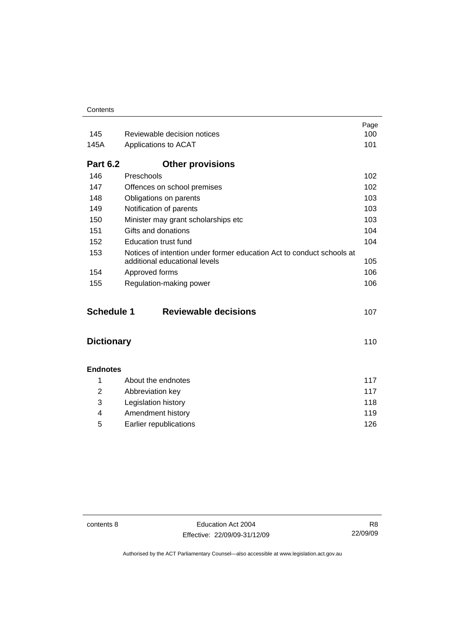| Contents |
|----------|
|----------|

|                   |                                                                                                        | Page |
|-------------------|--------------------------------------------------------------------------------------------------------|------|
| 145               | Reviewable decision notices                                                                            | 100  |
| 145A              | Applications to ACAT                                                                                   | 101  |
| <b>Part 6.2</b>   | <b>Other provisions</b>                                                                                |      |
| 146               | Preschools                                                                                             | 102  |
| 147               | Offences on school premises                                                                            | 102  |
| 148               | Obligations on parents                                                                                 | 103  |
| 149               | Notification of parents                                                                                | 103  |
| 150               | Minister may grant scholarships etc                                                                    | 103  |
| 151               | Gifts and donations                                                                                    | 104  |
| 152               | <b>Education trust fund</b>                                                                            | 104  |
| 153               | Notices of intention under former education Act to conduct schools at<br>additional educational levels | 105  |
| 154               | Approved forms                                                                                         | 106  |
| 155               | Regulation-making power                                                                                | 106  |
| <b>Schedule 1</b> | <b>Reviewable decisions</b>                                                                            | 107  |
| <b>Dictionary</b> |                                                                                                        | 110  |
| <b>Endnotes</b>   |                                                                                                        |      |
| 1                 | About the endnotes                                                                                     | 117  |
| 2                 | Abbreviation key                                                                                       | 117  |
| 3                 | Legislation history                                                                                    | 118  |
| 4                 | Amendment history                                                                                      | 119  |
| 5                 | Earlier republications                                                                                 | 126  |

contents 8 Education Act 2004 Effective: 22/09/09-31/12/09

R8 22/09/09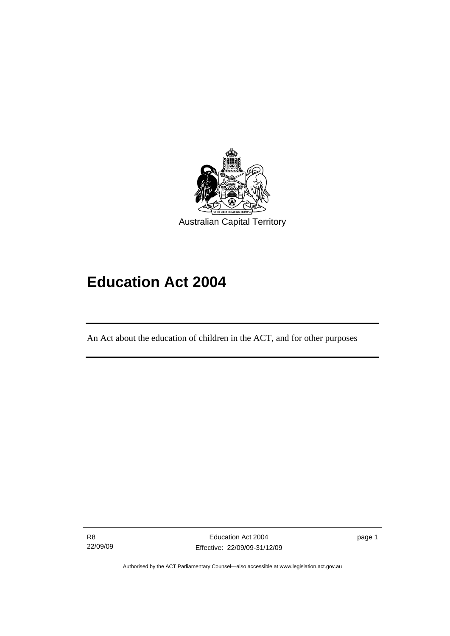<span id="page-10-0"></span>

# **Education Act 2004**

An Act about the education of children in the ACT, and for other purposes

R8 22/09/09

I

page 1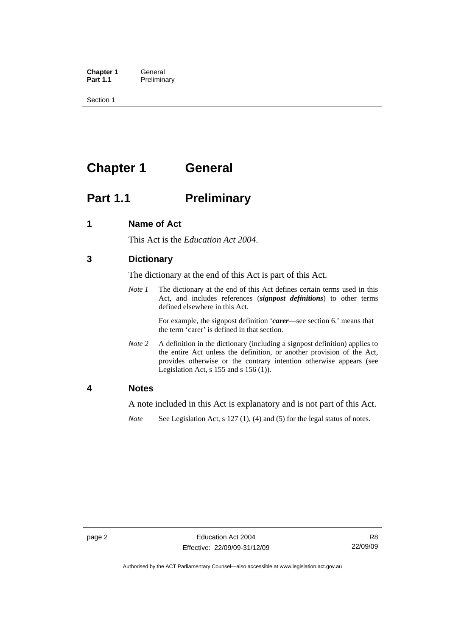<span id="page-11-0"></span>**Chapter 1 General**<br>**Part 1.1 Prelimina Preliminary** 

Section 1

# **Chapter 1 General**

## **Part 1.1** Preliminary

#### **1 Name of Act**

This Act is the *Education Act 2004*.

#### **3 Dictionary**

The dictionary at the end of this Act is part of this Act.

*Note 1* The dictionary at the end of this Act defines certain terms used in this Act, and includes references (*signpost definitions*) to other terms defined elsewhere in this Act.

> For example, the signpost definition '*carer*—see section 6.' means that the term 'carer' is defined in that section.

*Note 2* A definition in the dictionary (including a signpost definition) applies to the entire Act unless the definition, or another provision of the Act, provides otherwise or the contrary intention otherwise appears (see Legislation Act,  $s$  155 and  $s$  156 (1)).

#### **4 Notes**

A note included in this Act is explanatory and is not part of this Act.

*Note* See Legislation Act, s 127 (1), (4) and (5) for the legal status of notes.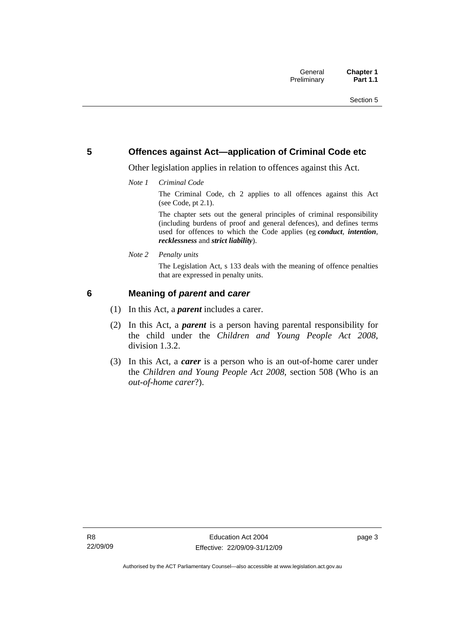#### <span id="page-12-0"></span>**5 Offences against Act—application of Criminal Code etc**

Other legislation applies in relation to offences against this Act.

*Note 1 Criminal Code*

The Criminal Code, ch 2 applies to all offences against this Act (see Code, pt 2.1).

The chapter sets out the general principles of criminal responsibility (including burdens of proof and general defences), and defines terms used for offences to which the Code applies (eg *conduct*, *intention*, *recklessness* and *strict liability*).

*Note 2 Penalty units* 

The Legislation Act, s 133 deals with the meaning of offence penalties that are expressed in penalty units.

#### **6 Meaning of** *parent* **and** *carer*

- (1) In this Act, a *parent* includes a carer.
- (2) In this Act, a *parent* is a person having parental responsibility for the child under the *Children and Young People Act 2008*, division 1.3.2.
- (3) In this Act, a *carer* is a person who is an out-of-home carer under the *Children and Young People Act 2008*, section 508 (Who is an *out-of-home carer*?).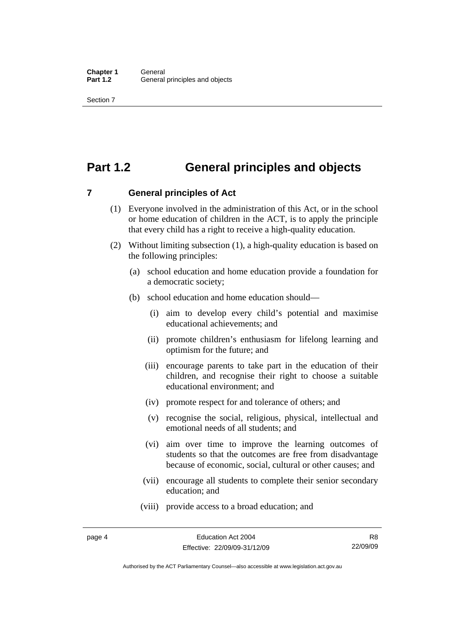## <span id="page-13-0"></span>**Part 1.2 General principles and objects**

**7 General principles of Act** 

- (1) Everyone involved in the administration of this Act, or in the school or home education of children in the ACT, is to apply the principle that every child has a right to receive a high-quality education.
- (2) Without limiting subsection (1), a high-quality education is based on the following principles:
	- (a) school education and home education provide a foundation for a democratic society;
	- (b) school education and home education should—
		- (i) aim to develop every child's potential and maximise educational achievements; and
		- (ii) promote children's enthusiasm for lifelong learning and optimism for the future; and
		- (iii) encourage parents to take part in the education of their children, and recognise their right to choose a suitable educational environment; and
		- (iv) promote respect for and tolerance of others; and
		- (v) recognise the social, religious, physical, intellectual and emotional needs of all students; and
		- (vi) aim over time to improve the learning outcomes of students so that the outcomes are free from disadvantage because of economic, social, cultural or other causes; and
		- (vii) encourage all students to complete their senior secondary education; and
		- (viii) provide access to a broad education; and

Authorised by the ACT Parliamentary Counsel—also accessible at www.legislation.act.gov.au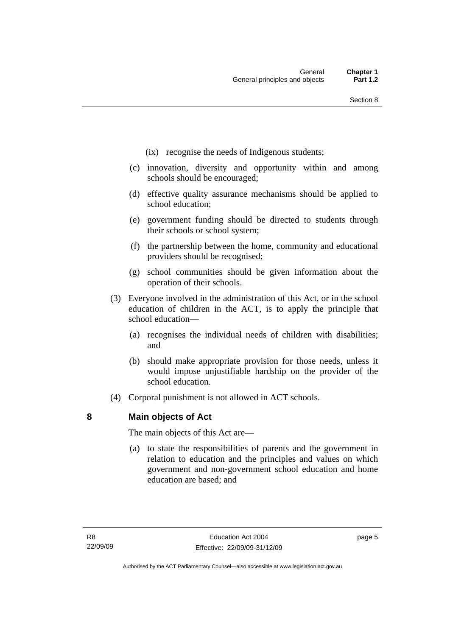- <span id="page-14-0"></span>(ix) recognise the needs of Indigenous students;
- (c) innovation, diversity and opportunity within and among schools should be encouraged;
- (d) effective quality assurance mechanisms should be applied to school education;
- (e) government funding should be directed to students through their schools or school system;
- (f) the partnership between the home, community and educational providers should be recognised;
- (g) school communities should be given information about the operation of their schools.
- (3) Everyone involved in the administration of this Act, or in the school education of children in the ACT, is to apply the principle that school education—
	- (a) recognises the individual needs of children with disabilities; and
	- (b) should make appropriate provision for those needs, unless it would impose unjustifiable hardship on the provider of the school education.
- (4) Corporal punishment is not allowed in ACT schools.

#### **8 Main objects of Act**

The main objects of this Act are—

 (a) to state the responsibilities of parents and the government in relation to education and the principles and values on which government and non-government school education and home education are based; and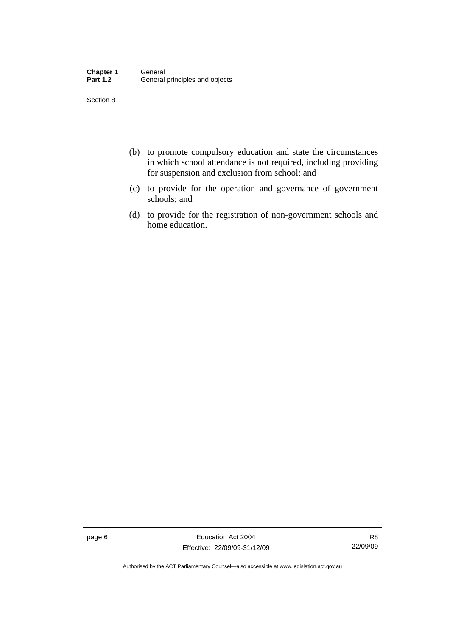| <b>Chapter 1</b> | General                        |
|------------------|--------------------------------|
| <b>Part 1.2</b>  | General principles and objects |

- (b) to promote compulsory education and state the circumstances in which school attendance is not required, including providing for suspension and exclusion from school; and
- (c) to provide for the operation and governance of government schools; and
- (d) to provide for the registration of non-government schools and home education.

page 6 **Education Act 2004** Effective: 22/09/09-31/12/09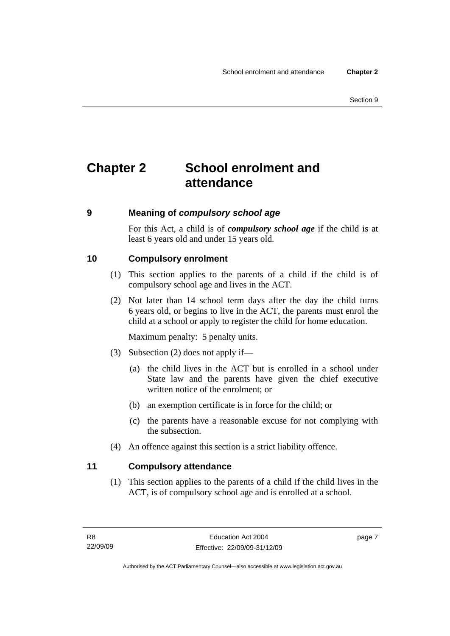# <span id="page-16-0"></span>**Chapter 2 School enrolment and attendance**

#### **9 Meaning of** *compulsory school age*

For this Act, a child is of *compulsory school age* if the child is at least 6 years old and under 15 years old.

#### **10 Compulsory enrolment**

- (1) This section applies to the parents of a child if the child is of compulsory school age and lives in the ACT.
- (2) Not later than 14 school term days after the day the child turns 6 years old, or begins to live in the ACT, the parents must enrol the child at a school or apply to register the child for home education.

Maximum penalty: 5 penalty units.

- (3) Subsection (2) does not apply if—
	- (a) the child lives in the ACT but is enrolled in a school under State law and the parents have given the chief executive written notice of the enrolment; or
	- (b) an exemption certificate is in force for the child; or
	- (c) the parents have a reasonable excuse for not complying with the subsection.
- (4) An offence against this section is a strict liability offence.

### **11 Compulsory attendance**

 (1) This section applies to the parents of a child if the child lives in the ACT, is of compulsory school age and is enrolled at a school.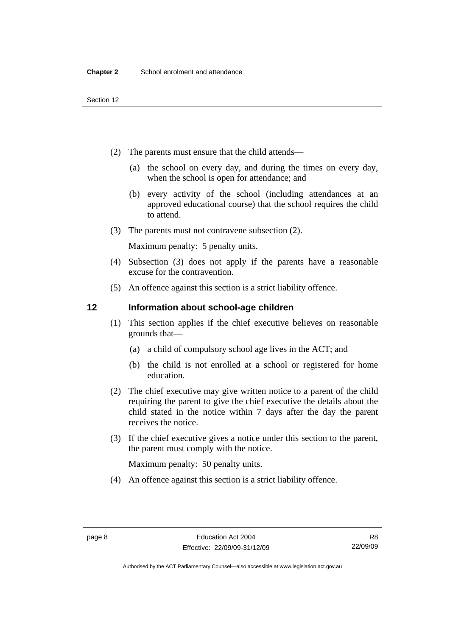- <span id="page-17-0"></span> (2) The parents must ensure that the child attends—
	- (a) the school on every day, and during the times on every day, when the school is open for attendance; and
	- (b) every activity of the school (including attendances at an approved educational course) that the school requires the child to attend.
- (3) The parents must not contravene subsection (2).

Maximum penalty: 5 penalty units.

- (4) Subsection (3) does not apply if the parents have a reasonable excuse for the contravention.
- (5) An offence against this section is a strict liability offence.

#### **12 Information about school-age children**

- (1) This section applies if the chief executive believes on reasonable grounds that—
	- (a) a child of compulsory school age lives in the ACT; and
	- (b) the child is not enrolled at a school or registered for home education.
- (2) The chief executive may give written notice to a parent of the child requiring the parent to give the chief executive the details about the child stated in the notice within 7 days after the day the parent receives the notice.
- (3) If the chief executive gives a notice under this section to the parent, the parent must comply with the notice.

Maximum penalty: 50 penalty units.

(4) An offence against this section is a strict liability offence.

R8 22/09/09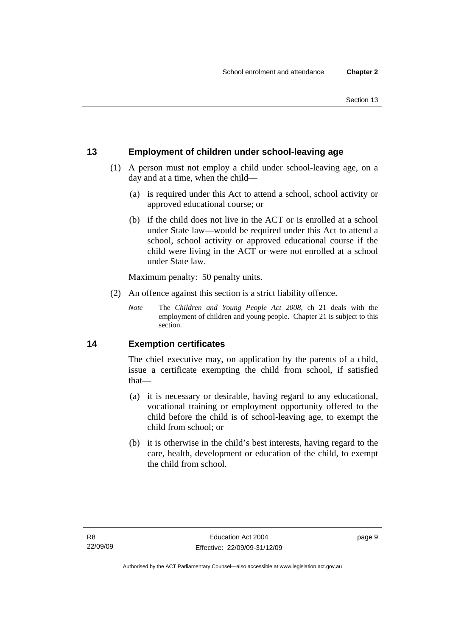### <span id="page-18-0"></span>**13 Employment of children under school-leaving age**

- (1) A person must not employ a child under school-leaving age, on a day and at a time, when the child—
	- (a) is required under this Act to attend a school, school activity or approved educational course; or
	- (b) if the child does not live in the ACT or is enrolled at a school under State law—would be required under this Act to attend a school, school activity or approved educational course if the child were living in the ACT or were not enrolled at a school under State law.

Maximum penalty: 50 penalty units.

- (2) An offence against this section is a strict liability offence.
	- *Note* The *Children and Young People Act 2008*, ch 21 deals with the employment of children and young people. Chapter 21 is subject to this section.

#### **14 Exemption certificates**

The chief executive may, on application by the parents of a child, issue a certificate exempting the child from school, if satisfied that—

- (a) it is necessary or desirable, having regard to any educational, vocational training or employment opportunity offered to the child before the child is of school-leaving age, to exempt the child from school; or
- (b) it is otherwise in the child's best interests, having regard to the care, health, development or education of the child, to exempt the child from school.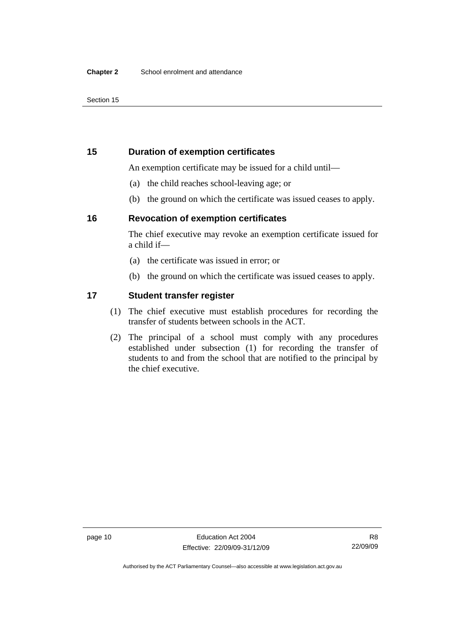#### <span id="page-19-0"></span>**15 Duration of exemption certificates**

An exemption certificate may be issued for a child until—

- (a) the child reaches school-leaving age; or
- (b) the ground on which the certificate was issued ceases to apply.

#### **16 Revocation of exemption certificates**

The chief executive may revoke an exemption certificate issued for a child if—

- (a) the certificate was issued in error; or
- (b) the ground on which the certificate was issued ceases to apply.

#### **17 Student transfer register**

- (1) The chief executive must establish procedures for recording the transfer of students between schools in the ACT.
- (2) The principal of a school must comply with any procedures established under subsection (1) for recording the transfer of students to and from the school that are notified to the principal by the chief executive.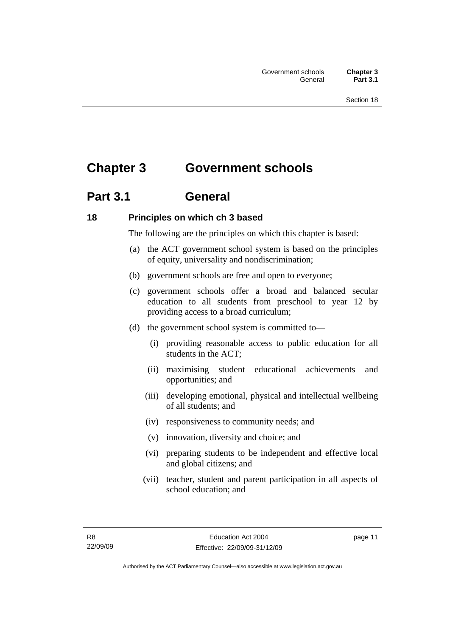# <span id="page-20-0"></span>**Chapter 3 Government schools**

## **Part 3.1 General**

### **18 Principles on which ch 3 based**

The following are the principles on which this chapter is based:

- (a) the ACT government school system is based on the principles of equity, universality and nondiscrimination;
- (b) government schools are free and open to everyone;
- (c) government schools offer a broad and balanced secular education to all students from preschool to year 12 by providing access to a broad curriculum;
- (d) the government school system is committed to—
	- (i) providing reasonable access to public education for all students in the ACT;
	- (ii) maximising student educational achievements and opportunities; and
	- (iii) developing emotional, physical and intellectual wellbeing of all students; and
	- (iv) responsiveness to community needs; and
	- (v) innovation, diversity and choice; and
	- (vi) preparing students to be independent and effective local and global citizens; and
	- (vii) teacher, student and parent participation in all aspects of school education; and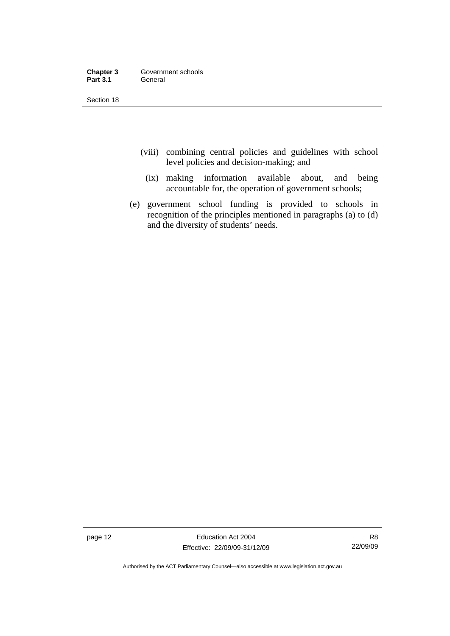| Chapter 3       | Government schools |
|-----------------|--------------------|
| <b>Part 3.1</b> | General            |

- (viii) combining central policies and guidelines with school level policies and decision-making; and
	- (ix) making information available about, and being accountable for, the operation of government schools;
- (e) government school funding is provided to schools in recognition of the principles mentioned in paragraphs (a) to (d) and the diversity of students' needs.

page 12 **Education Act 2004** Effective: 22/09/09-31/12/09

R8 22/09/09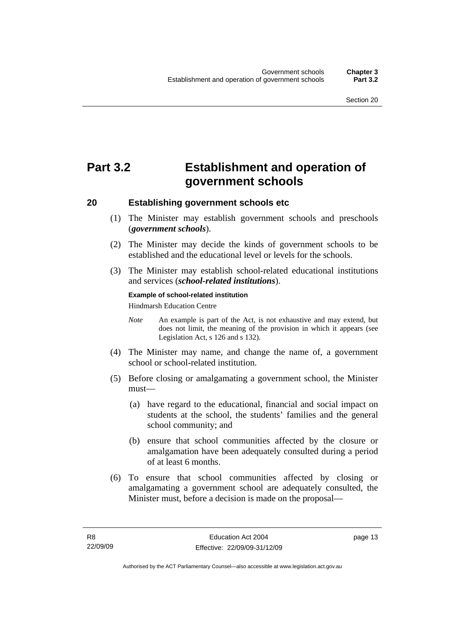# <span id="page-22-0"></span>**Part 3.2 Establishment and operation of government schools**

#### **20 Establishing government schools etc**

- (1) The Minister may establish government schools and preschools (*government schools*).
- (2) The Minister may decide the kinds of government schools to be established and the educational level or levels for the schools.
- (3) The Minister may establish school-related educational institutions and services (*school-related institutions*).

#### **Example of school-related institution**

Hindmarsh Education Centre

- *Note* An example is part of the Act, is not exhaustive and may extend, but does not limit, the meaning of the provision in which it appears (see Legislation Act, s 126 and s 132).
- (4) The Minister may name, and change the name of, a government school or school-related institution.
- (5) Before closing or amalgamating a government school, the Minister must—
	- (a) have regard to the educational, financial and social impact on students at the school, the students' families and the general school community; and
	- (b) ensure that school communities affected by the closure or amalgamation have been adequately consulted during a period of at least 6 months.
- (6) To ensure that school communities affected by closing or amalgamating a government school are adequately consulted, the Minister must, before a decision is made on the proposal—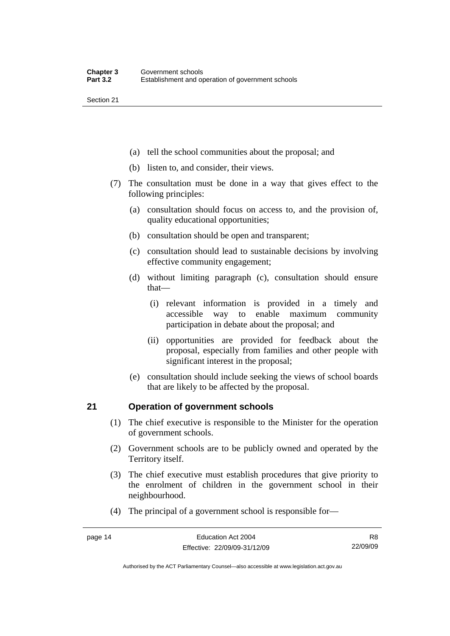- <span id="page-23-0"></span>(a) tell the school communities about the proposal; and
- (b) listen to, and consider, their views.
- (7) The consultation must be done in a way that gives effect to the following principles:
	- (a) consultation should focus on access to, and the provision of, quality educational opportunities;
	- (b) consultation should be open and transparent;
	- (c) consultation should lead to sustainable decisions by involving effective community engagement;
	- (d) without limiting paragraph (c), consultation should ensure that—
		- (i) relevant information is provided in a timely and accessible way to enable maximum community participation in debate about the proposal; and
		- (ii) opportunities are provided for feedback about the proposal, especially from families and other people with significant interest in the proposal;
	- (e) consultation should include seeking the views of school boards that are likely to be affected by the proposal.

### **21 Operation of government schools**

- (1) The chief executive is responsible to the Minister for the operation of government schools.
- (2) Government schools are to be publicly owned and operated by the Territory itself.
- (3) The chief executive must establish procedures that give priority to the enrolment of children in the government school in their neighbourhood.
- (4) The principal of a government school is responsible for—

Authorised by the ACT Parliamentary Counsel—also accessible at www.legislation.act.gov.au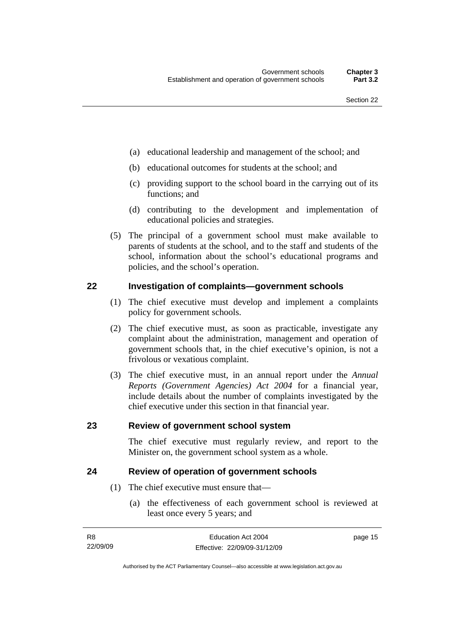- <span id="page-24-0"></span>(a) educational leadership and management of the school; and
- (b) educational outcomes for students at the school; and
- (c) providing support to the school board in the carrying out of its functions; and
- (d) contributing to the development and implementation of educational policies and strategies.
- (5) The principal of a government school must make available to parents of students at the school, and to the staff and students of the school, information about the school's educational programs and policies, and the school's operation.

#### **22 Investigation of complaints—government schools**

- (1) The chief executive must develop and implement a complaints policy for government schools.
- (2) The chief executive must, as soon as practicable, investigate any complaint about the administration, management and operation of government schools that, in the chief executive's opinion, is not a frivolous or vexatious complaint.
- (3) The chief executive must, in an annual report under the *Annual Reports (Government Agencies) Act 2004* for a financial year, include details about the number of complaints investigated by the chief executive under this section in that financial year.

#### **23 Review of government school system**

The chief executive must regularly review, and report to the Minister on, the government school system as a whole.

#### **24 Review of operation of government schools**

- (1) The chief executive must ensure that—
	- (a) the effectiveness of each government school is reviewed at least once every 5 years; and

| -R8      | Education Act 2004           | page 15 |
|----------|------------------------------|---------|
| 22/09/09 | Effective: 22/09/09-31/12/09 |         |

Authorised by the ACT Parliamentary Counsel—also accessible at www.legislation.act.gov.au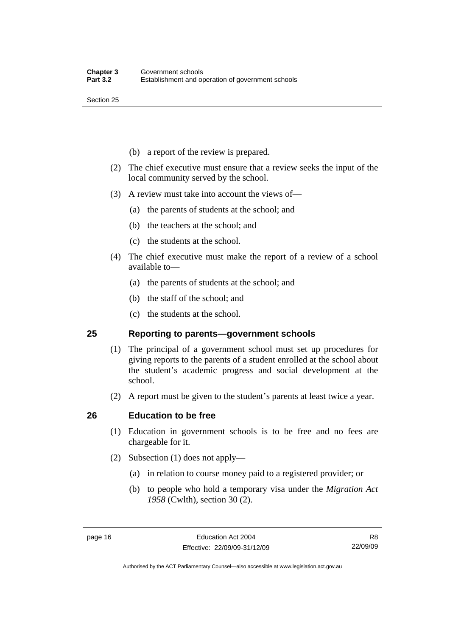- <span id="page-25-0"></span>(b) a report of the review is prepared.
- (2) The chief executive must ensure that a review seeks the input of the local community served by the school.
- (3) A review must take into account the views of—
	- (a) the parents of students at the school; and
	- (b) the teachers at the school; and
	- (c) the students at the school.
- (4) The chief executive must make the report of a review of a school available to—
	- (a) the parents of students at the school; and
	- (b) the staff of the school; and
	- (c) the students at the school.

#### **25 Reporting to parents—government schools**

- (1) The principal of a government school must set up procedures for giving reports to the parents of a student enrolled at the school about the student's academic progress and social development at the school.
- (2) A report must be given to the student's parents at least twice a year.

#### **26 Education to be free**

- (1) Education in government schools is to be free and no fees are chargeable for it.
- (2) Subsection (1) does not apply—
	- (a) in relation to course money paid to a registered provider; or
	- (b) to people who hold a temporary visa under the *Migration Act 1958* (Cwlth), section 30 (2).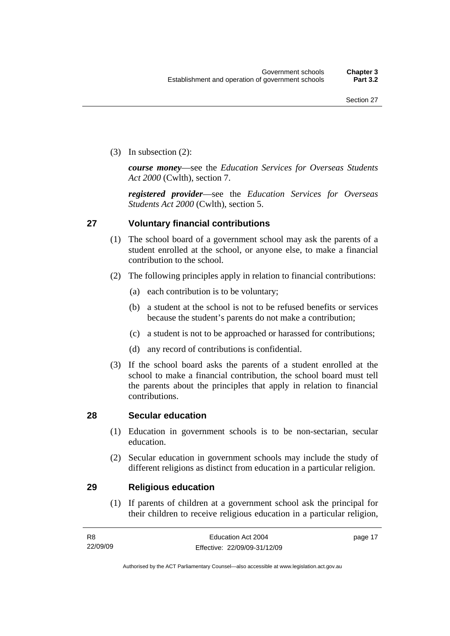<span id="page-26-0"></span>(3) In subsection (2):

*course money*—see the *Education Services for Overseas Students Act 2000* (Cwlth), section 7.

*registered provider*—see the *Education Services for Overseas Students Act 2000* (Cwlth), section 5.

#### **27 Voluntary financial contributions**

- (1) The school board of a government school may ask the parents of a student enrolled at the school, or anyone else, to make a financial contribution to the school.
- (2) The following principles apply in relation to financial contributions:
	- (a) each contribution is to be voluntary;
	- (b) a student at the school is not to be refused benefits or services because the student's parents do not make a contribution;
	- (c) a student is not to be approached or harassed for contributions;
	- (d) any record of contributions is confidential.
- (3) If the school board asks the parents of a student enrolled at the school to make a financial contribution, the school board must tell the parents about the principles that apply in relation to financial contributions.

#### **28 Secular education**

- (1) Education in government schools is to be non-sectarian, secular education.
- (2) Secular education in government schools may include the study of different religions as distinct from education in a particular religion.

#### **29 Religious education**

 (1) If parents of children at a government school ask the principal for their children to receive religious education in a particular religion,

| - R8     | Education Act 2004           | page 17 |
|----------|------------------------------|---------|
| 22/09/09 | Effective: 22/09/09-31/12/09 |         |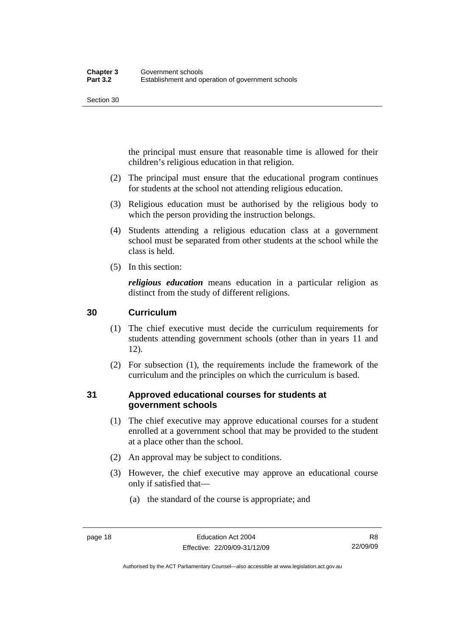<span id="page-27-0"></span>the principal must ensure that reasonable time is allowed for their children's religious education in that religion.

- (2) The principal must ensure that the educational program continues for students at the school not attending religious education.
- (3) Religious education must be authorised by the religious body to which the person providing the instruction belongs.
- (4) Students attending a religious education class at a government school must be separated from other students at the school while the class is held.
- (5) In this section:

*religious education* means education in a particular religion as distinct from the study of different religions.

### **30 Curriculum**

- (1) The chief executive must decide the curriculum requirements for students attending government schools (other than in years 11 and 12).
- (2) For subsection (1), the requirements include the framework of the curriculum and the principles on which the curriculum is based.

### **31 Approved educational courses for students at government schools**

- (1) The chief executive may approve educational courses for a student enrolled at a government school that may be provided to the student at a place other than the school.
- (2) An approval may be subject to conditions.
- (3) However, the chief executive may approve an educational course only if satisfied that—
	- (a) the standard of the course is appropriate; and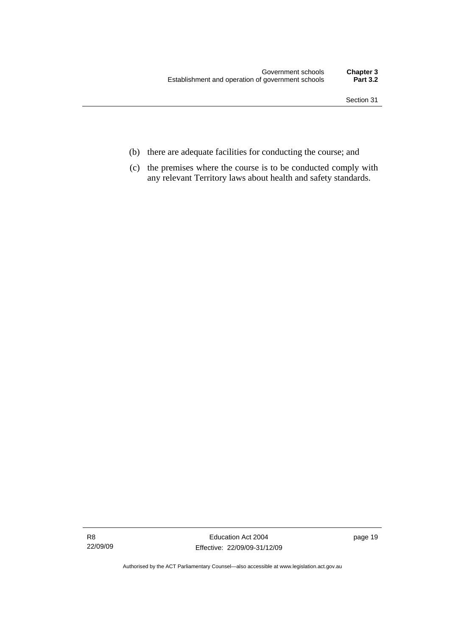- (b) there are adequate facilities for conducting the course; and
- (c) the premises where the course is to be conducted comply with any relevant Territory laws about health and safety standards.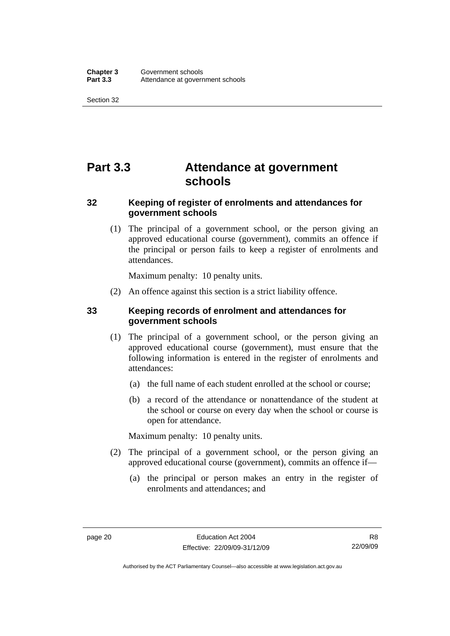# <span id="page-29-0"></span>**Part 3.3 Attendance at government schools**

### **32 Keeping of register of enrolments and attendances for government schools**

 (1) The principal of a government school, or the person giving an approved educational course (government), commits an offence if the principal or person fails to keep a register of enrolments and attendances.

Maximum penalty: 10 penalty units.

(2) An offence against this section is a strict liability offence.

### **33 Keeping records of enrolment and attendances for government schools**

- (1) The principal of a government school, or the person giving an approved educational course (government), must ensure that the following information is entered in the register of enrolments and attendances:
	- (a) the full name of each student enrolled at the school or course;
	- (b) a record of the attendance or nonattendance of the student at the school or course on every day when the school or course is open for attendance.

Maximum penalty: 10 penalty units.

- (2) The principal of a government school, or the person giving an approved educational course (government), commits an offence if—
	- (a) the principal or person makes an entry in the register of enrolments and attendances; and

Authorised by the ACT Parliamentary Counsel—also accessible at www.legislation.act.gov.au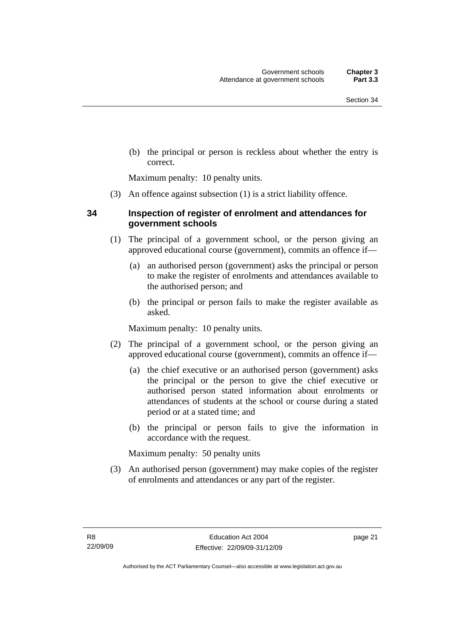<span id="page-30-0"></span> (b) the principal or person is reckless about whether the entry is correct.

Maximum penalty: 10 penalty units.

(3) An offence against subsection (1) is a strict liability offence.

#### **34 Inspection of register of enrolment and attendances for government schools**

- (1) The principal of a government school, or the person giving an approved educational course (government), commits an offence if—
	- (a) an authorised person (government) asks the principal or person to make the register of enrolments and attendances available to the authorised person; and
	- (b) the principal or person fails to make the register available as asked.

Maximum penalty: 10 penalty units.

- (2) The principal of a government school, or the person giving an approved educational course (government), commits an offence if—
	- (a) the chief executive or an authorised person (government) asks the principal or the person to give the chief executive or authorised person stated information about enrolments or attendances of students at the school or course during a stated period or at a stated time; and
	- (b) the principal or person fails to give the information in accordance with the request.

Maximum penalty: 50 penalty units

 (3) An authorised person (government) may make copies of the register of enrolments and attendances or any part of the register.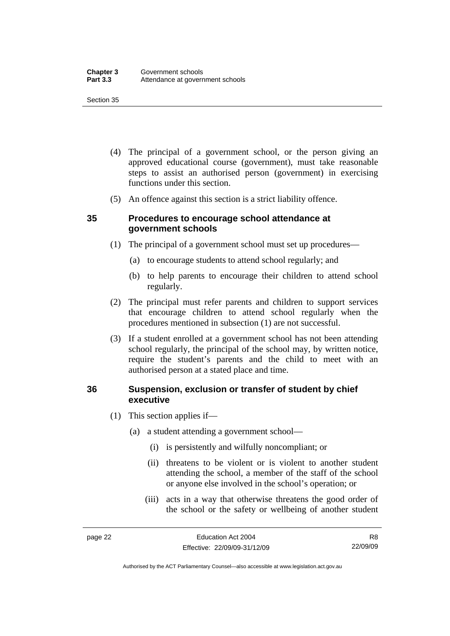- <span id="page-31-0"></span> (4) The principal of a government school, or the person giving an approved educational course (government), must take reasonable steps to assist an authorised person (government) in exercising functions under this section.
- (5) An offence against this section is a strict liability offence.

#### **35 Procedures to encourage school attendance at government schools**

- (1) The principal of a government school must set up procedures—
	- (a) to encourage students to attend school regularly; and
	- (b) to help parents to encourage their children to attend school regularly.
- (2) The principal must refer parents and children to support services that encourage children to attend school regularly when the procedures mentioned in subsection (1) are not successful.
- (3) If a student enrolled at a government school has not been attending school regularly, the principal of the school may, by written notice, require the student's parents and the child to meet with an authorised person at a stated place and time.

#### **36 Suspension, exclusion or transfer of student by chief executive**

- (1) This section applies if—
	- (a) a student attending a government school—
		- (i) is persistently and wilfully noncompliant; or
		- (ii) threatens to be violent or is violent to another student attending the school, a member of the staff of the school or anyone else involved in the school's operation; or
		- (iii) acts in a way that otherwise threatens the good order of the school or the safety or wellbeing of another student

Authorised by the ACT Parliamentary Counsel—also accessible at www.legislation.act.gov.au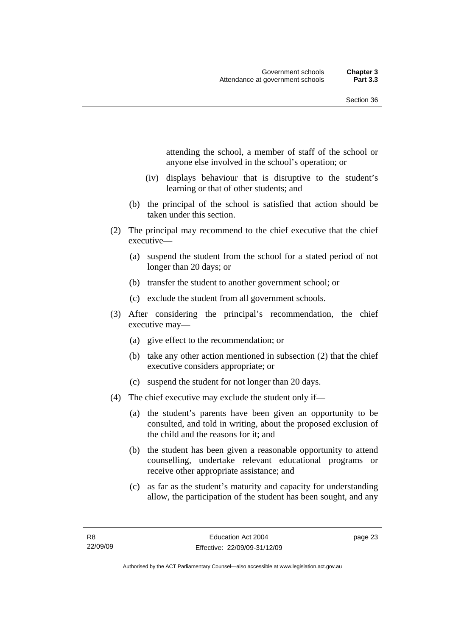attending the school, a member of staff of the school or anyone else involved in the school's operation; or

- (iv) displays behaviour that is disruptive to the student's learning or that of other students; and
- (b) the principal of the school is satisfied that action should be taken under this section.
- (2) The principal may recommend to the chief executive that the chief executive—
	- (a) suspend the student from the school for a stated period of not longer than 20 days; or
	- (b) transfer the student to another government school; or
	- (c) exclude the student from all government schools.
- (3) After considering the principal's recommendation, the chief executive may—
	- (a) give effect to the recommendation; or
	- (b) take any other action mentioned in subsection (2) that the chief executive considers appropriate; or
	- (c) suspend the student for not longer than 20 days.
- (4) The chief executive may exclude the student only if—
	- (a) the student's parents have been given an opportunity to be consulted, and told in writing, about the proposed exclusion of the child and the reasons for it; and
	- (b) the student has been given a reasonable opportunity to attend counselling, undertake relevant educational programs or receive other appropriate assistance; and
	- (c) as far as the student's maturity and capacity for understanding allow, the participation of the student has been sought, and any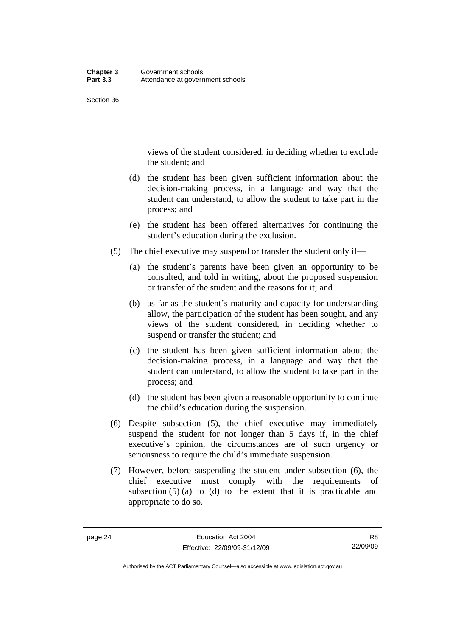views of the student considered, in deciding whether to exclude the student; and

- (d) the student has been given sufficient information about the decision-making process, in a language and way that the student can understand, to allow the student to take part in the process; and
- (e) the student has been offered alternatives for continuing the student's education during the exclusion.
- (5) The chief executive may suspend or transfer the student only if—
	- (a) the student's parents have been given an opportunity to be consulted, and told in writing, about the proposed suspension or transfer of the student and the reasons for it; and
	- (b) as far as the student's maturity and capacity for understanding allow, the participation of the student has been sought, and any views of the student considered, in deciding whether to suspend or transfer the student; and
	- (c) the student has been given sufficient information about the decision-making process, in a language and way that the student can understand, to allow the student to take part in the process; and
	- (d) the student has been given a reasonable opportunity to continue the child's education during the suspension.
- (6) Despite subsection (5), the chief executive may immediately suspend the student for not longer than 5 days if, in the chief executive's opinion, the circumstances are of such urgency or seriousness to require the child's immediate suspension.
- (7) However, before suspending the student under subsection (6), the chief executive must comply with the requirements of subsection  $(5)$  (a) to (d) to the extent that it is practicable and appropriate to do so.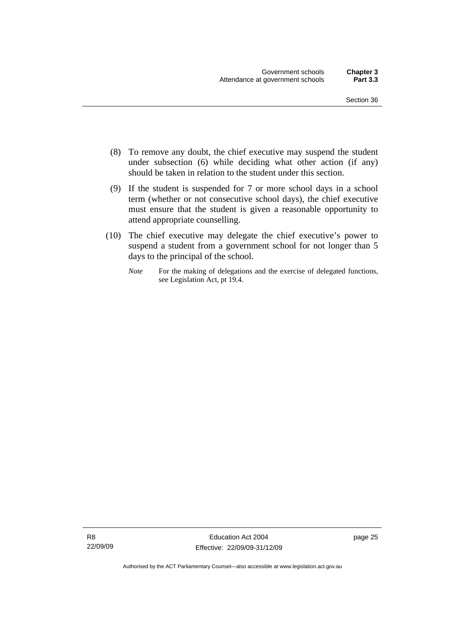- (8) To remove any doubt, the chief executive may suspend the student under subsection (6) while deciding what other action (if any) should be taken in relation to the student under this section.
- (9) If the student is suspended for 7 or more school days in a school term (whether or not consecutive school days), the chief executive must ensure that the student is given a reasonable opportunity to attend appropriate counselling.
- (10) The chief executive may delegate the chief executive's power to suspend a student from a government school for not longer than 5 days to the principal of the school.
	- *Note* For the making of delegations and the exercise of delegated functions, see Legislation Act, pt 19.4.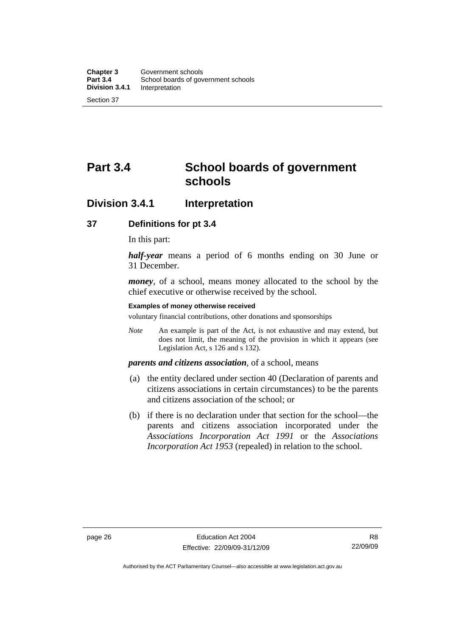# <span id="page-35-0"></span>**Part 3.4 School boards of government schools**

### **Division 3.4.1 Interpretation**

#### **37 Definitions for pt 3.4**

In this part:

*half-year* means a period of 6 months ending on 30 June or 31 December.

*money*, of a school, means money allocated to the school by the chief executive or otherwise received by the school.

#### **Examples of money otherwise received**

voluntary financial contributions, other donations and sponsorships

*Note* An example is part of the Act, is not exhaustive and may extend, but does not limit, the meaning of the provision in which it appears (see Legislation Act, s 126 and s 132).

#### *parents and citizens association*, of a school, means

- (a) the entity declared under section 40 (Declaration of parents and citizens associations in certain circumstances) to be the parents and citizens association of the school; or
- (b) if there is no declaration under that section for the school—the parents and citizens association incorporated under the *Associations Incorporation Act 1991* or the *Associations Incorporation Act 1953* (repealed) in relation to the school.

R8 22/09/09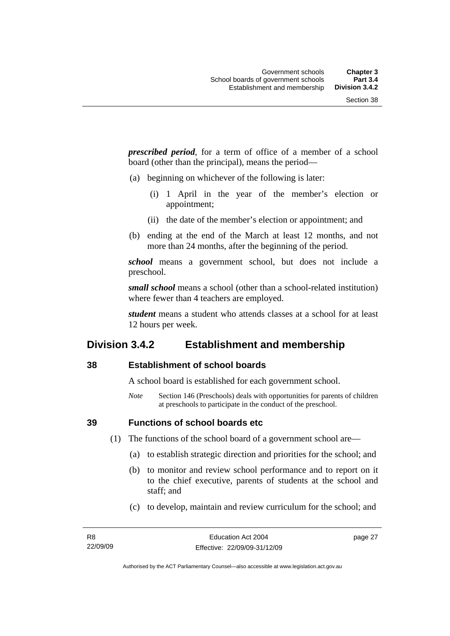*prescribed period*, for a term of office of a member of a school board (other than the principal), means the period—

- (a) beginning on whichever of the following is later:
	- (i) 1 April in the year of the member's election or appointment;
	- (ii) the date of the member's election or appointment; and
- (b) ending at the end of the March at least 12 months, and not more than 24 months, after the beginning of the period.

*school* means a government school, but does not include a preschool.

*small school* means a school (other than a school-related institution) where fewer than 4 teachers are employed.

*student* means a student who attends classes at a school for at least 12 hours per week.

### **Division 3.4.2 Establishment and membership**

#### **38 Establishment of school boards**

A school board is established for each government school.

*Note* Section 146 (Preschools) deals with opportunities for parents of children at preschools to participate in the conduct of the preschool.

**39 Functions of school boards etc** 

(1) The functions of the school board of a government school are—

- (a) to establish strategic direction and priorities for the school; and
- (b) to monitor and review school performance and to report on it to the chief executive, parents of students at the school and staff; and
- (c) to develop, maintain and review curriculum for the school; and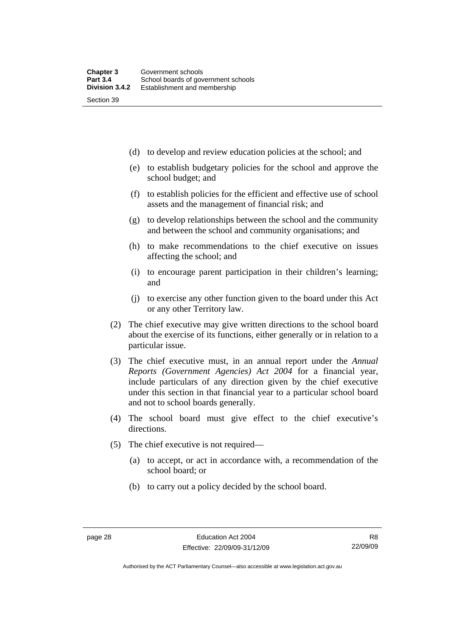(d) to develop and review education policies at the school; and

- (e) to establish budgetary policies for the school and approve the school budget; and
- (f) to establish policies for the efficient and effective use of school assets and the management of financial risk; and
- (g) to develop relationships between the school and the community and between the school and community organisations; and
- (h) to make recommendations to the chief executive on issues affecting the school; and
- (i) to encourage parent participation in their children's learning; and
- (j) to exercise any other function given to the board under this Act or any other Territory law.
- (2) The chief executive may give written directions to the school board about the exercise of its functions, either generally or in relation to a particular issue.
- (3) The chief executive must, in an annual report under the *Annual Reports (Government Agencies) Act 2004* for a financial year, include particulars of any direction given by the chief executive under this section in that financial year to a particular school board and not to school boards generally.
- (4) The school board must give effect to the chief executive's directions.
- (5) The chief executive is not required—
	- (a) to accept, or act in accordance with, a recommendation of the school board; or
	- (b) to carry out a policy decided by the school board.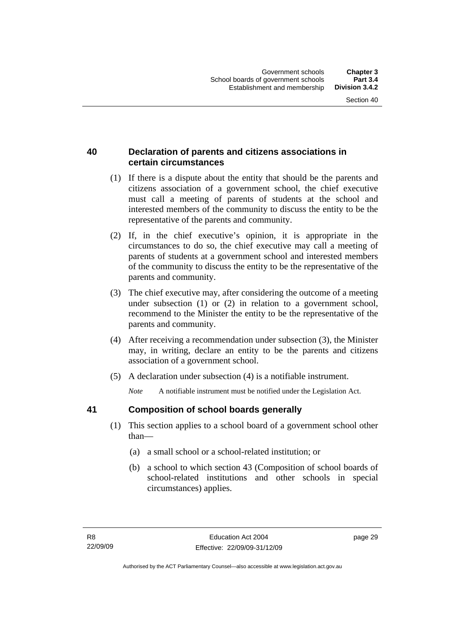### **40 Declaration of parents and citizens associations in certain circumstances**

- (1) If there is a dispute about the entity that should be the parents and citizens association of a government school, the chief executive must call a meeting of parents of students at the school and interested members of the community to discuss the entity to be the representative of the parents and community.
- (2) If, in the chief executive's opinion, it is appropriate in the circumstances to do so, the chief executive may call a meeting of parents of students at a government school and interested members of the community to discuss the entity to be the representative of the parents and community.
- (3) The chief executive may, after considering the outcome of a meeting under subsection (1) or (2) in relation to a government school, recommend to the Minister the entity to be the representative of the parents and community.
- (4) After receiving a recommendation under subsection (3), the Minister may, in writing, declare an entity to be the parents and citizens association of a government school.
- (5) A declaration under subsection (4) is a notifiable instrument.

*Note* A notifiable instrument must be notified under the Legislation Act.

### **41 Composition of school boards generally**

- (1) This section applies to a school board of a government school other than—
	- (a) a small school or a school-related institution; or
	- (b) a school to which section 43 (Composition of school boards of school-related institutions and other schools in special circumstances) applies.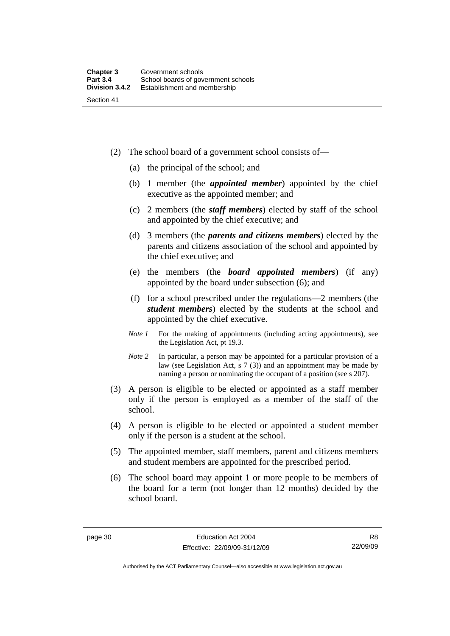- (2) The school board of a government school consists of—
	- (a) the principal of the school; and
	- (b) 1 member (the *appointed member*) appointed by the chief executive as the appointed member; and
	- (c) 2 members (the *staff members*) elected by staff of the school and appointed by the chief executive; and
	- (d) 3 members (the *parents and citizens members*) elected by the parents and citizens association of the school and appointed by the chief executive; and
	- (e) the members (the *board appointed members*) (if any) appointed by the board under subsection (6); and
	- (f) for a school prescribed under the regulations—2 members (the *student members*) elected by the students at the school and appointed by the chief executive.
	- *Note 1* For the making of appointments (including acting appointments), see the Legislation Act, pt 19.3.
	- *Note* 2 In particular, a person may be appointed for a particular provision of a law (see Legislation Act, s 7 (3)) and an appointment may be made by naming a person or nominating the occupant of a position (see s 207).
- (3) A person is eligible to be elected or appointed as a staff member only if the person is employed as a member of the staff of the school.
- (4) A person is eligible to be elected or appointed a student member only if the person is a student at the school.
- (5) The appointed member, staff members, parent and citizens members and student members are appointed for the prescribed period.
- (6) The school board may appoint 1 or more people to be members of the board for a term (not longer than 12 months) decided by the school board.

Authorised by the ACT Parliamentary Counsel—also accessible at www.legislation.act.gov.au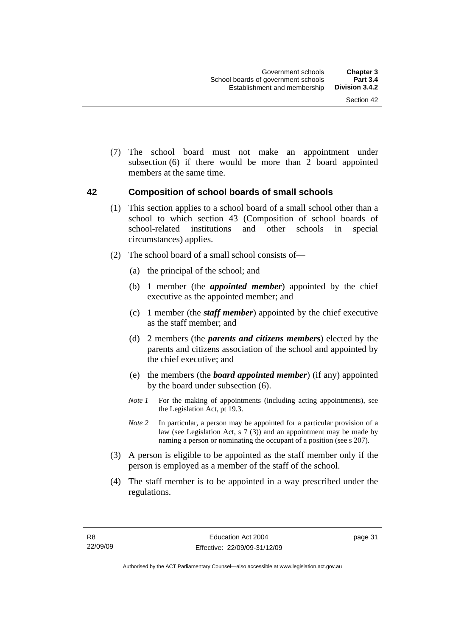(7) The school board must not make an appointment under subsection (6) if there would be more than 2 board appointed members at the same time.

#### **42 Composition of school boards of small schools**

- (1) This section applies to a school board of a small school other than a school to which section 43 (Composition of school boards of school-related institutions and other schools in special circumstances) applies.
- (2) The school board of a small school consists of—
	- (a) the principal of the school; and
	- (b) 1 member (the *appointed member*) appointed by the chief executive as the appointed member; and
	- (c) 1 member (the *staff member*) appointed by the chief executive as the staff member; and
	- (d) 2 members (the *parents and citizens members*) elected by the parents and citizens association of the school and appointed by the chief executive; and
	- (e) the members (the *board appointed member*) (if any) appointed by the board under subsection (6).
	- *Note 1* For the making of appointments (including acting appointments), see the Legislation Act, pt 19.3.
	- *Note* 2 In particular, a person may be appointed for a particular provision of a law (see Legislation Act, s 7 (3)) and an appointment may be made by naming a person or nominating the occupant of a position (see s 207).
- (3) A person is eligible to be appointed as the staff member only if the person is employed as a member of the staff of the school.
- (4) The staff member is to be appointed in a way prescribed under the regulations.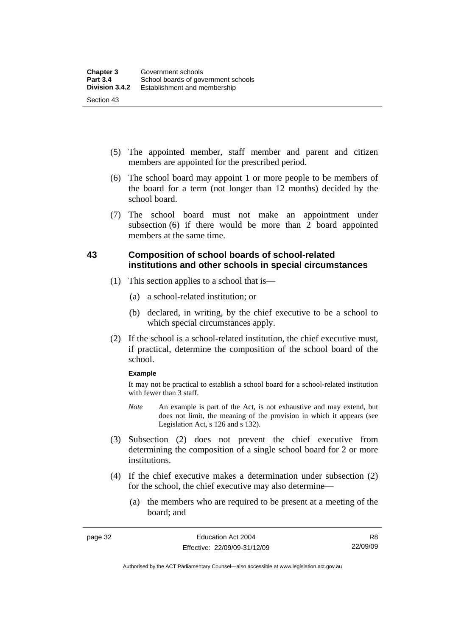- (5) The appointed member, staff member and parent and citizen members are appointed for the prescribed period.
- (6) The school board may appoint 1 or more people to be members of the board for a term (not longer than 12 months) decided by the school board.
- (7) The school board must not make an appointment under subsection (6) if there would be more than 2 board appointed members at the same time.

### **43 Composition of school boards of school-related institutions and other schools in special circumstances**

- (1) This section applies to a school that is—
	- (a) a school-related institution; or
	- (b) declared, in writing, by the chief executive to be a school to which special circumstances apply.
- (2) If the school is a school-related institution, the chief executive must, if practical, determine the composition of the school board of the school.

#### **Example**

It may not be practical to establish a school board for a school-related institution with fewer than 3 staff.

- *Note* An example is part of the Act, is not exhaustive and may extend, but does not limit, the meaning of the provision in which it appears (see Legislation Act, s 126 and s 132).
- (3) Subsection (2) does not prevent the chief executive from determining the composition of a single school board for 2 or more institutions.
- (4) If the chief executive makes a determination under subsection (2) for the school, the chief executive may also determine—
	- (a) the members who are required to be present at a meeting of the board; and

Authorised by the ACT Parliamentary Counsel—also accessible at www.legislation.act.gov.au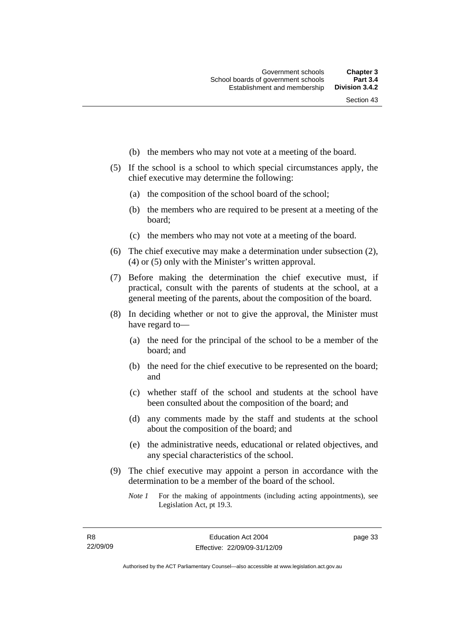- (b) the members who may not vote at a meeting of the board.
- (5) If the school is a school to which special circumstances apply, the chief executive may determine the following:
	- (a) the composition of the school board of the school;
	- (b) the members who are required to be present at a meeting of the board;
	- (c) the members who may not vote at a meeting of the board.
- (6) The chief executive may make a determination under subsection (2), (4) or (5) only with the Minister's written approval.
- (7) Before making the determination the chief executive must, if practical, consult with the parents of students at the school, at a general meeting of the parents, about the composition of the board.
- (8) In deciding whether or not to give the approval, the Minister must have regard to—
	- (a) the need for the principal of the school to be a member of the board; and
	- (b) the need for the chief executive to be represented on the board; and
	- (c) whether staff of the school and students at the school have been consulted about the composition of the board; and
	- (d) any comments made by the staff and students at the school about the composition of the board; and
	- (e) the administrative needs, educational or related objectives, and any special characteristics of the school.
- (9) The chief executive may appoint a person in accordance with the determination to be a member of the board of the school.
	- *Note 1* For the making of appointments (including acting appointments), see Legislation Act, pt 19.3.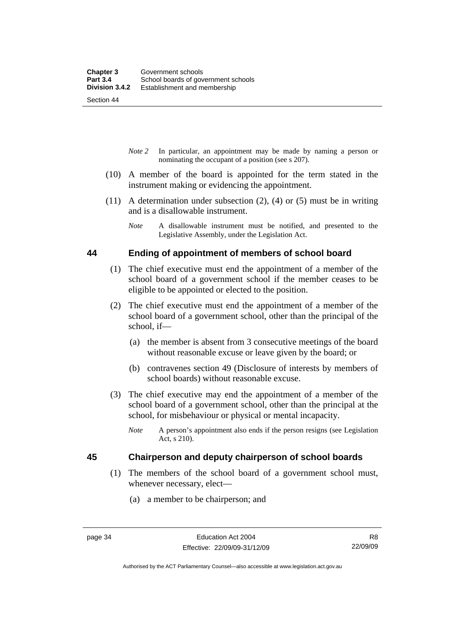Section 44

- *Note 2* In particular, an appointment may be made by naming a person or nominating the occupant of a position (see s 207).
- (10) A member of the board is appointed for the term stated in the instrument making or evidencing the appointment.
- (11) A determination under subsection (2), (4) or (5) must be in writing and is a disallowable instrument.
	- *Note* A disallowable instrument must be notified, and presented to the Legislative Assembly, under the Legislation Act.

#### **44 Ending of appointment of members of school board**

- (1) The chief executive must end the appointment of a member of the school board of a government school if the member ceases to be eligible to be appointed or elected to the position.
- (2) The chief executive must end the appointment of a member of the school board of a government school, other than the principal of the school, if—
	- (a) the member is absent from 3 consecutive meetings of the board without reasonable excuse or leave given by the board; or
	- (b) contravenes section 49 (Disclosure of interests by members of school boards) without reasonable excuse.
- (3) The chief executive may end the appointment of a member of the school board of a government school, other than the principal at the school, for misbehaviour or physical or mental incapacity.
	- *Note* A person's appointment also ends if the person resigns (see Legislation Act, s 210).

### **45 Chairperson and deputy chairperson of school boards**

- (1) The members of the school board of a government school must, whenever necessary, elect—
	- (a) a member to be chairperson; and

Authorised by the ACT Parliamentary Counsel—also accessible at www.legislation.act.gov.au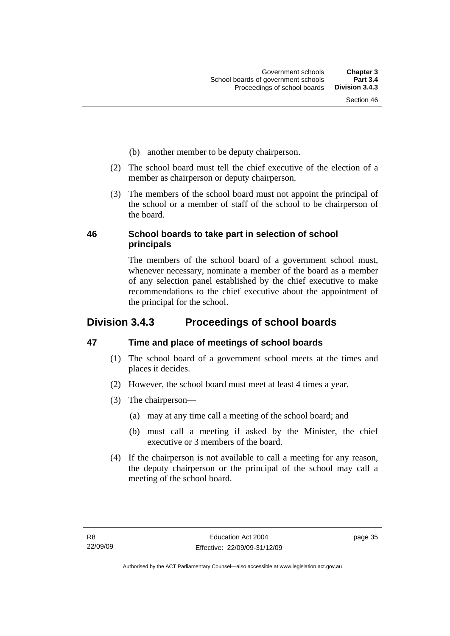- (b) another member to be deputy chairperson.
- (2) The school board must tell the chief executive of the election of a member as chairperson or deputy chairperson.
- (3) The members of the school board must not appoint the principal of the school or a member of staff of the school to be chairperson of the board.

### **46 School boards to take part in selection of school principals**

The members of the school board of a government school must, whenever necessary, nominate a member of the board as a member of any selection panel established by the chief executive to make recommendations to the chief executive about the appointment of the principal for the school.

# **Division 3.4.3 Proceedings of school boards**

### **47 Time and place of meetings of school boards**

- (1) The school board of a government school meets at the times and places it decides.
- (2) However, the school board must meet at least 4 times a year.
- (3) The chairperson—
	- (a) may at any time call a meeting of the school board; and
	- (b) must call a meeting if asked by the Minister, the chief executive or 3 members of the board.
- (4) If the chairperson is not available to call a meeting for any reason, the deputy chairperson or the principal of the school may call a meeting of the school board.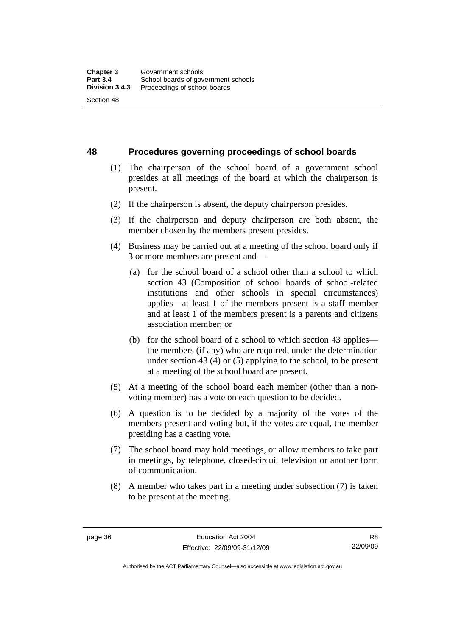**48 Procedures governing proceedings of school boards** 

- (1) The chairperson of the school board of a government school presides at all meetings of the board at which the chairperson is present.
- (2) If the chairperson is absent, the deputy chairperson presides.
- (3) If the chairperson and deputy chairperson are both absent, the member chosen by the members present presides.
- (4) Business may be carried out at a meeting of the school board only if 3 or more members are present and—
	- (a) for the school board of a school other than a school to which section 43 (Composition of school boards of school-related institutions and other schools in special circumstances) applies—at least 1 of the members present is a staff member and at least 1 of the members present is a parents and citizens association member; or
	- (b) for the school board of a school to which section 43 applies the members (if any) who are required, under the determination under section 43 (4) or (5) applying to the school, to be present at a meeting of the school board are present.
- (5) At a meeting of the school board each member (other than a nonvoting member) has a vote on each question to be decided.
- (6) A question is to be decided by a majority of the votes of the members present and voting but, if the votes are equal, the member presiding has a casting vote.
- (7) The school board may hold meetings, or allow members to take part in meetings, by telephone, closed-circuit television or another form of communication.
- (8) A member who takes part in a meeting under subsection (7) is taken to be present at the meeting.

Authorised by the ACT Parliamentary Counsel—also accessible at www.legislation.act.gov.au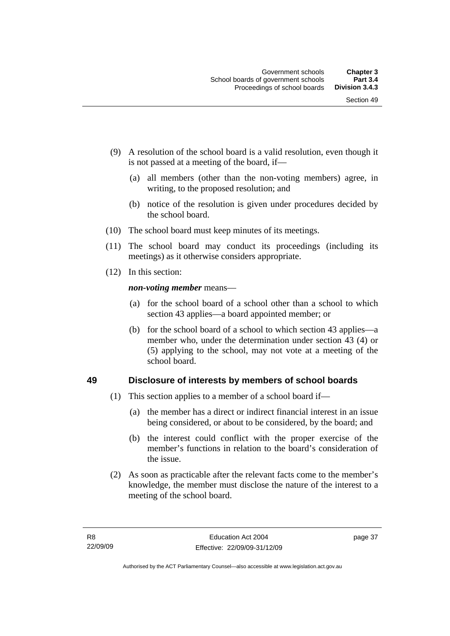- (9) A resolution of the school board is a valid resolution, even though it is not passed at a meeting of the board, if—
	- (a) all members (other than the non-voting members) agree, in writing, to the proposed resolution; and
	- (b) notice of the resolution is given under procedures decided by the school board.
- (10) The school board must keep minutes of its meetings.
- (11) The school board may conduct its proceedings (including its meetings) as it otherwise considers appropriate.
- (12) In this section:

*non-voting member* means—

- (a) for the school board of a school other than a school to which section 43 applies—a board appointed member; or
- (b) for the school board of a school to which section 43 applies—a member who, under the determination under section 43 (4) or (5) applying to the school, may not vote at a meeting of the school board.

#### **49 Disclosure of interests by members of school boards**

- (1) This section applies to a member of a school board if—
	- (a) the member has a direct or indirect financial interest in an issue being considered, or about to be considered, by the board; and
	- (b) the interest could conflict with the proper exercise of the member's functions in relation to the board's consideration of the issue.
- (2) As soon as practicable after the relevant facts come to the member's knowledge, the member must disclose the nature of the interest to a meeting of the school board.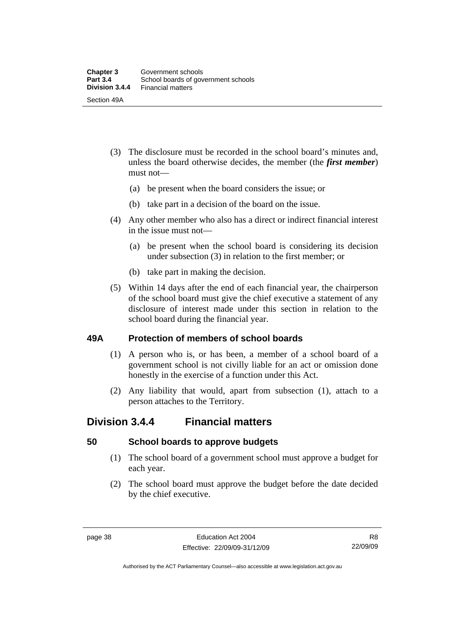- (3) The disclosure must be recorded in the school board's minutes and, unless the board otherwise decides, the member (the *first member*) must not—
	- (a) be present when the board considers the issue; or
	- (b) take part in a decision of the board on the issue.
- (4) Any other member who also has a direct or indirect financial interest in the issue must not—
	- (a) be present when the school board is considering its decision under subsection (3) in relation to the first member; or
	- (b) take part in making the decision.
- (5) Within 14 days after the end of each financial year, the chairperson of the school board must give the chief executive a statement of any disclosure of interest made under this section in relation to the school board during the financial year.

#### **49A Protection of members of school boards**

- (1) A person who is, or has been, a member of a school board of a government school is not civilly liable for an act or omission done honestly in the exercise of a function under this Act.
- (2) Any liability that would, apart from subsection (1), attach to a person attaches to the Territory.

### **Division 3.4.4 Financial matters**

#### **50 School boards to approve budgets**

- (1) The school board of a government school must approve a budget for each year.
- (2) The school board must approve the budget before the date decided by the chief executive.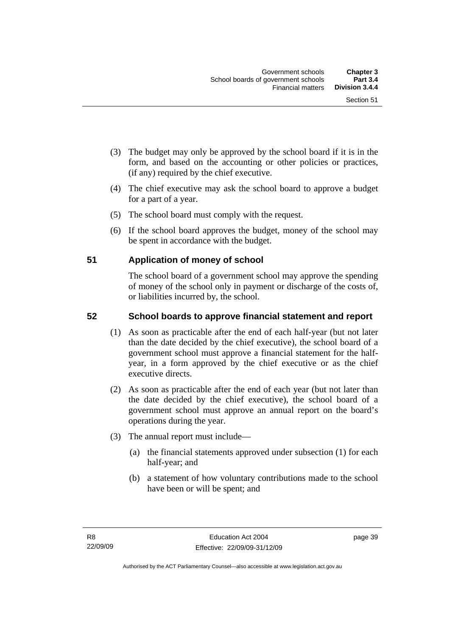- (3) The budget may only be approved by the school board if it is in the form, and based on the accounting or other policies or practices, (if any) required by the chief executive.
- (4) The chief executive may ask the school board to approve a budget for a part of a year.
- (5) The school board must comply with the request.
- (6) If the school board approves the budget, money of the school may be spent in accordance with the budget.

### **51 Application of money of school**

The school board of a government school may approve the spending of money of the school only in payment or discharge of the costs of, or liabilities incurred by, the school.

### **52 School boards to approve financial statement and report**

- (1) As soon as practicable after the end of each half-year (but not later than the date decided by the chief executive), the school board of a government school must approve a financial statement for the halfyear, in a form approved by the chief executive or as the chief executive directs.
- (2) As soon as practicable after the end of each year (but not later than the date decided by the chief executive), the school board of a government school must approve an annual report on the board's operations during the year.
- (3) The annual report must include—
	- (a) the financial statements approved under subsection (1) for each half-year; and
	- (b) a statement of how voluntary contributions made to the school have been or will be spent; and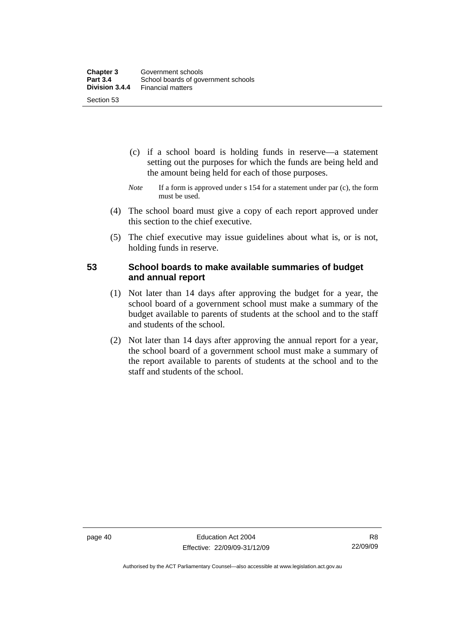- (c) if a school board is holding funds in reserve—a statement setting out the purposes for which the funds are being held and the amount being held for each of those purposes.
- *Note* If a form is approved under s 154 for a statement under par (c), the form must be used.
- (4) The school board must give a copy of each report approved under this section to the chief executive.
- (5) The chief executive may issue guidelines about what is, or is not, holding funds in reserve.

#### **53 School boards to make available summaries of budget and annual report**

- (1) Not later than 14 days after approving the budget for a year, the school board of a government school must make a summary of the budget available to parents of students at the school and to the staff and students of the school.
- (2) Not later than 14 days after approving the annual report for a year, the school board of a government school must make a summary of the report available to parents of students at the school and to the staff and students of the school.

Authorised by the ACT Parliamentary Counsel—also accessible at www.legislation.act.gov.au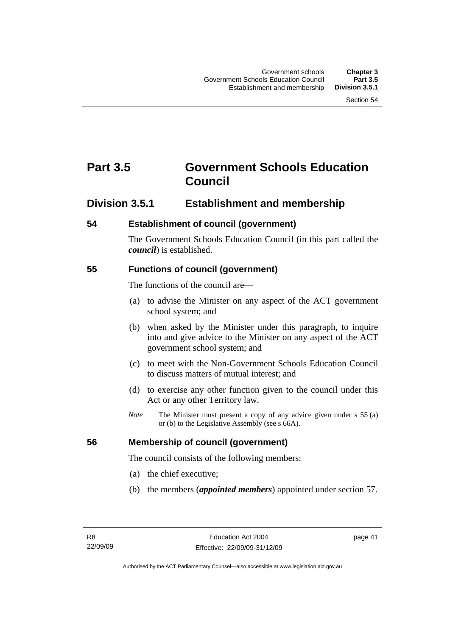# **Part 3.5 Government Schools Education Council**

### **Division 3.5.1 Establishment and membership**

### **54 Establishment of council (government)**

The Government Schools Education Council (in this part called the *council*) is established.

### **55 Functions of council (government)**

The functions of the council are—

- (a) to advise the Minister on any aspect of the ACT government school system; and
- (b) when asked by the Minister under this paragraph, to inquire into and give advice to the Minister on any aspect of the ACT government school system; and
- (c) to meet with the Non-Government Schools Education Council to discuss matters of mutual interest; and
- (d) to exercise any other function given to the council under this Act or any other Territory law.
- *Note* The Minister must present a copy of any advice given under s 55 (a) or (b) to the Legislative Assembly (see s 66A).

### **56 Membership of council (government)**

The council consists of the following members:

- (a) the chief executive;
- (b) the members (*appointed members*) appointed under section 57.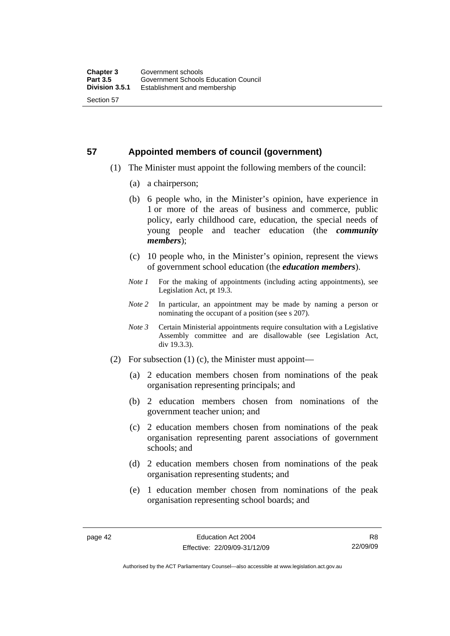# **57 Appointed members of council (government)**

- (1) The Minister must appoint the following members of the council:
	- (a) a chairperson;
	- (b) 6 people who, in the Minister's opinion, have experience in 1 or more of the areas of business and commerce, public policy, early childhood care, education, the special needs of young people and teacher education (the *community members*);
	- (c) 10 people who, in the Minister's opinion, represent the views of government school education (the *education members*).
	- *Note 1* For the making of appointments (including acting appointments), see Legislation Act, pt 19.3.
	- *Note 2* In particular, an appointment may be made by naming a person or nominating the occupant of a position (see s 207).
	- *Note 3* Certain Ministerial appointments require consultation with a Legislative Assembly committee and are disallowable (see Legislation Act, div 19.3.3).
- (2) For subsection (1) (c), the Minister must appoint—
	- (a) 2 education members chosen from nominations of the peak organisation representing principals; and
	- (b) 2 education members chosen from nominations of the government teacher union; and
	- (c) 2 education members chosen from nominations of the peak organisation representing parent associations of government schools; and
	- (d) 2 education members chosen from nominations of the peak organisation representing students; and
	- (e) 1 education member chosen from nominations of the peak organisation representing school boards; and

R8 22/09/09

Authorised by the ACT Parliamentary Counsel—also accessible at www.legislation.act.gov.au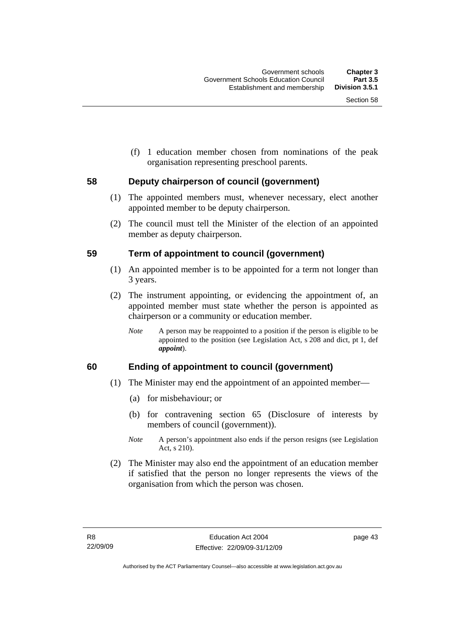(f) 1 education member chosen from nominations of the peak organisation representing preschool parents.

#### **58 Deputy chairperson of council (government)**

- (1) The appointed members must, whenever necessary, elect another appointed member to be deputy chairperson.
- (2) The council must tell the Minister of the election of an appointed member as deputy chairperson.

#### **59 Term of appointment to council (government)**

- (1) An appointed member is to be appointed for a term not longer than 3 years.
- (2) The instrument appointing, or evidencing the appointment of, an appointed member must state whether the person is appointed as chairperson or a community or education member.
	- *Note* A person may be reappointed to a position if the person is eligible to be appointed to the position (see Legislation Act, s 208 and dict, pt 1, def *appoint*).

### **60 Ending of appointment to council (government)**

- (1) The Minister may end the appointment of an appointed member—
	- (a) for misbehaviour; or
	- (b) for contravening section 65 (Disclosure of interests by members of council (government)).
	- *Note* A person's appointment also ends if the person resigns (see Legislation Act, s 210).
- (2) The Minister may also end the appointment of an education member if satisfied that the person no longer represents the views of the organisation from which the person was chosen.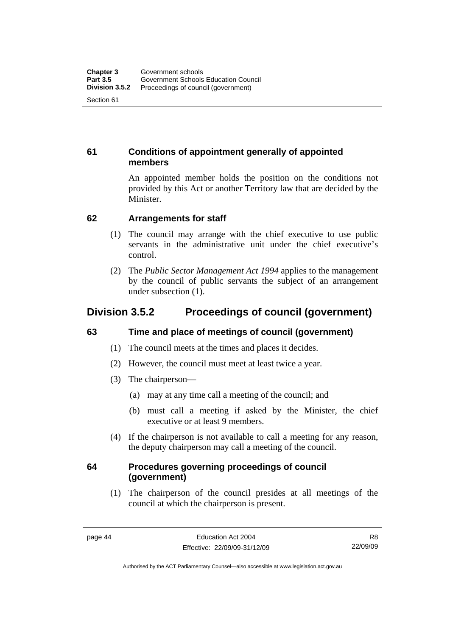### **61 Conditions of appointment generally of appointed members**

An appointed member holds the position on the conditions not provided by this Act or another Territory law that are decided by the Minister.

### **62 Arrangements for staff**

- (1) The council may arrange with the chief executive to use public servants in the administrative unit under the chief executive's control.
- (2) The *Public Sector Management Act 1994* applies to the management by the council of public servants the subject of an arrangement under subsection (1).

## **Division 3.5.2 Proceedings of council (government)**

### **63 Time and place of meetings of council (government)**

- (1) The council meets at the times and places it decides.
- (2) However, the council must meet at least twice a year.
- (3) The chairperson—
	- (a) may at any time call a meeting of the council; and
	- (b) must call a meeting if asked by the Minister, the chief executive or at least 9 members.
- (4) If the chairperson is not available to call a meeting for any reason, the deputy chairperson may call a meeting of the council.

### **64 Procedures governing proceedings of council (government)**

 (1) The chairperson of the council presides at all meetings of the council at which the chairperson is present.

R8 22/09/09

Authorised by the ACT Parliamentary Counsel—also accessible at www.legislation.act.gov.au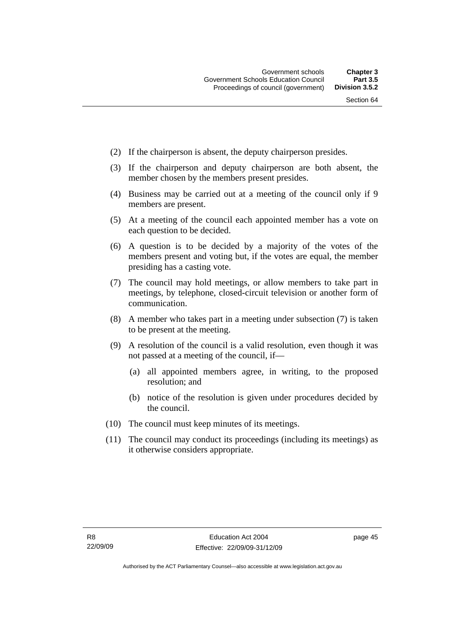- (2) If the chairperson is absent, the deputy chairperson presides.
- (3) If the chairperson and deputy chairperson are both absent, the member chosen by the members present presides.
- (4) Business may be carried out at a meeting of the council only if 9 members are present.
- (5) At a meeting of the council each appointed member has a vote on each question to be decided.
- (6) A question is to be decided by a majority of the votes of the members present and voting but, if the votes are equal, the member presiding has a casting vote.
- (7) The council may hold meetings, or allow members to take part in meetings, by telephone, closed-circuit television or another form of communication.
- (8) A member who takes part in a meeting under subsection (7) is taken to be present at the meeting.
- (9) A resolution of the council is a valid resolution, even though it was not passed at a meeting of the council, if—
	- (a) all appointed members agree, in writing, to the proposed resolution; and
	- (b) notice of the resolution is given under procedures decided by the council.
- (10) The council must keep minutes of its meetings.
- (11) The council may conduct its proceedings (including its meetings) as it otherwise considers appropriate.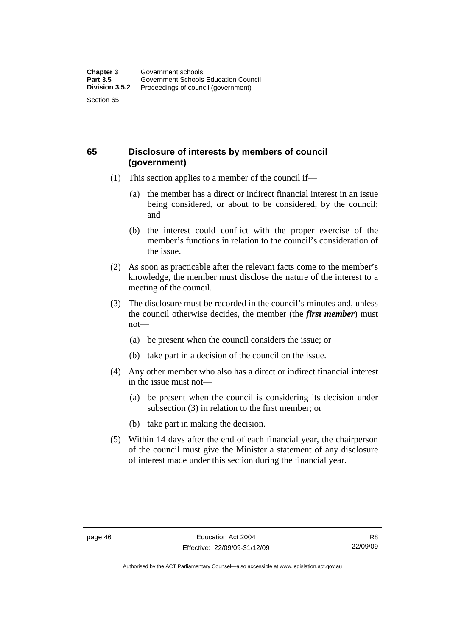### **65 Disclosure of interests by members of council (government)**

- (1) This section applies to a member of the council if—
	- (a) the member has a direct or indirect financial interest in an issue being considered, or about to be considered, by the council; and
	- (b) the interest could conflict with the proper exercise of the member's functions in relation to the council's consideration of the issue.
- (2) As soon as practicable after the relevant facts come to the member's knowledge, the member must disclose the nature of the interest to a meeting of the council.
- (3) The disclosure must be recorded in the council's minutes and, unless the council otherwise decides, the member (the *first member*) must not—
	- (a) be present when the council considers the issue; or
	- (b) take part in a decision of the council on the issue.
- (4) Any other member who also has a direct or indirect financial interest in the issue must not—
	- (a) be present when the council is considering its decision under subsection (3) in relation to the first member; or
	- (b) take part in making the decision.
- (5) Within 14 days after the end of each financial year, the chairperson of the council must give the Minister a statement of any disclosure of interest made under this section during the financial year.

Authorised by the ACT Parliamentary Counsel—also accessible at www.legislation.act.gov.au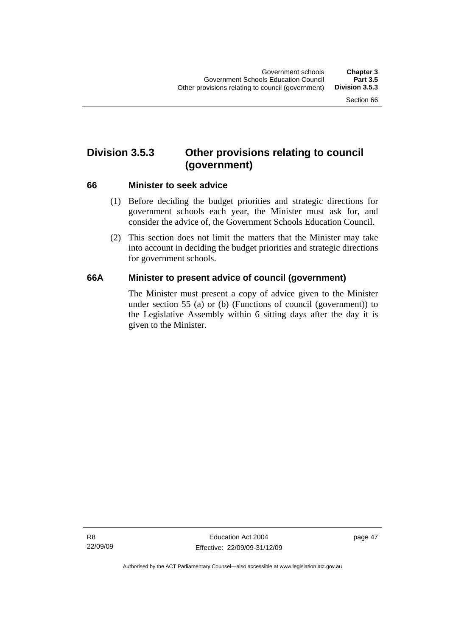# **Division 3.5.3 Other provisions relating to council (government)**

#### **66 Minister to seek advice**

- (1) Before deciding the budget priorities and strategic directions for government schools each year, the Minister must ask for, and consider the advice of, the Government Schools Education Council.
- (2) This section does not limit the matters that the Minister may take into account in deciding the budget priorities and strategic directions for government schools.

### **66A Minister to present advice of council (government)**

The Minister must present a copy of advice given to the Minister under section 55 (a) or (b) (Functions of council (government)) to the Legislative Assembly within 6 sitting days after the day it is given to the Minister.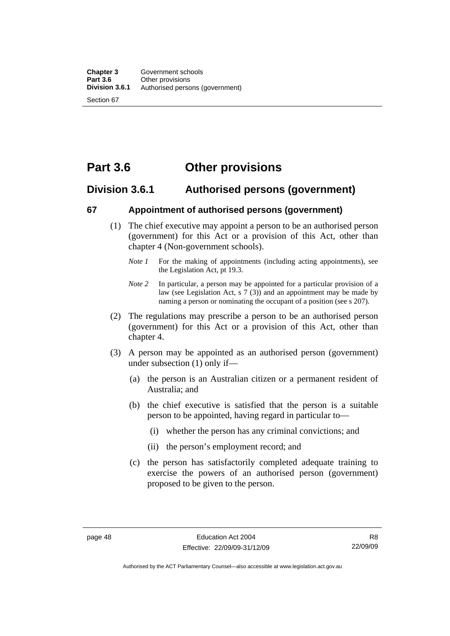# **Part 3.6 Other provisions**

### **Division 3.6.1 Authorised persons (government)**

#### **67 Appointment of authorised persons (government)**

- (1) The chief executive may appoint a person to be an authorised person (government) for this Act or a provision of this Act, other than chapter 4 (Non-government schools).
	- *Note 1* For the making of appointments (including acting appointments), see the Legislation Act, pt 19.3.
	- *Note 2* In particular, a person may be appointed for a particular provision of a law (see Legislation Act, s 7 (3)) and an appointment may be made by naming a person or nominating the occupant of a position (see s 207).
- (2) The regulations may prescribe a person to be an authorised person (government) for this Act or a provision of this Act, other than chapter 4.
- (3) A person may be appointed as an authorised person (government) under subsection (1) only if—
	- (a) the person is an Australian citizen or a permanent resident of Australia; and
	- (b) the chief executive is satisfied that the person is a suitable person to be appointed, having regard in particular to—
		- (i) whether the person has any criminal convictions; and
		- (ii) the person's employment record; and
	- (c) the person has satisfactorily completed adequate training to exercise the powers of an authorised person (government) proposed to be given to the person.

Authorised by the ACT Parliamentary Counsel—also accessible at www.legislation.act.gov.au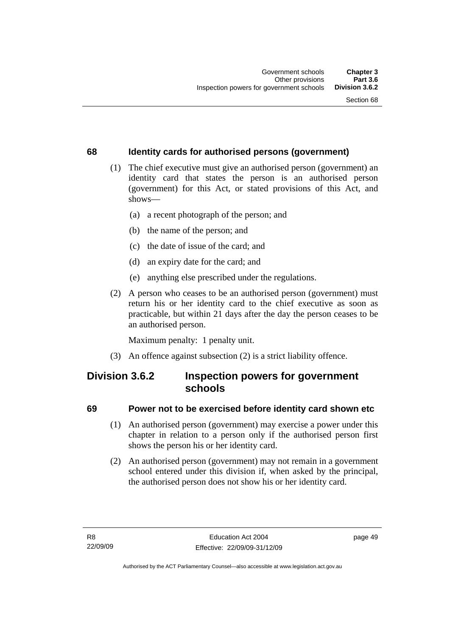### **68 Identity cards for authorised persons (government)**

- (1) The chief executive must give an authorised person (government) an identity card that states the person is an authorised person (government) for this Act, or stated provisions of this Act, and shows—
	- (a) a recent photograph of the person; and
	- (b) the name of the person; and
	- (c) the date of issue of the card; and
	- (d) an expiry date for the card; and
	- (e) anything else prescribed under the regulations.
- (2) A person who ceases to be an authorised person (government) must return his or her identity card to the chief executive as soon as practicable, but within 21 days after the day the person ceases to be an authorised person.

Maximum penalty: 1 penalty unit.

(3) An offence against subsection (2) is a strict liability offence.

### **Division 3.6.2 Inspection powers for government schools**

### **69 Power not to be exercised before identity card shown etc**

- (1) An authorised person (government) may exercise a power under this chapter in relation to a person only if the authorised person first shows the person his or her identity card.
- (2) An authorised person (government) may not remain in a government school entered under this division if, when asked by the principal, the authorised person does not show his or her identity card.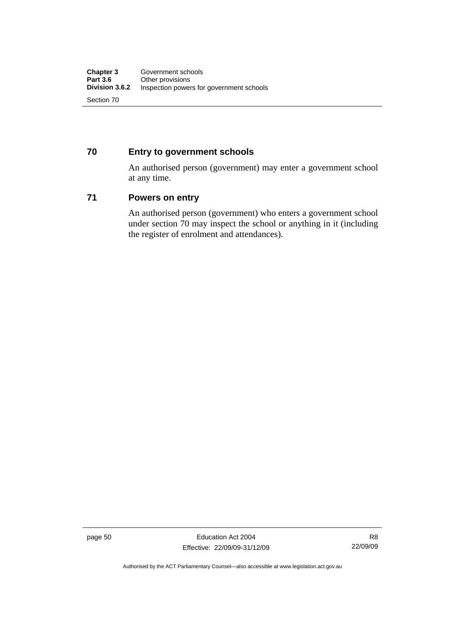### **70 Entry to government schools**

An authorised person (government) may enter a government school at any time.

#### **71 Powers on entry**

An authorised person (government) who enters a government school under section 70 may inspect the school or anything in it (including the register of enrolment and attendances).

page 50 Education Act 2004 Effective: 22/09/09-31/12/09

R8 22/09/09

Authorised by the ACT Parliamentary Counsel—also accessible at www.legislation.act.gov.au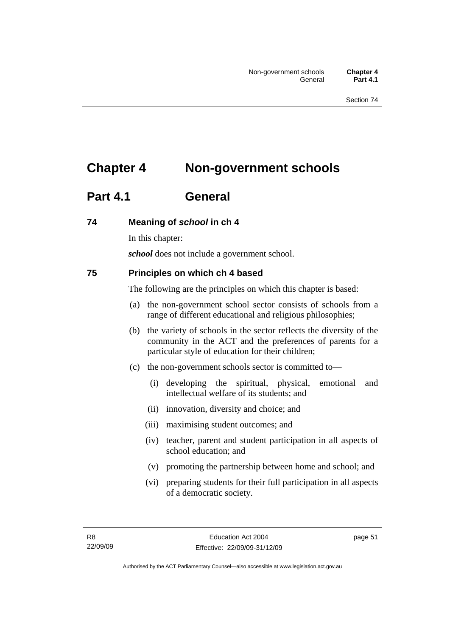# **Chapter 4 Non-government schools**

# **Part 4.1 General**

### **74 Meaning of** *school* **in ch 4**

In this chapter:

*school* does not include a government school.

### **75 Principles on which ch 4 based**

The following are the principles on which this chapter is based:

- (a) the non-government school sector consists of schools from a range of different educational and religious philosophies;
- (b) the variety of schools in the sector reflects the diversity of the community in the ACT and the preferences of parents for a particular style of education for their children;
- (c) the non-government schools sector is committed to—
	- (i) developing the spiritual, physical, emotional and intellectual welfare of its students; and
	- (ii) innovation, diversity and choice; and
	- (iii) maximising student outcomes; and
	- (iv) teacher, parent and student participation in all aspects of school education; and
	- (v) promoting the partnership between home and school; and
	- (vi) preparing students for their full participation in all aspects of a democratic society.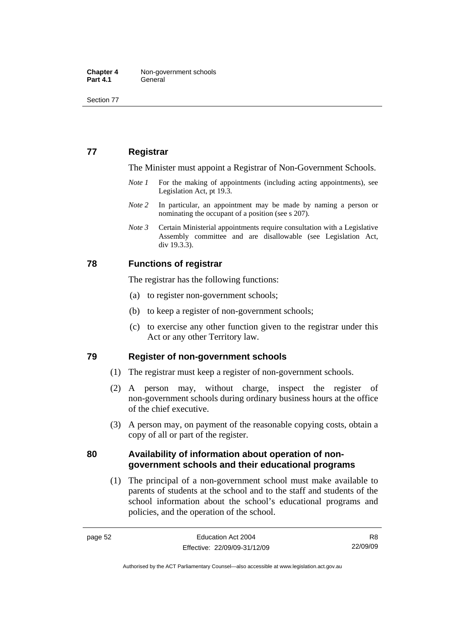Section 77

### **77 Registrar**

The Minister must appoint a Registrar of Non-Government Schools.

- *Note 1* For the making of appointments (including acting appointments), see Legislation Act, pt 19.3.
- *Note* 2 In particular, an appointment may be made by naming a person or nominating the occupant of a position (see s 207).
- *Note 3* Certain Ministerial appointments require consultation with a Legislative Assembly committee and are disallowable (see Legislation Act, div 19.3.3).

#### **78 Functions of registrar**

The registrar has the following functions:

- (a) to register non-government schools;
- (b) to keep a register of non-government schools;
- (c) to exercise any other function given to the registrar under this Act or any other Territory law.

#### **79 Register of non-government schools**

- (1) The registrar must keep a register of non-government schools.
- (2) A person may, without charge, inspect the register of non-government schools during ordinary business hours at the office of the chief executive.
- (3) A person may, on payment of the reasonable copying costs, obtain a copy of all or part of the register.

#### **80 Availability of information about operation of nongovernment schools and their educational programs**

 (1) The principal of a non-government school must make available to parents of students at the school and to the staff and students of the school information about the school's educational programs and policies, and the operation of the school.

R8 22/09/09

Authorised by the ACT Parliamentary Counsel—also accessible at www.legislation.act.gov.au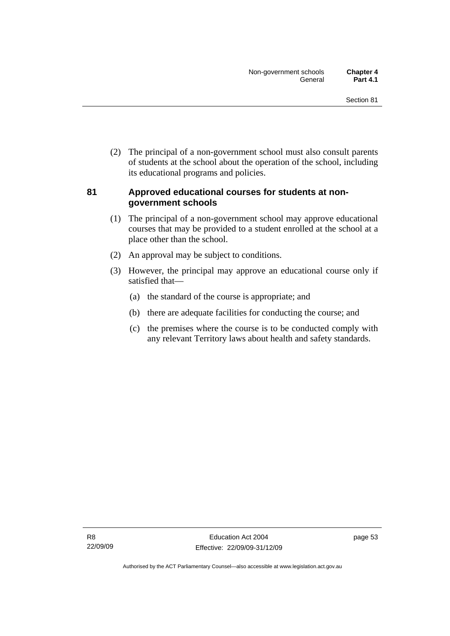(2) The principal of a non-government school must also consult parents of students at the school about the operation of the school, including its educational programs and policies.

### **81 Approved educational courses for students at nongovernment schools**

- (1) The principal of a non-government school may approve educational courses that may be provided to a student enrolled at the school at a place other than the school.
- (2) An approval may be subject to conditions.
- (3) However, the principal may approve an educational course only if satisfied that—
	- (a) the standard of the course is appropriate; and
	- (b) there are adequate facilities for conducting the course; and
	- (c) the premises where the course is to be conducted comply with any relevant Territory laws about health and safety standards.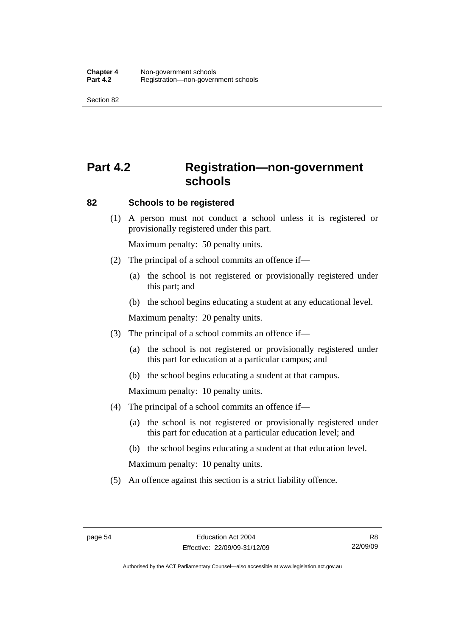Section 82

# **Part 4.2 Registration—non-government schools**

#### **82 Schools to be registered**

 (1) A person must not conduct a school unless it is registered or provisionally registered under this part.

Maximum penalty: 50 penalty units.

- (2) The principal of a school commits an offence if—
	- (a) the school is not registered or provisionally registered under this part; and
	- (b) the school begins educating a student at any educational level.

Maximum penalty: 20 penalty units.

- (3) The principal of a school commits an offence if—
	- (a) the school is not registered or provisionally registered under this part for education at a particular campus; and
	- (b) the school begins educating a student at that campus.

Maximum penalty: 10 penalty units.

- (4) The principal of a school commits an offence if—
	- (a) the school is not registered or provisionally registered under this part for education at a particular education level; and
	- (b) the school begins educating a student at that education level.

Maximum penalty: 10 penalty units.

(5) An offence against this section is a strict liability offence.

R8 22/09/09

Authorised by the ACT Parliamentary Counsel—also accessible at www.legislation.act.gov.au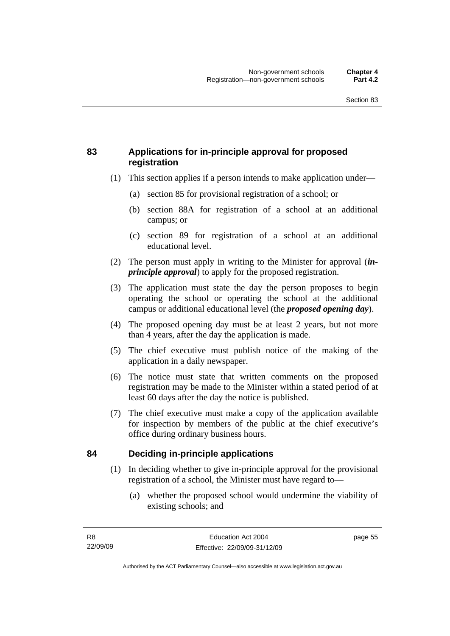### **83 Applications for in-principle approval for proposed registration**

- (1) This section applies if a person intends to make application under—
	- (a) section 85 for provisional registration of a school; or
	- (b) section 88A for registration of a school at an additional campus; or
	- (c) section 89 for registration of a school at an additional educational level.
- (2) The person must apply in writing to the Minister for approval (*inprinciple approval*) to apply for the proposed registration.
- (3) The application must state the day the person proposes to begin operating the school or operating the school at the additional campus or additional educational level (the *proposed opening day*).
- (4) The proposed opening day must be at least 2 years, but not more than 4 years, after the day the application is made.
- (5) The chief executive must publish notice of the making of the application in a daily newspaper.
- (6) The notice must state that written comments on the proposed registration may be made to the Minister within a stated period of at least 60 days after the day the notice is published.
- (7) The chief executive must make a copy of the application available for inspection by members of the public at the chief executive's office during ordinary business hours.

### **84 Deciding in-principle applications**

- (1) In deciding whether to give in-principle approval for the provisional registration of a school, the Minister must have regard to—
	- (a) whether the proposed school would undermine the viability of existing schools; and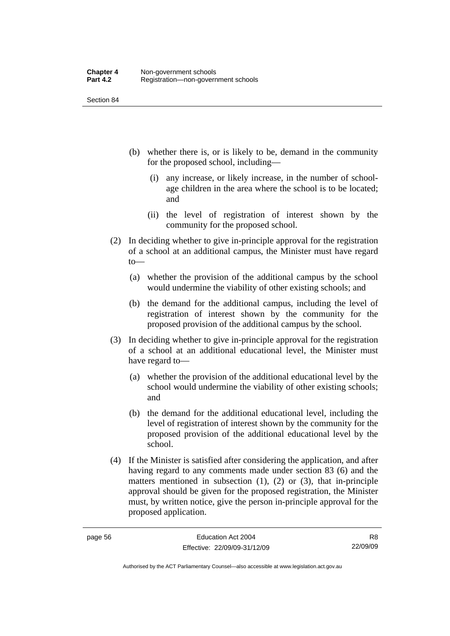Section 84

- (b) whether there is, or is likely to be, demand in the community for the proposed school, including—
	- (i) any increase, or likely increase, in the number of schoolage children in the area where the school is to be located; and
	- (ii) the level of registration of interest shown by the community for the proposed school.
- (2) In deciding whether to give in-principle approval for the registration of a school at an additional campus, the Minister must have regard to—
	- (a) whether the provision of the additional campus by the school would undermine the viability of other existing schools; and
	- (b) the demand for the additional campus, including the level of registration of interest shown by the community for the proposed provision of the additional campus by the school.
- (3) In deciding whether to give in-principle approval for the registration of a school at an additional educational level, the Minister must have regard to—
	- (a) whether the provision of the additional educational level by the school would undermine the viability of other existing schools; and
	- (b) the demand for the additional educational level, including the level of registration of interest shown by the community for the proposed provision of the additional educational level by the school.
- (4) If the Minister is satisfied after considering the application, and after having regard to any comments made under section 83 (6) and the matters mentioned in subsection  $(1)$ ,  $(2)$  or  $(3)$ , that in-principle approval should be given for the proposed registration, the Minister must, by written notice, give the person in-principle approval for the proposed application.

Authorised by the ACT Parliamentary Counsel—also accessible at www.legislation.act.gov.au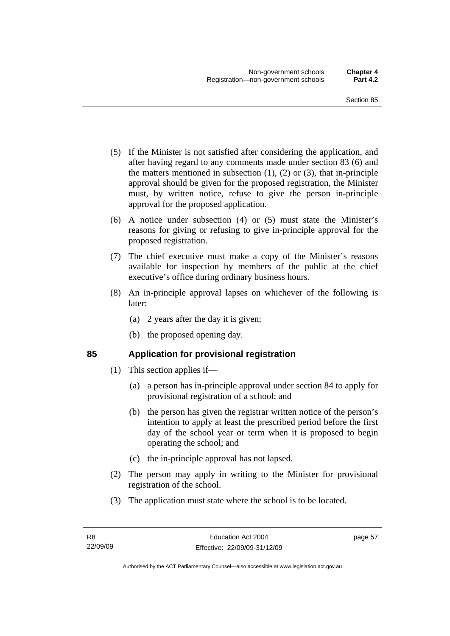- (5) If the Minister is not satisfied after considering the application, and after having regard to any comments made under section 83 (6) and the matters mentioned in subsection  $(1)$ ,  $(2)$  or  $(3)$ , that in-principle approval should be given for the proposed registration, the Minister must, by written notice, refuse to give the person in-principle approval for the proposed application.
- (6) A notice under subsection (4) or (5) must state the Minister's reasons for giving or refusing to give in-principle approval for the proposed registration.
- (7) The chief executive must make a copy of the Minister's reasons available for inspection by members of the public at the chief executive's office during ordinary business hours.
- (8) An in-principle approval lapses on whichever of the following is later:
	- (a) 2 years after the day it is given;
	- (b) the proposed opening day.

### **85 Application for provisional registration**

- (1) This section applies if—
	- (a) a person has in-principle approval under section 84 to apply for provisional registration of a school; and
	- (b) the person has given the registrar written notice of the person's intention to apply at least the prescribed period before the first day of the school year or term when it is proposed to begin operating the school; and
	- (c) the in-principle approval has not lapsed.
- (2) The person may apply in writing to the Minister for provisional registration of the school.
- (3) The application must state where the school is to be located.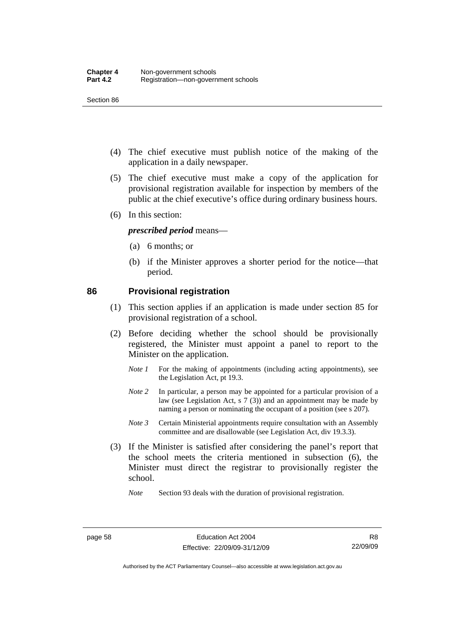Section 86

- (4) The chief executive must publish notice of the making of the application in a daily newspaper.
- (5) The chief executive must make a copy of the application for provisional registration available for inspection by members of the public at the chief executive's office during ordinary business hours.
- (6) In this section:

#### *prescribed period* means—

- (a) 6 months; or
- (b) if the Minister approves a shorter period for the notice—that period.

#### **86 Provisional registration**

- (1) This section applies if an application is made under section 85 for provisional registration of a school.
- (2) Before deciding whether the school should be provisionally registered, the Minister must appoint a panel to report to the Minister on the application.
	- *Note 1* For the making of appointments (including acting appointments), see the Legislation Act, pt 19.3.
	- *Note 2* In particular, a person may be appointed for a particular provision of a law (see Legislation Act, s 7 (3)) and an appointment may be made by naming a person or nominating the occupant of a position (see s 207).
	- *Note 3* Certain Ministerial appointments require consultation with an Assembly committee and are disallowable (see Legislation Act, div 19.3.3).
- (3) If the Minister is satisfied after considering the panel's report that the school meets the criteria mentioned in subsection (6), the Minister must direct the registrar to provisionally register the school.

*Note* Section 93 deals with the duration of provisional registration.

R8 22/09/09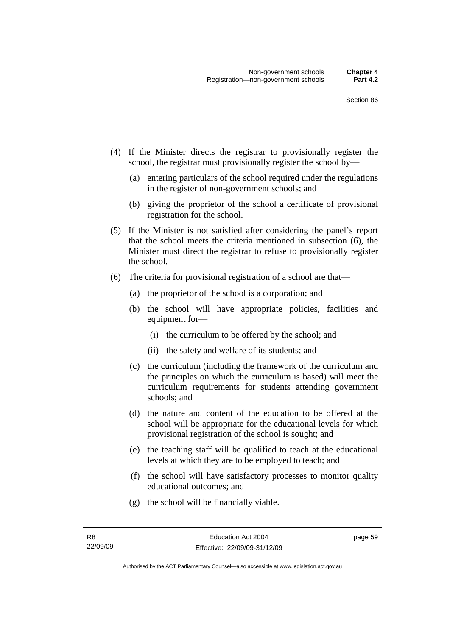- (4) If the Minister directs the registrar to provisionally register the school, the registrar must provisionally register the school by—
	- (a) entering particulars of the school required under the regulations in the register of non-government schools; and
	- (b) giving the proprietor of the school a certificate of provisional registration for the school.
- (5) If the Minister is not satisfied after considering the panel's report that the school meets the criteria mentioned in subsection (6), the Minister must direct the registrar to refuse to provisionally register the school.
- (6) The criteria for provisional registration of a school are that—
	- (a) the proprietor of the school is a corporation; and
	- (b) the school will have appropriate policies, facilities and equipment for—
		- (i) the curriculum to be offered by the school; and
		- (ii) the safety and welfare of its students; and
	- (c) the curriculum (including the framework of the curriculum and the principles on which the curriculum is based) will meet the curriculum requirements for students attending government schools; and
	- (d) the nature and content of the education to be offered at the school will be appropriate for the educational levels for which provisional registration of the school is sought; and
	- (e) the teaching staff will be qualified to teach at the educational levels at which they are to be employed to teach; and
	- (f) the school will have satisfactory processes to monitor quality educational outcomes; and
	- (g) the school will be financially viable.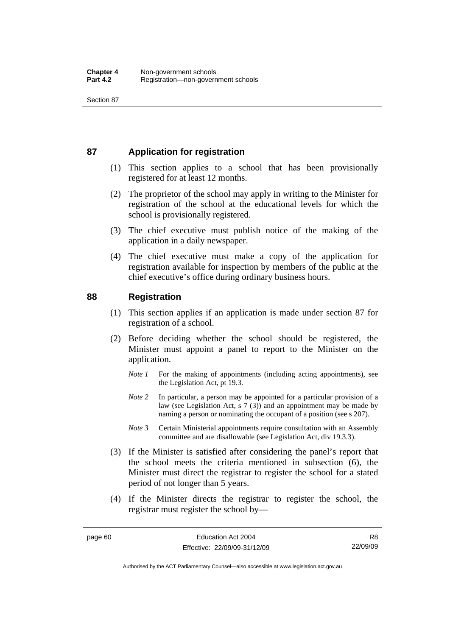### **87 Application for registration**

- (1) This section applies to a school that has been provisionally registered for at least 12 months.
- (2) The proprietor of the school may apply in writing to the Minister for registration of the school at the educational levels for which the school is provisionally registered.
- (3) The chief executive must publish notice of the making of the application in a daily newspaper.
- (4) The chief executive must make a copy of the application for registration available for inspection by members of the public at the chief executive's office during ordinary business hours.

#### **88 Registration**

- (1) This section applies if an application is made under section 87 for registration of a school.
- (2) Before deciding whether the school should be registered, the Minister must appoint a panel to report to the Minister on the application.
	- *Note 1* For the making of appointments (including acting appointments), see the Legislation Act, pt 19.3.
	- *Note* 2 In particular, a person may be appointed for a particular provision of a law (see Legislation Act, s 7 (3)) and an appointment may be made by naming a person or nominating the occupant of a position (see s 207).
	- *Note 3* Certain Ministerial appointments require consultation with an Assembly committee and are disallowable (see Legislation Act, div 19.3.3).
- (3) If the Minister is satisfied after considering the panel's report that the school meets the criteria mentioned in subsection (6), the Minister must direct the registrar to register the school for a stated period of not longer than 5 years.
- (4) If the Minister directs the registrar to register the school, the registrar must register the school by—

Authorised by the ACT Parliamentary Counsel—also accessible at www.legislation.act.gov.au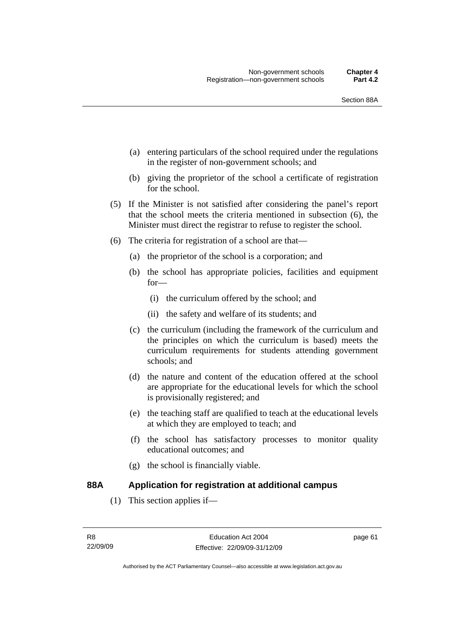- (a) entering particulars of the school required under the regulations in the register of non-government schools; and
- (b) giving the proprietor of the school a certificate of registration for the school.
- (5) If the Minister is not satisfied after considering the panel's report that the school meets the criteria mentioned in subsection (6), the Minister must direct the registrar to refuse to register the school.
- (6) The criteria for registration of a school are that—
	- (a) the proprietor of the school is a corporation; and
	- (b) the school has appropriate policies, facilities and equipment for—
		- (i) the curriculum offered by the school; and
		- (ii) the safety and welfare of its students; and
	- (c) the curriculum (including the framework of the curriculum and the principles on which the curriculum is based) meets the curriculum requirements for students attending government schools; and
	- (d) the nature and content of the education offered at the school are appropriate for the educational levels for which the school is provisionally registered; and
	- (e) the teaching staff are qualified to teach at the educational levels at which they are employed to teach; and
	- (f) the school has satisfactory processes to monitor quality educational outcomes; and
	- (g) the school is financially viable.

#### **88A Application for registration at additional campus**

(1) This section applies if—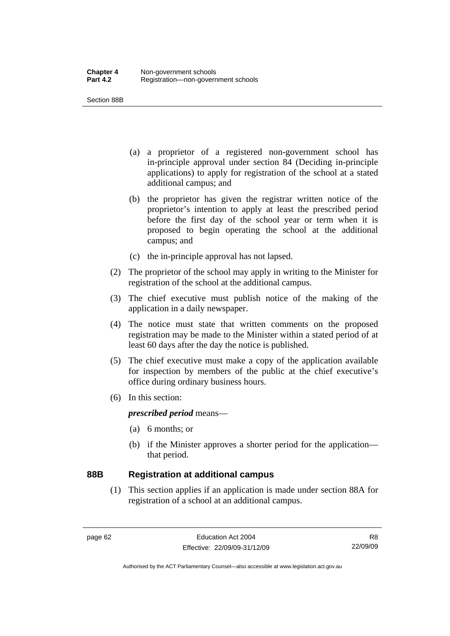Section 88B

- (a) a proprietor of a registered non-government school has in-principle approval under section 84 (Deciding in-principle applications) to apply for registration of the school at a stated additional campus; and
- (b) the proprietor has given the registrar written notice of the proprietor's intention to apply at least the prescribed period before the first day of the school year or term when it is proposed to begin operating the school at the additional campus; and
- (c) the in-principle approval has not lapsed.
- (2) The proprietor of the school may apply in writing to the Minister for registration of the school at the additional campus.
- (3) The chief executive must publish notice of the making of the application in a daily newspaper.
- (4) The notice must state that written comments on the proposed registration may be made to the Minister within a stated period of at least 60 days after the day the notice is published.
- (5) The chief executive must make a copy of the application available for inspection by members of the public at the chief executive's office during ordinary business hours.
- (6) In this section:

*prescribed period* means—

- (a) 6 months; or
- (b) if the Minister approves a shorter period for the application that period.

#### **88B Registration at additional campus**

 (1) This section applies if an application is made under section 88A for registration of a school at an additional campus.

R8 22/09/09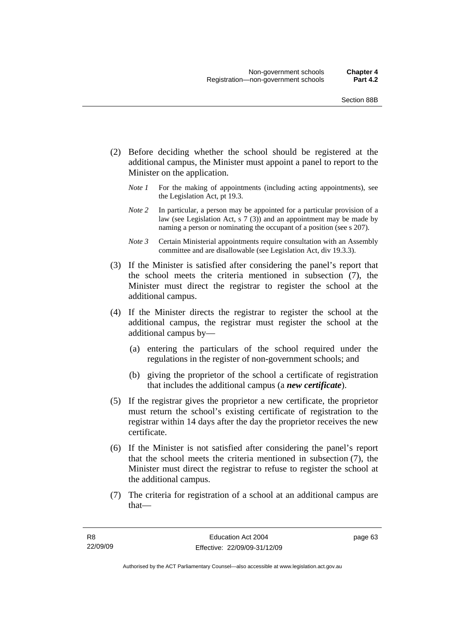- (2) Before deciding whether the school should be registered at the additional campus, the Minister must appoint a panel to report to the Minister on the application.
	- *Note 1* For the making of appointments (including acting appointments), see the Legislation Act, pt 19.3.
	- *Note 2* In particular, a person may be appointed for a particular provision of a law (see Legislation Act, s 7 (3)) and an appointment may be made by naming a person or nominating the occupant of a position (see s 207).
	- *Note 3* Certain Ministerial appointments require consultation with an Assembly committee and are disallowable (see Legislation Act, div 19.3.3).
- (3) If the Minister is satisfied after considering the panel's report that the school meets the criteria mentioned in subsection (7), the Minister must direct the registrar to register the school at the additional campus.
- (4) If the Minister directs the registrar to register the school at the additional campus, the registrar must register the school at the additional campus by—
	- (a) entering the particulars of the school required under the regulations in the register of non-government schools; and
	- (b) giving the proprietor of the school a certificate of registration that includes the additional campus (a *new certificate*).
- (5) If the registrar gives the proprietor a new certificate, the proprietor must return the school's existing certificate of registration to the registrar within 14 days after the day the proprietor receives the new certificate.
- (6) If the Minister is not satisfied after considering the panel's report that the school meets the criteria mentioned in subsection (7), the Minister must direct the registrar to refuse to register the school at the additional campus.
- (7) The criteria for registration of a school at an additional campus are that—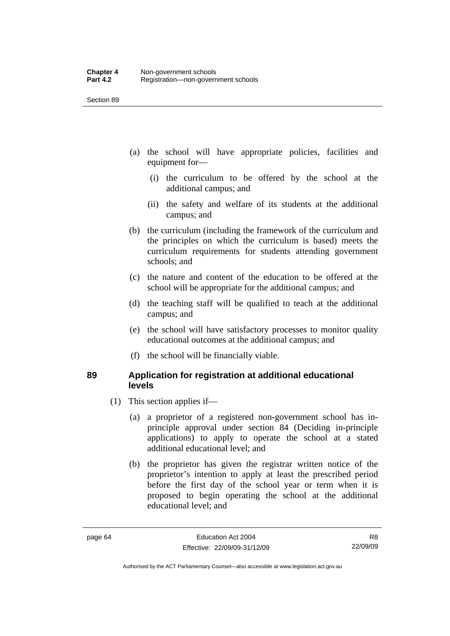- (a) the school will have appropriate policies, facilities and equipment for—
	- (i) the curriculum to be offered by the school at the additional campus; and
	- (ii) the safety and welfare of its students at the additional campus; and
- (b) the curriculum (including the framework of the curriculum and the principles on which the curriculum is based) meets the curriculum requirements for students attending government schools; and
- (c) the nature and content of the education to be offered at the school will be appropriate for the additional campus; and
- (d) the teaching staff will be qualified to teach at the additional campus; and
- (e) the school will have satisfactory processes to monitor quality educational outcomes at the additional campus; and
- (f) the school will be financially viable.

#### **89 Application for registration at additional educational levels**

- (1) This section applies if—
	- (a) a proprietor of a registered non-government school has inprinciple approval under section 84 (Deciding in-principle applications) to apply to operate the school at a stated additional educational level; and
	- (b) the proprietor has given the registrar written notice of the proprietor's intention to apply at least the prescribed period before the first day of the school year or term when it is proposed to begin operating the school at the additional educational level; and

R8 22/09/09

Authorised by the ACT Parliamentary Counsel—also accessible at www.legislation.act.gov.au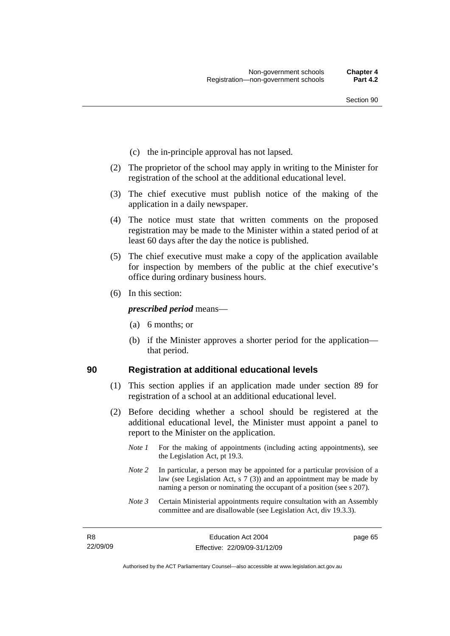- (c) the in-principle approval has not lapsed.
- (2) The proprietor of the school may apply in writing to the Minister for registration of the school at the additional educational level.
- (3) The chief executive must publish notice of the making of the application in a daily newspaper.
- (4) The notice must state that written comments on the proposed registration may be made to the Minister within a stated period of at least 60 days after the day the notice is published.
- (5) The chief executive must make a copy of the application available for inspection by members of the public at the chief executive's office during ordinary business hours.
- (6) In this section:

*prescribed period* means—

- (a) 6 months; or
- (b) if the Minister approves a shorter period for the application that period.

#### **90 Registration at additional educational levels**

- (1) This section applies if an application made under section 89 for registration of a school at an additional educational level.
- (2) Before deciding whether a school should be registered at the additional educational level, the Minister must appoint a panel to report to the Minister on the application.
	- *Note 1* For the making of appointments (including acting appointments), see the Legislation Act, pt 19.3.
	- *Note* 2 In particular, a person may be appointed for a particular provision of a law (see Legislation Act, s 7 (3)) and an appointment may be made by naming a person or nominating the occupant of a position (see s 207).
	- *Note 3* Certain Ministerial appointments require consultation with an Assembly committee and are disallowable (see Legislation Act, div 19.3.3).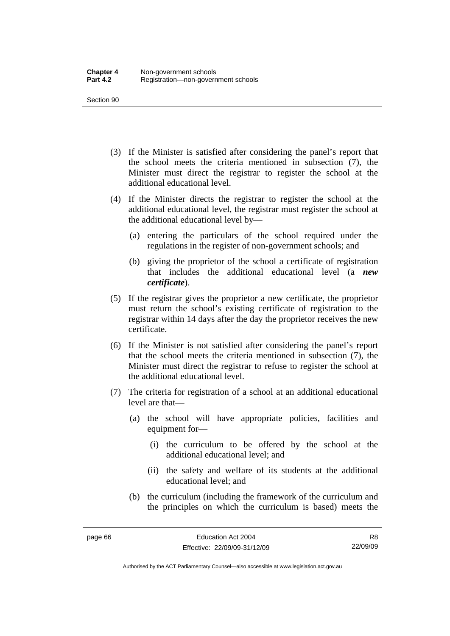- (3) If the Minister is satisfied after considering the panel's report that the school meets the criteria mentioned in subsection (7), the Minister must direct the registrar to register the school at the additional educational level.
- (4) If the Minister directs the registrar to register the school at the additional educational level, the registrar must register the school at the additional educational level by—
	- (a) entering the particulars of the school required under the regulations in the register of non-government schools; and
	- (b) giving the proprietor of the school a certificate of registration that includes the additional educational level (a *new certificate*).
- (5) If the registrar gives the proprietor a new certificate, the proprietor must return the school's existing certificate of registration to the registrar within 14 days after the day the proprietor receives the new certificate.
- (6) If the Minister is not satisfied after considering the panel's report that the school meets the criteria mentioned in subsection (7), the Minister must direct the registrar to refuse to register the school at the additional educational level.
- (7) The criteria for registration of a school at an additional educational level are that—
	- (a) the school will have appropriate policies, facilities and equipment for—
		- (i) the curriculum to be offered by the school at the additional educational level; and
		- (ii) the safety and welfare of its students at the additional educational level; and
	- (b) the curriculum (including the framework of the curriculum and the principles on which the curriculum is based) meets the

R8 22/09/09

Authorised by the ACT Parliamentary Counsel—also accessible at www.legislation.act.gov.au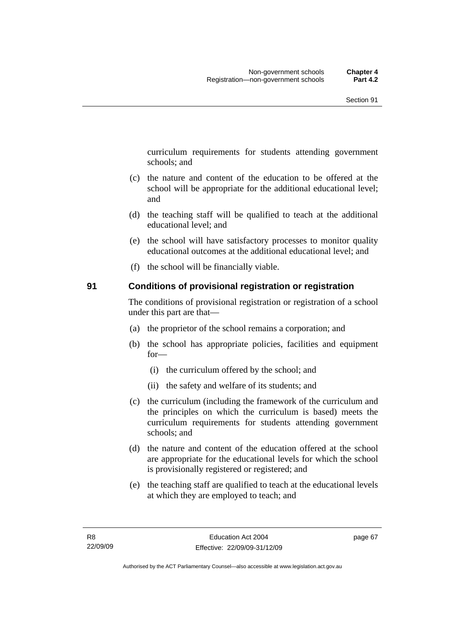curriculum requirements for students attending government schools; and

- (c) the nature and content of the education to be offered at the school will be appropriate for the additional educational level; and
- (d) the teaching staff will be qualified to teach at the additional educational level; and
- (e) the school will have satisfactory processes to monitor quality educational outcomes at the additional educational level; and
- (f) the school will be financially viable.

#### **91 Conditions of provisional registration or registration**

The conditions of provisional registration or registration of a school under this part are that—

- (a) the proprietor of the school remains a corporation; and
- (b) the school has appropriate policies, facilities and equipment for—
	- (i) the curriculum offered by the school; and
	- (ii) the safety and welfare of its students; and
- (c) the curriculum (including the framework of the curriculum and the principles on which the curriculum is based) meets the curriculum requirements for students attending government schools; and
- (d) the nature and content of the education offered at the school are appropriate for the educational levels for which the school is provisionally registered or registered; and
- (e) the teaching staff are qualified to teach at the educational levels at which they are employed to teach; and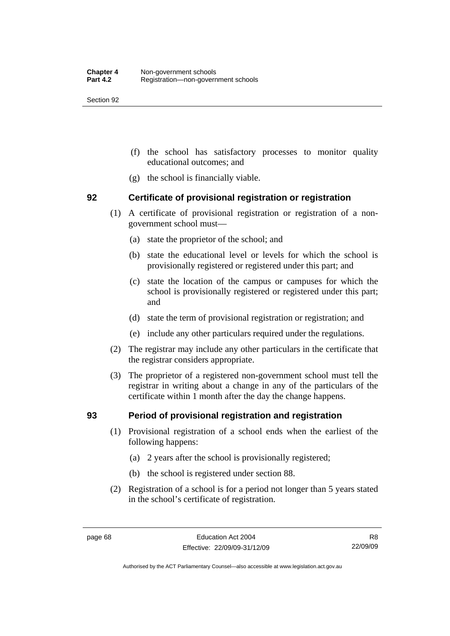- (f) the school has satisfactory processes to monitor quality educational outcomes; and
- (g) the school is financially viable.

#### **92 Certificate of provisional registration or registration**

- (1) A certificate of provisional registration or registration of a nongovernment school must—
	- (a) state the proprietor of the school; and
	- (b) state the educational level or levels for which the school is provisionally registered or registered under this part; and
	- (c) state the location of the campus or campuses for which the school is provisionally registered or registered under this part; and
	- (d) state the term of provisional registration or registration; and
	- (e) include any other particulars required under the regulations.
- (2) The registrar may include any other particulars in the certificate that the registrar considers appropriate.
- (3) The proprietor of a registered non-government school must tell the registrar in writing about a change in any of the particulars of the certificate within 1 month after the day the change happens.

#### **93 Period of provisional registration and registration**

- (1) Provisional registration of a school ends when the earliest of the following happens:
	- (a) 2 years after the school is provisionally registered;
	- (b) the school is registered under section 88.
- (2) Registration of a school is for a period not longer than 5 years stated in the school's certificate of registration.

R8 22/09/09

Authorised by the ACT Parliamentary Counsel—also accessible at www.legislation.act.gov.au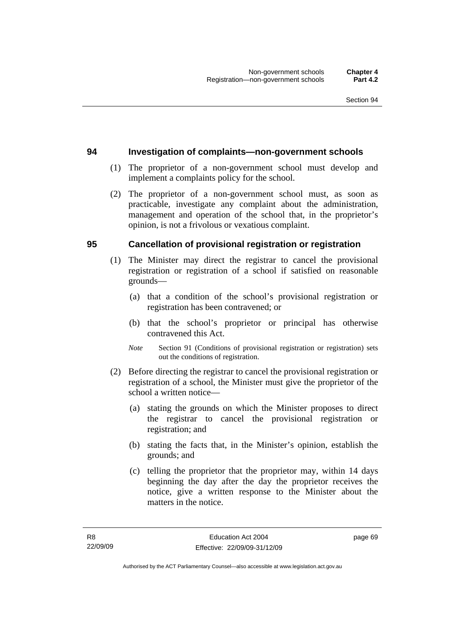#### **94 Investigation of complaints—non-government schools**

- (1) The proprietor of a non-government school must develop and implement a complaints policy for the school.
- (2) The proprietor of a non-government school must, as soon as practicable, investigate any complaint about the administration, management and operation of the school that, in the proprietor's opinion, is not a frivolous or vexatious complaint.

#### **95 Cancellation of provisional registration or registration**

- (1) The Minister may direct the registrar to cancel the provisional registration or registration of a school if satisfied on reasonable grounds—
	- (a) that a condition of the school's provisional registration or registration has been contravened; or
	- (b) that the school's proprietor or principal has otherwise contravened this Act.
	- *Note* Section 91 (Conditions of provisional registration or registration) sets out the conditions of registration.
- (2) Before directing the registrar to cancel the provisional registration or registration of a school, the Minister must give the proprietor of the school a written notice—
	- (a) stating the grounds on which the Minister proposes to direct the registrar to cancel the provisional registration or registration; and
	- (b) stating the facts that, in the Minister's opinion, establish the grounds; and
	- (c) telling the proprietor that the proprietor may, within 14 days beginning the day after the day the proprietor receives the notice, give a written response to the Minister about the matters in the notice.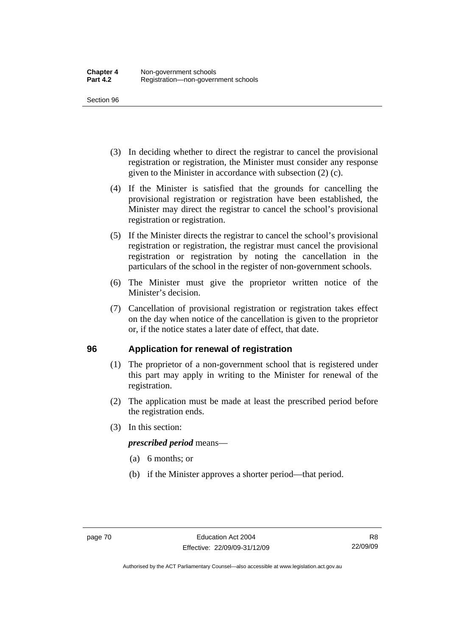- (3) In deciding whether to direct the registrar to cancel the provisional registration or registration, the Minister must consider any response given to the Minister in accordance with subsection (2) (c).
- (4) If the Minister is satisfied that the grounds for cancelling the provisional registration or registration have been established, the Minister may direct the registrar to cancel the school's provisional registration or registration.
- (5) If the Minister directs the registrar to cancel the school's provisional registration or registration, the registrar must cancel the provisional registration or registration by noting the cancellation in the particulars of the school in the register of non-government schools.
- (6) The Minister must give the proprietor written notice of the Minister's decision.
- (7) Cancellation of provisional registration or registration takes effect on the day when notice of the cancellation is given to the proprietor or, if the notice states a later date of effect, that date.

#### **96 Application for renewal of registration**

- (1) The proprietor of a non-government school that is registered under this part may apply in writing to the Minister for renewal of the registration.
- (2) The application must be made at least the prescribed period before the registration ends.
- (3) In this section:

#### *prescribed period* means—

- (a) 6 months; or
- (b) if the Minister approves a shorter period—that period.

Authorised by the ACT Parliamentary Counsel—also accessible at www.legislation.act.gov.au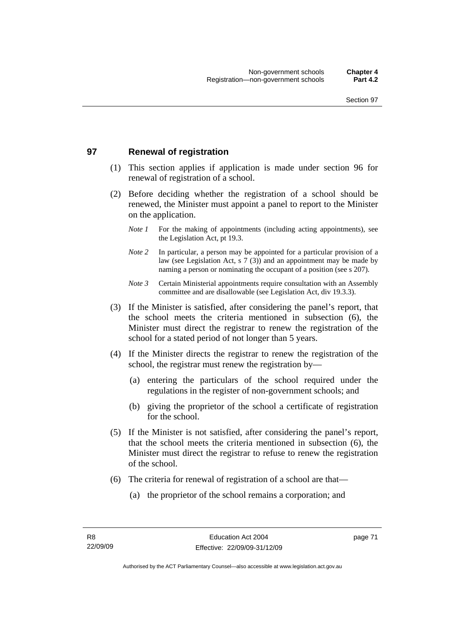#### **97 Renewal of registration**

- (1) This section applies if application is made under section 96 for renewal of registration of a school.
- (2) Before deciding whether the registration of a school should be renewed, the Minister must appoint a panel to report to the Minister on the application.
	- *Note 1* For the making of appointments (including acting appointments), see the Legislation Act, pt 19.3.
	- *Note 2* In particular, a person may be appointed for a particular provision of a law (see Legislation Act, s 7 (3)) and an appointment may be made by naming a person or nominating the occupant of a position (see s 207).
	- *Note 3* Certain Ministerial appointments require consultation with an Assembly committee and are disallowable (see Legislation Act, div 19.3.3).
- (3) If the Minister is satisfied, after considering the panel's report, that the school meets the criteria mentioned in subsection (6), the Minister must direct the registrar to renew the registration of the school for a stated period of not longer than 5 years.
- (4) If the Minister directs the registrar to renew the registration of the school, the registrar must renew the registration by—
	- (a) entering the particulars of the school required under the regulations in the register of non-government schools; and
	- (b) giving the proprietor of the school a certificate of registration for the school.
- (5) If the Minister is not satisfied, after considering the panel's report, that the school meets the criteria mentioned in subsection (6), the Minister must direct the registrar to refuse to renew the registration of the school.
- (6) The criteria for renewal of registration of a school are that—
	- (a) the proprietor of the school remains a corporation; and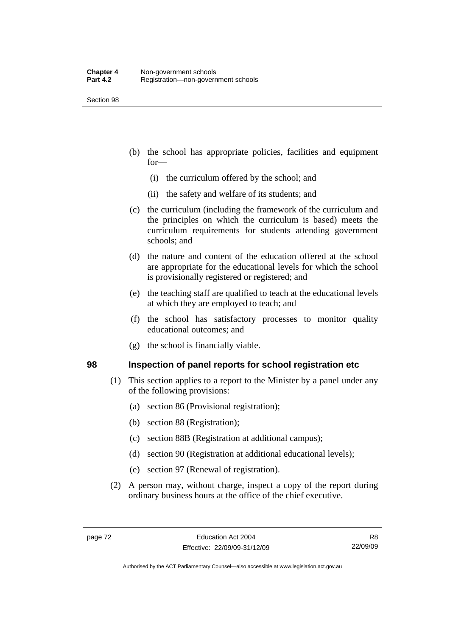- (b) the school has appropriate policies, facilities and equipment for—
	- (i) the curriculum offered by the school; and
	- (ii) the safety and welfare of its students; and
- (c) the curriculum (including the framework of the curriculum and the principles on which the curriculum is based) meets the curriculum requirements for students attending government schools; and
- (d) the nature and content of the education offered at the school are appropriate for the educational levels for which the school is provisionally registered or registered; and
- (e) the teaching staff are qualified to teach at the educational levels at which they are employed to teach; and
- (f) the school has satisfactory processes to monitor quality educational outcomes; and
- (g) the school is financially viable.

#### **98 Inspection of panel reports for school registration etc**

- (1) This section applies to a report to the Minister by a panel under any of the following provisions:
	- (a) section 86 (Provisional registration);
	- (b) section 88 (Registration);
	- (c) section 88B (Registration at additional campus);
	- (d) section 90 (Registration at additional educational levels);
	- (e) section 97 (Renewal of registration).
- (2) A person may, without charge, inspect a copy of the report during ordinary business hours at the office of the chief executive.

Authorised by the ACT Parliamentary Counsel—also accessible at www.legislation.act.gov.au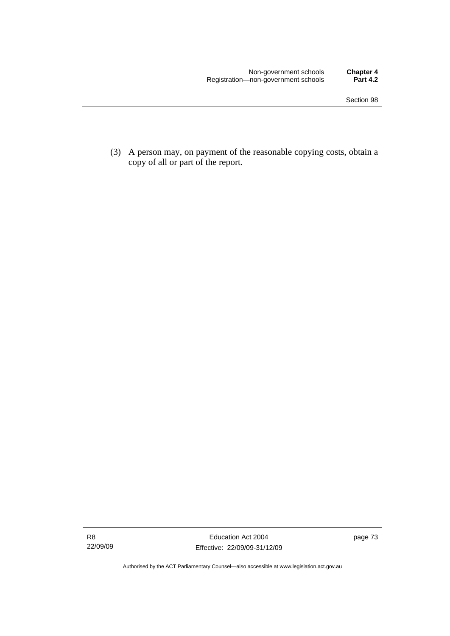(3) A person may, on payment of the reasonable copying costs, obtain a copy of all or part of the report.

Authorised by the ACT Parliamentary Counsel—also accessible at www.legislation.act.gov.au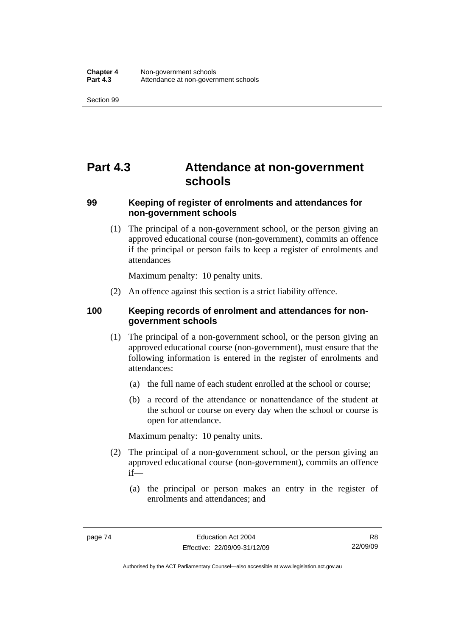## **Part 4.3 Attendance at non-government schools**

#### **99 Keeping of register of enrolments and attendances for non-government schools**

 (1) The principal of a non-government school, or the person giving an approved educational course (non-government), commits an offence if the principal or person fails to keep a register of enrolments and attendances

Maximum penalty: 10 penalty units.

(2) An offence against this section is a strict liability offence.

#### **100 Keeping records of enrolment and attendances for nongovernment schools**

- (1) The principal of a non-government school, or the person giving an approved educational course (non-government), must ensure that the following information is entered in the register of enrolments and attendances:
	- (a) the full name of each student enrolled at the school or course;
	- (b) a record of the attendance or nonattendance of the student at the school or course on every day when the school or course is open for attendance.

Maximum penalty: 10 penalty units.

- (2) The principal of a non-government school, or the person giving an approved educational course (non-government), commits an offence if—
	- (a) the principal or person makes an entry in the register of enrolments and attendances; and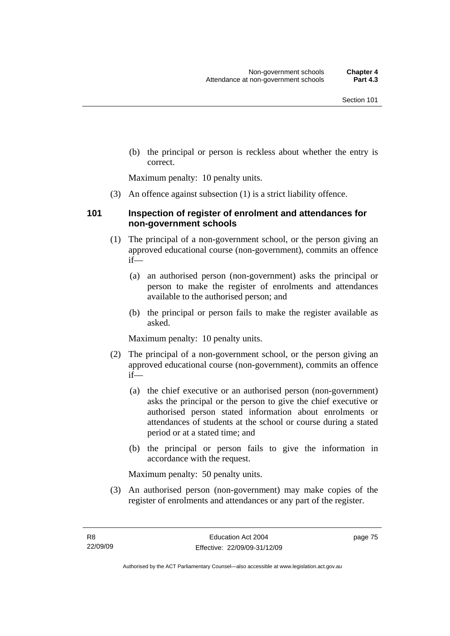(b) the principal or person is reckless about whether the entry is correct.

Maximum penalty: 10 penalty units.

(3) An offence against subsection (1) is a strict liability offence.

#### **101 Inspection of register of enrolment and attendances for non-government schools**

- (1) The principal of a non-government school, or the person giving an approved educational course (non-government), commits an offence if—
	- (a) an authorised person (non-government) asks the principal or person to make the register of enrolments and attendances available to the authorised person; and
	- (b) the principal or person fails to make the register available as asked.

Maximum penalty: 10 penalty units.

- (2) The principal of a non-government school, or the person giving an approved educational course (non-government), commits an offence if—
	- (a) the chief executive or an authorised person (non-government) asks the principal or the person to give the chief executive or authorised person stated information about enrolments or attendances of students at the school or course during a stated period or at a stated time; and
	- (b) the principal or person fails to give the information in accordance with the request.

Maximum penalty: 50 penalty units.

 (3) An authorised person (non-government) may make copies of the register of enrolments and attendances or any part of the register.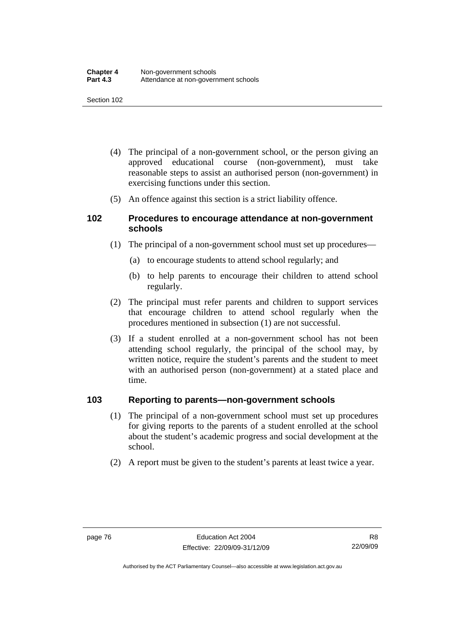- (4) The principal of a non-government school, or the person giving an approved educational course (non-government), must take reasonable steps to assist an authorised person (non-government) in exercising functions under this section.
- (5) An offence against this section is a strict liability offence.

#### **102 Procedures to encourage attendance at non-government schools**

- (1) The principal of a non-government school must set up procedures—
	- (a) to encourage students to attend school regularly; and
	- (b) to help parents to encourage their children to attend school regularly.
- (2) The principal must refer parents and children to support services that encourage children to attend school regularly when the procedures mentioned in subsection (1) are not successful.
- (3) If a student enrolled at a non-government school has not been attending school regularly, the principal of the school may, by written notice, require the student's parents and the student to meet with an authorised person (non-government) at a stated place and time.

#### **103 Reporting to parents—non-government schools**

- (1) The principal of a non-government school must set up procedures for giving reports to the parents of a student enrolled at the school about the student's academic progress and social development at the school.
- (2) A report must be given to the student's parents at least twice a year.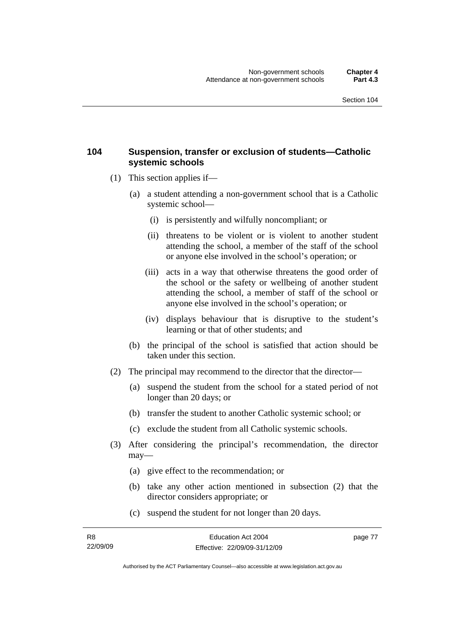#### **104 Suspension, transfer or exclusion of students—Catholic systemic schools**

- (1) This section applies if—
	- (a) a student attending a non-government school that is a Catholic systemic school—
		- (i) is persistently and wilfully noncompliant; or
		- (ii) threatens to be violent or is violent to another student attending the school, a member of the staff of the school or anyone else involved in the school's operation; or
		- (iii) acts in a way that otherwise threatens the good order of the school or the safety or wellbeing of another student attending the school, a member of staff of the school or anyone else involved in the school's operation; or
		- (iv) displays behaviour that is disruptive to the student's learning or that of other students; and
	- (b) the principal of the school is satisfied that action should be taken under this section.
- (2) The principal may recommend to the director that the director—
	- (a) suspend the student from the school for a stated period of not longer than 20 days; or
	- (b) transfer the student to another Catholic systemic school; or
	- (c) exclude the student from all Catholic systemic schools.
- (3) After considering the principal's recommendation, the director may—
	- (a) give effect to the recommendation; or
	- (b) take any other action mentioned in subsection (2) that the director considers appropriate; or
	- (c) suspend the student for not longer than 20 days.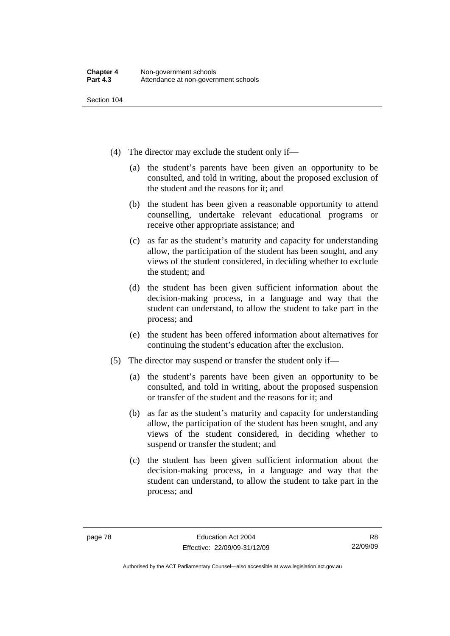- (4) The director may exclude the student only if—
	- (a) the student's parents have been given an opportunity to be consulted, and told in writing, about the proposed exclusion of the student and the reasons for it; and
	- (b) the student has been given a reasonable opportunity to attend counselling, undertake relevant educational programs or receive other appropriate assistance; and
	- (c) as far as the student's maturity and capacity for understanding allow, the participation of the student has been sought, and any views of the student considered, in deciding whether to exclude the student; and
	- (d) the student has been given sufficient information about the decision-making process, in a language and way that the student can understand, to allow the student to take part in the process; and
	- (e) the student has been offered information about alternatives for continuing the student's education after the exclusion.
- (5) The director may suspend or transfer the student only if—
	- (a) the student's parents have been given an opportunity to be consulted, and told in writing, about the proposed suspension or transfer of the student and the reasons for it; and
	- (b) as far as the student's maturity and capacity for understanding allow, the participation of the student has been sought, and any views of the student considered, in deciding whether to suspend or transfer the student; and
	- (c) the student has been given sufficient information about the decision-making process, in a language and way that the student can understand, to allow the student to take part in the process; and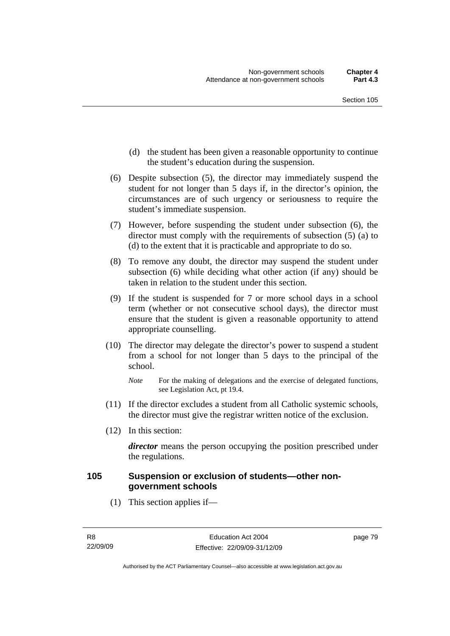- (d) the student has been given a reasonable opportunity to continue the student's education during the suspension.
- (6) Despite subsection (5), the director may immediately suspend the student for not longer than 5 days if, in the director's opinion, the circumstances are of such urgency or seriousness to require the student's immediate suspension.
- (7) However, before suspending the student under subsection (6), the director must comply with the requirements of subsection (5) (a) to (d) to the extent that it is practicable and appropriate to do so.
- (8) To remove any doubt, the director may suspend the student under subsection (6) while deciding what other action (if any) should be taken in relation to the student under this section.
- (9) If the student is suspended for 7 or more school days in a school term (whether or not consecutive school days), the director must ensure that the student is given a reasonable opportunity to attend appropriate counselling.
- (10) The director may delegate the director's power to suspend a student from a school for not longer than 5 days to the principal of the school.

- (11) If the director excludes a student from all Catholic systemic schools, the director must give the registrar written notice of the exclusion.
- (12) In this section:

*director* means the person occupying the position prescribed under the regulations.

#### **105 Suspension or exclusion of students—other nongovernment schools**

(1) This section applies if—

*Note* For the making of delegations and the exercise of delegated functions, see Legislation Act, pt 19.4.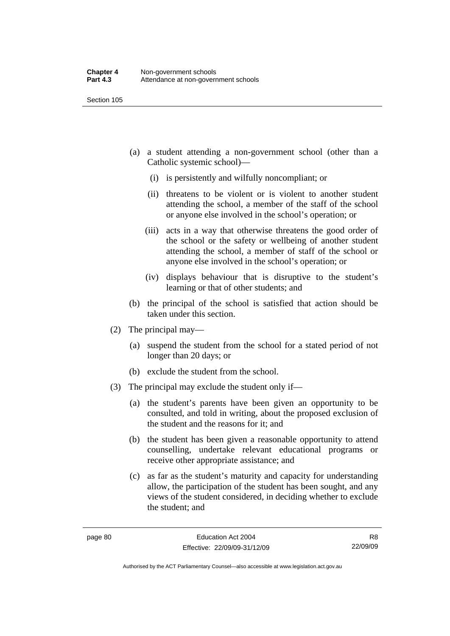- (a) a student attending a non-government school (other than a Catholic systemic school)—
	- (i) is persistently and wilfully noncompliant; or
	- (ii) threatens to be violent or is violent to another student attending the school, a member of the staff of the school or anyone else involved in the school's operation; or
	- (iii) acts in a way that otherwise threatens the good order of the school or the safety or wellbeing of another student attending the school, a member of staff of the school or anyone else involved in the school's operation; or
	- (iv) displays behaviour that is disruptive to the student's learning or that of other students; and
- (b) the principal of the school is satisfied that action should be taken under this section.
- (2) The principal may—
	- (a) suspend the student from the school for a stated period of not longer than 20 days; or
	- (b) exclude the student from the school.
- (3) The principal may exclude the student only if—
	- (a) the student's parents have been given an opportunity to be consulted, and told in writing, about the proposed exclusion of the student and the reasons for it; and
	- (b) the student has been given a reasonable opportunity to attend counselling, undertake relevant educational programs or receive other appropriate assistance; and
	- (c) as far as the student's maturity and capacity for understanding allow, the participation of the student has been sought, and any views of the student considered, in deciding whether to exclude the student; and

R8 22/09/09

Authorised by the ACT Parliamentary Counsel—also accessible at www.legislation.act.gov.au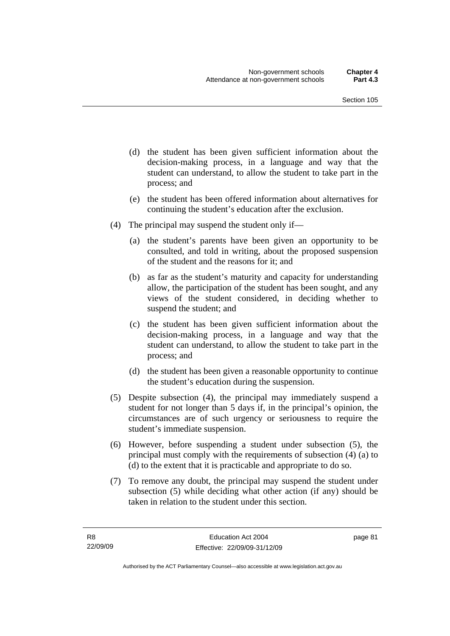- (d) the student has been given sufficient information about the decision-making process, in a language and way that the student can understand, to allow the student to take part in the process; and
- (e) the student has been offered information about alternatives for continuing the student's education after the exclusion.
- (4) The principal may suspend the student only if—
	- (a) the student's parents have been given an opportunity to be consulted, and told in writing, about the proposed suspension of the student and the reasons for it; and
	- (b) as far as the student's maturity and capacity for understanding allow, the participation of the student has been sought, and any views of the student considered, in deciding whether to suspend the student; and
	- (c) the student has been given sufficient information about the decision-making process, in a language and way that the student can understand, to allow the student to take part in the process; and
	- (d) the student has been given a reasonable opportunity to continue the student's education during the suspension.
- (5) Despite subsection (4), the principal may immediately suspend a student for not longer than 5 days if, in the principal's opinion, the circumstances are of such urgency or seriousness to require the student's immediate suspension.
- (6) However, before suspending a student under subsection (5), the principal must comply with the requirements of subsection (4) (a) to (d) to the extent that it is practicable and appropriate to do so.
- (7) To remove any doubt, the principal may suspend the student under subsection (5) while deciding what other action (if any) should be taken in relation to the student under this section.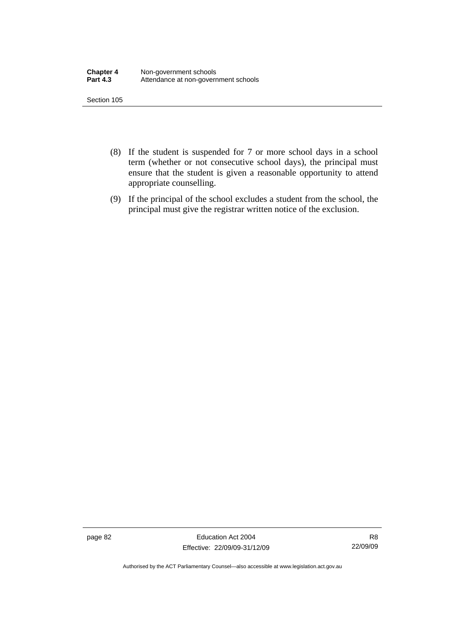- (8) If the student is suspended for 7 or more school days in a school term (whether or not consecutive school days), the principal must ensure that the student is given a reasonable opportunity to attend appropriate counselling.
- (9) If the principal of the school excludes a student from the school, the principal must give the registrar written notice of the exclusion.

page 82 Education Act 2004 Effective: 22/09/09-31/12/09

R8 22/09/09

Authorised by the ACT Parliamentary Counsel—also accessible at www.legislation.act.gov.au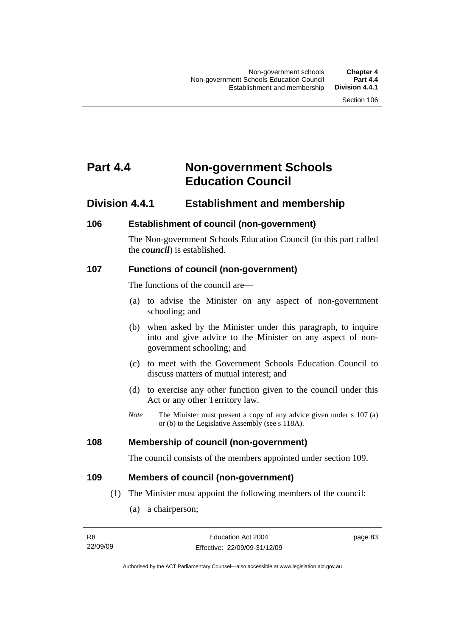## **Part 4.4 Non-government Schools Education Council**

### **Division 4.4.1 Establishment and membership**

#### **106 Establishment of council (non-government)**

The Non-government Schools Education Council (in this part called the *council*) is established.

#### **107 Functions of council (non-government)**

The functions of the council are—

- (a) to advise the Minister on any aspect of non-government schooling; and
- (b) when asked by the Minister under this paragraph, to inquire into and give advice to the Minister on any aspect of nongovernment schooling; and
- (c) to meet with the Government Schools Education Council to discuss matters of mutual interest; and
- (d) to exercise any other function given to the council under this Act or any other Territory law.
- *Note* The Minister must present a copy of any advice given under s 107 (a) or (b) to the Legislative Assembly (see s 118A).

#### **108 Membership of council (non-government)**

The council consists of the members appointed under section 109.

#### **109 Members of council (non-government)**

- (1) The Minister must appoint the following members of the council:
	- (a) a chairperson;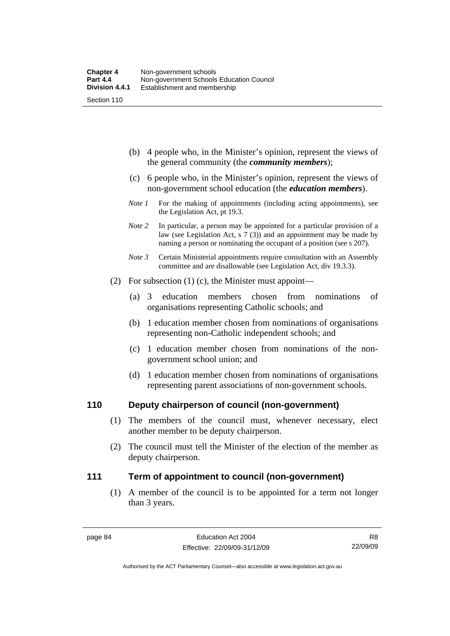- (b) 4 people who, in the Minister's opinion, represent the views of the general community (the *community members*);
- (c) 6 people who, in the Minister's opinion, represent the views of non-government school education (the *education members*).
- *Note 1* For the making of appointments (including acting appointments), see the Legislation Act, pt 19.3.
- *Note* 2 In particular, a person may be appointed for a particular provision of a law (see Legislation Act, s 7 (3)) and an appointment may be made by naming a person or nominating the occupant of a position (see s 207).
- *Note 3* Certain Ministerial appointments require consultation with an Assembly committee and are disallowable (see Legislation Act, div 19.3.3).
- (2) For subsection (1) (c), the Minister must appoint—
	- (a) 3 education members chosen from nominations of organisations representing Catholic schools; and
	- (b) 1 education member chosen from nominations of organisations representing non-Catholic independent schools; and
	- (c) 1 education member chosen from nominations of the nongovernment school union; and
	- (d) 1 education member chosen from nominations of organisations representing parent associations of non-government schools.

#### **110 Deputy chairperson of council (non-government)**

- (1) The members of the council must, whenever necessary, elect another member to be deputy chairperson.
- (2) The council must tell the Minister of the election of the member as deputy chairperson.

#### **111 Term of appointment to council (non-government)**

 (1) A member of the council is to be appointed for a term not longer than 3 years.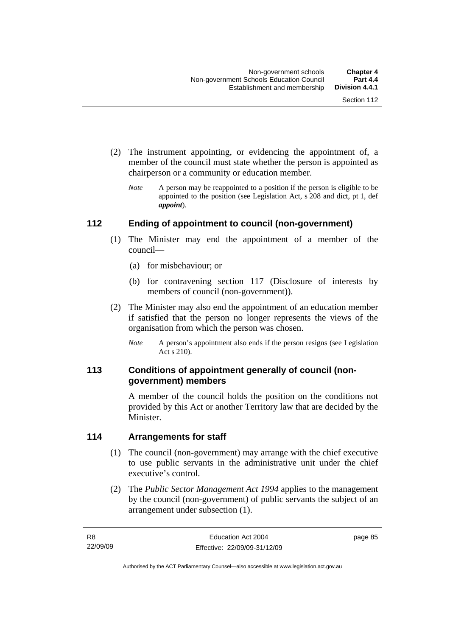- (2) The instrument appointing, or evidencing the appointment of, a member of the council must state whether the person is appointed as chairperson or a community or education member.
	- *Note* A person may be reappointed to a position if the person is eligible to be appointed to the position (see Legislation Act, s 208 and dict, pt 1, def *appoint*).

#### **112 Ending of appointment to council (non-government)**

- (1) The Minister may end the appointment of a member of the council—
	- (a) for misbehaviour; or
	- (b) for contravening section 117 (Disclosure of interests by members of council (non-government)).
- (2) The Minister may also end the appointment of an education member if satisfied that the person no longer represents the views of the organisation from which the person was chosen.
	- *Note* A person's appointment also ends if the person resigns (see Legislation Act s 210).

#### **113 Conditions of appointment generally of council (nongovernment) members**

A member of the council holds the position on the conditions not provided by this Act or another Territory law that are decided by the Minister.

#### **114 Arrangements for staff**

- (1) The council (non-government) may arrange with the chief executive to use public servants in the administrative unit under the chief executive's control.
- (2) The *Public Sector Management Act 1994* applies to the management by the council (non-government) of public servants the subject of an arrangement under subsection (1).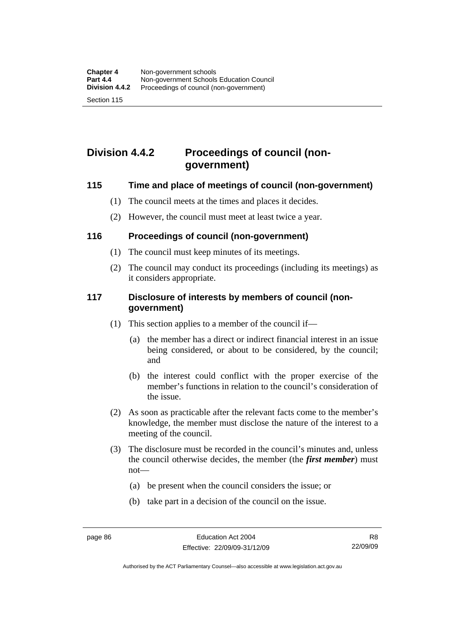## **Division 4.4.2 Proceedings of council (nongovernment)**

#### **115 Time and place of meetings of council (non-government)**

- (1) The council meets at the times and places it decides.
- (2) However, the council must meet at least twice a year.

#### **116 Proceedings of council (non-government)**

- (1) The council must keep minutes of its meetings.
- (2) The council may conduct its proceedings (including its meetings) as it considers appropriate.

#### **117 Disclosure of interests by members of council (nongovernment)**

- (1) This section applies to a member of the council if—
	- (a) the member has a direct or indirect financial interest in an issue being considered, or about to be considered, by the council; and
	- (b) the interest could conflict with the proper exercise of the member's functions in relation to the council's consideration of the issue.
- (2) As soon as practicable after the relevant facts come to the member's knowledge, the member must disclose the nature of the interest to a meeting of the council.
- (3) The disclosure must be recorded in the council's minutes and, unless the council otherwise decides, the member (the *first member*) must not—
	- (a) be present when the council considers the issue; or
	- (b) take part in a decision of the council on the issue.

Authorised by the ACT Parliamentary Counsel—also accessible at www.legislation.act.gov.au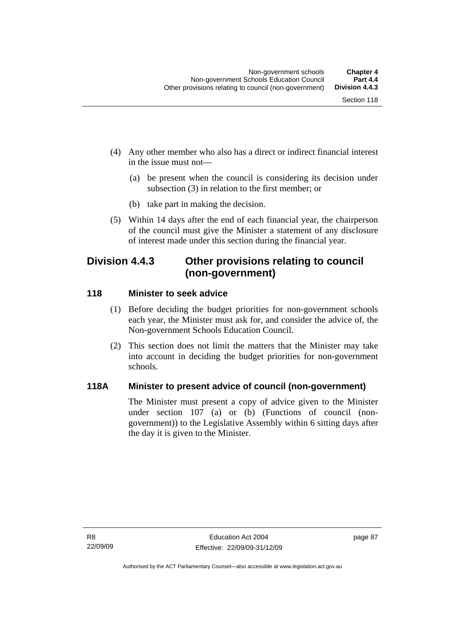- (4) Any other member who also has a direct or indirect financial interest in the issue must not—
	- (a) be present when the council is considering its decision under subsection (3) in relation to the first member; or
	- (b) take part in making the decision.
- (5) Within 14 days after the end of each financial year, the chairperson of the council must give the Minister a statement of any disclosure of interest made under this section during the financial year.

## **Division 4.4.3 Other provisions relating to council (non-government)**

#### **118 Minister to seek advice**

- (1) Before deciding the budget priorities for non-government schools each year, the Minister must ask for, and consider the advice of, the Non-government Schools Education Council.
- (2) This section does not limit the matters that the Minister may take into account in deciding the budget priorities for non-government schools.

#### **118A Minister to present advice of council (non-government)**

The Minister must present a copy of advice given to the Minister under section 107 (a) or (b) (Functions of council (nongovernment)) to the Legislative Assembly within 6 sitting days after the day it is given to the Minister.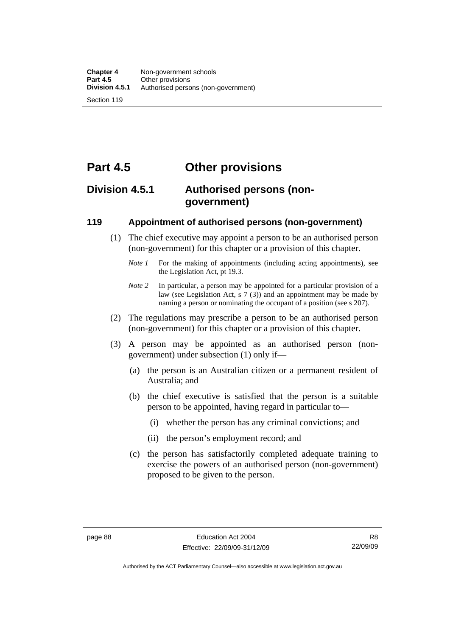# **Part 4.5 Other provisions**

## **Division 4.5.1 Authorised persons (nongovernment)**

#### **119 Appointment of authorised persons (non-government)**

- (1) The chief executive may appoint a person to be an authorised person (non-government) for this chapter or a provision of this chapter.
	- *Note 1* For the making of appointments (including acting appointments), see the Legislation Act, pt 19.3.
	- *Note 2* In particular, a person may be appointed for a particular provision of a law (see Legislation Act, s 7 (3)) and an appointment may be made by naming a person or nominating the occupant of a position (see s 207).
- (2) The regulations may prescribe a person to be an authorised person (non-government) for this chapter or a provision of this chapter.
- (3) A person may be appointed as an authorised person (nongovernment) under subsection (1) only if—
	- (a) the person is an Australian citizen or a permanent resident of Australia; and
	- (b) the chief executive is satisfied that the person is a suitable person to be appointed, having regard in particular to—
		- (i) whether the person has any criminal convictions; and
		- (ii) the person's employment record; and
	- (c) the person has satisfactorily completed adequate training to exercise the powers of an authorised person (non-government) proposed to be given to the person.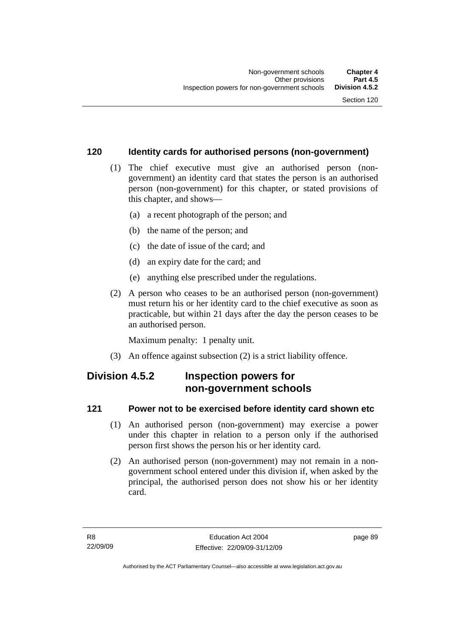#### **120 Identity cards for authorised persons (non-government)**

- (1) The chief executive must give an authorised person (nongovernment) an identity card that states the person is an authorised person (non-government) for this chapter, or stated provisions of this chapter, and shows—
	- (a) a recent photograph of the person; and
	- (b) the name of the person; and
	- (c) the date of issue of the card; and
	- (d) an expiry date for the card; and
	- (e) anything else prescribed under the regulations.
- (2) A person who ceases to be an authorised person (non-government) must return his or her identity card to the chief executive as soon as practicable, but within 21 days after the day the person ceases to be an authorised person.

Maximum penalty: 1 penalty unit.

(3) An offence against subsection (2) is a strict liability offence.

## **Division 4.5.2 Inspection powers for non-government schools**

#### **121 Power not to be exercised before identity card shown etc**

- (1) An authorised person (non-government) may exercise a power under this chapter in relation to a person only if the authorised person first shows the person his or her identity card.
- (2) An authorised person (non-government) may not remain in a nongovernment school entered under this division if, when asked by the principal, the authorised person does not show his or her identity card.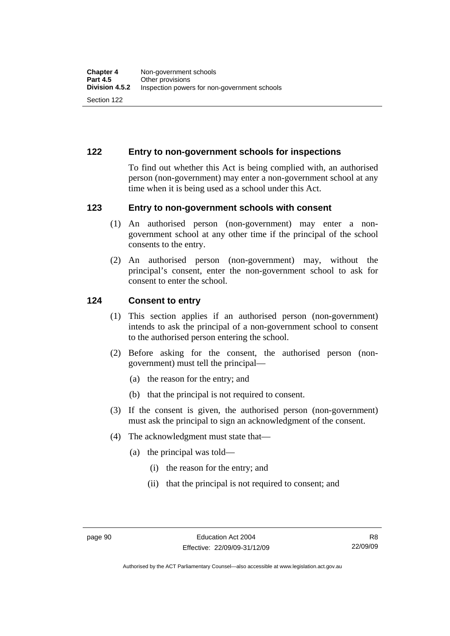#### **122 Entry to non-government schools for inspections**

To find out whether this Act is being complied with, an authorised person (non-government) may enter a non-government school at any time when it is being used as a school under this Act.

#### **123 Entry to non-government schools with consent**

- (1) An authorised person (non-government) may enter a nongovernment school at any other time if the principal of the school consents to the entry.
- (2) An authorised person (non-government) may, without the principal's consent, enter the non-government school to ask for consent to enter the school.

#### **124 Consent to entry**

- (1) This section applies if an authorised person (non-government) intends to ask the principal of a non-government school to consent to the authorised person entering the school.
- (2) Before asking for the consent, the authorised person (nongovernment) must tell the principal—
	- (a) the reason for the entry; and
	- (b) that the principal is not required to consent.
- (3) If the consent is given, the authorised person (non-government) must ask the principal to sign an acknowledgment of the consent.
- (4) The acknowledgment must state that—
	- (a) the principal was told—
		- (i) the reason for the entry; and
		- (ii) that the principal is not required to consent; and

R8 22/09/09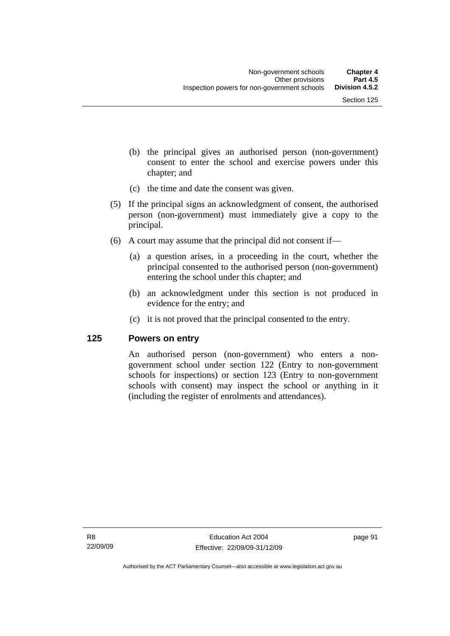- (b) the principal gives an authorised person (non-government) consent to enter the school and exercise powers under this chapter; and
- (c) the time and date the consent was given.
- (5) If the principal signs an acknowledgment of consent, the authorised person (non-government) must immediately give a copy to the principal.
- (6) A court may assume that the principal did not consent if—
	- (a) a question arises, in a proceeding in the court, whether the principal consented to the authorised person (non-government) entering the school under this chapter; and
	- (b) an acknowledgment under this section is not produced in evidence for the entry; and
	- (c) it is not proved that the principal consented to the entry.

#### **125 Powers on entry**

An authorised person (non-government) who enters a nongovernment school under section 122 (Entry to non-government schools for inspections) or section 123 (Entry to non-government schools with consent) may inspect the school or anything in it (including the register of enrolments and attendances).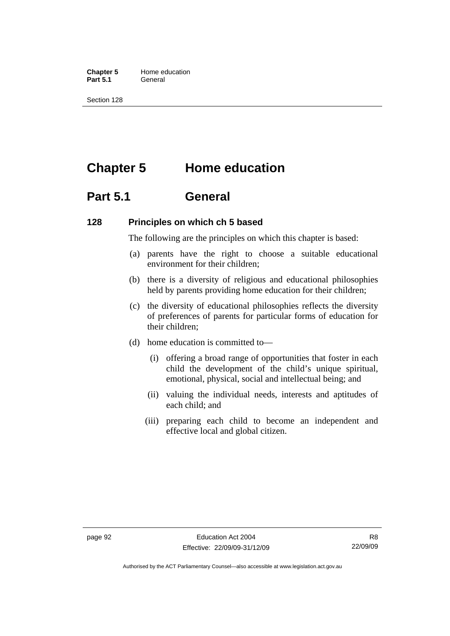**Chapter 5** Home education Part 5.1 **General** 

Section 128

## **Chapter 5 Home education**

## **Part 5.1 General**

#### **128 Principles on which ch 5 based**

The following are the principles on which this chapter is based:

- (a) parents have the right to choose a suitable educational environment for their children;
- (b) there is a diversity of religious and educational philosophies held by parents providing home education for their children;
- (c) the diversity of educational philosophies reflects the diversity of preferences of parents for particular forms of education for their children;
- (d) home education is committed to—
	- (i) offering a broad range of opportunities that foster in each child the development of the child's unique spiritual, emotional, physical, social and intellectual being; and
	- (ii) valuing the individual needs, interests and aptitudes of each child; and
	- (iii) preparing each child to become an independent and effective local and global citizen.

Authorised by the ACT Parliamentary Counsel—also accessible at www.legislation.act.gov.au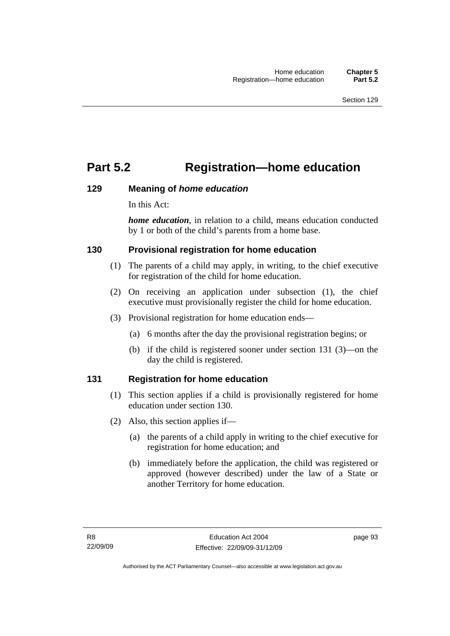## **Part 5.2 Registration—home education**

#### **129 Meaning of** *home education*

In this Act:

*home education*, in relation to a child, means education conducted by 1 or both of the child's parents from a home base.

#### **130 Provisional registration for home education**

- (1) The parents of a child may apply, in writing, to the chief executive for registration of the child for home education.
- (2) On receiving an application under subsection (1), the chief executive must provisionally register the child for home education.
- (3) Provisional registration for home education ends—
	- (a) 6 months after the day the provisional registration begins; or
	- (b) if the child is registered sooner under section 131 (3)—on the day the child is registered.

### **131 Registration for home education**

- (1) This section applies if a child is provisionally registered for home education under section 130.
- (2) Also, this section applies if—
	- (a) the parents of a child apply in writing to the chief executive for registration for home education; and
	- (b) immediately before the application, the child was registered or approved (however described) under the law of a State or another Territory for home education.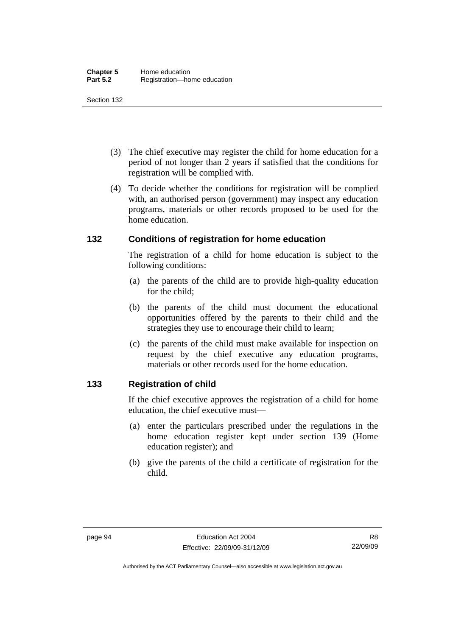- (3) The chief executive may register the child for home education for a period of not longer than 2 years if satisfied that the conditions for registration will be complied with.
- (4) To decide whether the conditions for registration will be complied with, an authorised person (government) may inspect any education programs, materials or other records proposed to be used for the home education.

#### **132 Conditions of registration for home education**

The registration of a child for home education is subject to the following conditions:

- (a) the parents of the child are to provide high-quality education for the child;
- (b) the parents of the child must document the educational opportunities offered by the parents to their child and the strategies they use to encourage their child to learn;
- (c) the parents of the child must make available for inspection on request by the chief executive any education programs, materials or other records used for the home education.

#### **133 Registration of child**

If the chief executive approves the registration of a child for home education, the chief executive must—

- (a) enter the particulars prescribed under the regulations in the home education register kept under section 139 (Home education register); and
- (b) give the parents of the child a certificate of registration for the child.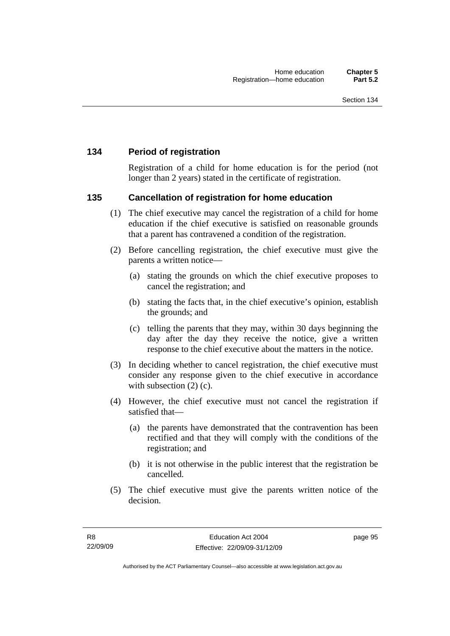#### **134 Period of registration**

Registration of a child for home education is for the period (not longer than 2 years) stated in the certificate of registration.

#### **135 Cancellation of registration for home education**

- (1) The chief executive may cancel the registration of a child for home education if the chief executive is satisfied on reasonable grounds that a parent has contravened a condition of the registration.
- (2) Before cancelling registration, the chief executive must give the parents a written notice—
	- (a) stating the grounds on which the chief executive proposes to cancel the registration; and
	- (b) stating the facts that, in the chief executive's opinion, establish the grounds; and
	- (c) telling the parents that they may, within 30 days beginning the day after the day they receive the notice, give a written response to the chief executive about the matters in the notice.
- (3) In deciding whether to cancel registration, the chief executive must consider any response given to the chief executive in accordance with subsection  $(2)$  (c).
- (4) However, the chief executive must not cancel the registration if satisfied that—
	- (a) the parents have demonstrated that the contravention has been rectified and that they will comply with the conditions of the registration; and
	- (b) it is not otherwise in the public interest that the registration be cancelled.
- (5) The chief executive must give the parents written notice of the decision.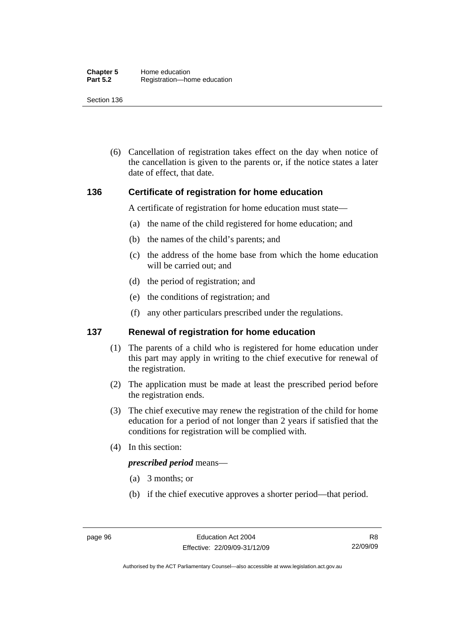(6) Cancellation of registration takes effect on the day when notice of the cancellation is given to the parents or, if the notice states a later date of effect, that date.

#### **136 Certificate of registration for home education**

A certificate of registration for home education must state—

- (a) the name of the child registered for home education; and
- (b) the names of the child's parents; and
- (c) the address of the home base from which the home education will be carried out; and
- (d) the period of registration; and
- (e) the conditions of registration; and
- (f) any other particulars prescribed under the regulations.

#### **137 Renewal of registration for home education**

- (1) The parents of a child who is registered for home education under this part may apply in writing to the chief executive for renewal of the registration.
- (2) The application must be made at least the prescribed period before the registration ends.
- (3) The chief executive may renew the registration of the child for home education for a period of not longer than 2 years if satisfied that the conditions for registration will be complied with.
- (4) In this section:

#### *prescribed period* means—

- (a) 3 months; or
- (b) if the chief executive approves a shorter period—that period.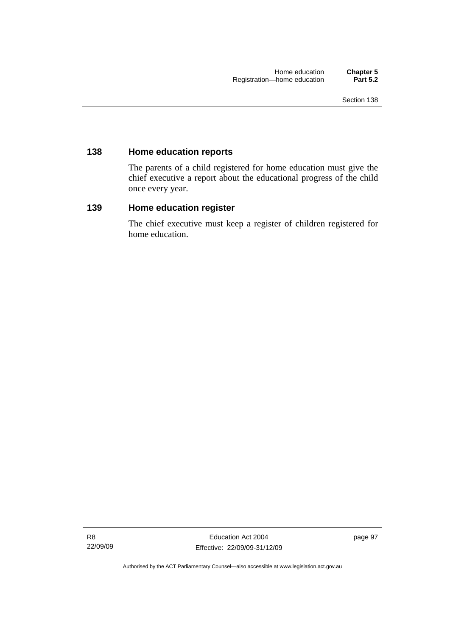#### **138 Home education reports**

The parents of a child registered for home education must give the chief executive a report about the educational progress of the child once every year.

#### **139 Home education register**

The chief executive must keep a register of children registered for home education.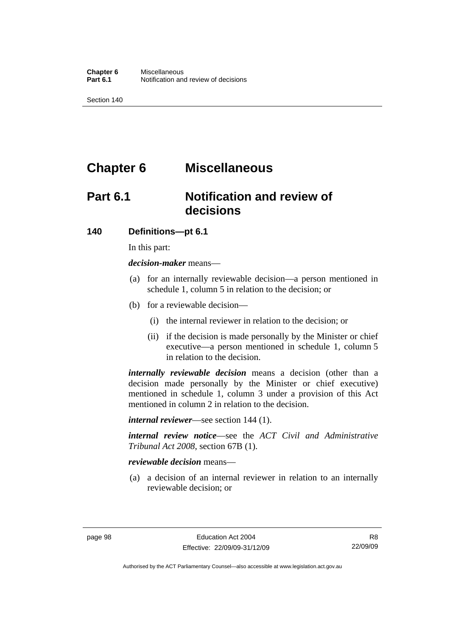## **Chapter 6 Miscellaneous**

## **Part 6.1 Notification and review of decisions**

#### **140 Definitions***—***pt 6.1**

In this part:

*decision-maker* means—

- (a) for an internally reviewable decision—a person mentioned in schedule 1, column 5 in relation to the decision; or
- (b) for a reviewable decision—
	- (i) the internal reviewer in relation to the decision; or
	- (ii) if the decision is made personally by the Minister or chief executive—a person mentioned in schedule 1, column 5 in relation to the decision.

*internally reviewable decision* means a decision (other than a decision made personally by the Minister or chief executive) mentioned in schedule 1, column 3 under a provision of this Act mentioned in column 2 in relation to the decision.

*internal reviewer*—see section 144 (1).

*internal review notice*—see the *ACT Civil and Administrative Tribunal Act 2008*, section 67B (1).

#### *reviewable decision* means—

 (a) a decision of an internal reviewer in relation to an internally reviewable decision; or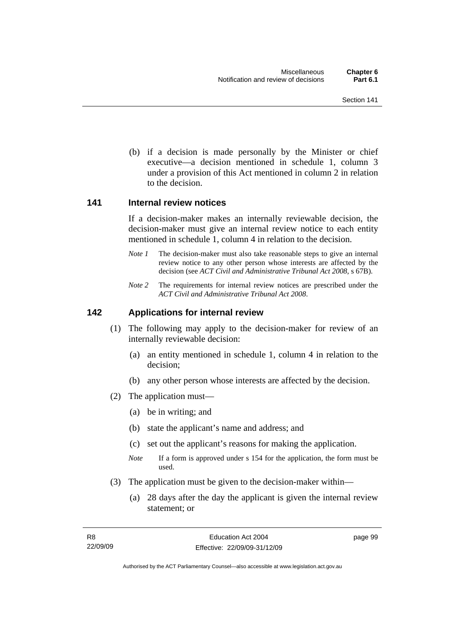(b) if a decision is made personally by the Minister or chief executive—a decision mentioned in schedule 1, column 3 under a provision of this Act mentioned in column 2 in relation to the decision.

## **141 Internal review notices**

If a decision-maker makes an internally reviewable decision, the decision-maker must give an internal review notice to each entity mentioned in schedule 1, column 4 in relation to the decision.

- *Note 1* The decision-maker must also take reasonable steps to give an internal review notice to any other person whose interests are affected by the decision (see *ACT Civil and Administrative Tribunal Act 2008*, s 67B).
- *Note 2* The requirements for internal review notices are prescribed under the *ACT Civil and Administrative Tribunal Act 2008*.

# **142 Applications for internal review**

- (1) The following may apply to the decision-maker for review of an internally reviewable decision:
	- (a) an entity mentioned in schedule 1, column 4 in relation to the decision;
	- (b) any other person whose interests are affected by the decision.
- (2) The application must—
	- (a) be in writing; and
	- (b) state the applicant's name and address; and
	- (c) set out the applicant's reasons for making the application.
	- *Note* If a form is approved under s 154 for the application, the form must be used.
- (3) The application must be given to the decision-maker within—
	- (a) 28 days after the day the applicant is given the internal review statement; or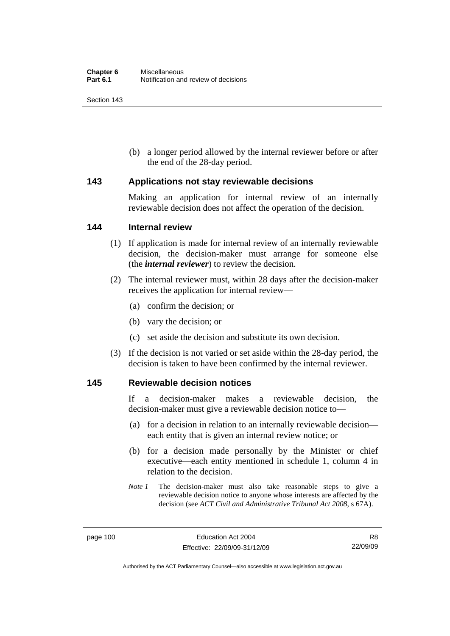Section 143

 (b) a longer period allowed by the internal reviewer before or after the end of the 28-day period.

# **143 Applications not stay reviewable decisions**

Making an application for internal review of an internally reviewable decision does not affect the operation of the decision.

## **144 Internal review**

- (1) If application is made for internal review of an internally reviewable decision, the decision-maker must arrange for someone else (the *internal reviewer*) to review the decision.
- (2) The internal reviewer must, within 28 days after the decision-maker receives the application for internal review—
	- (a) confirm the decision; or
	- (b) vary the decision; or
	- (c) set aside the decision and substitute its own decision.
- (3) If the decision is not varied or set aside within the 28-day period, the decision is taken to have been confirmed by the internal reviewer.

## **145 Reviewable decision notices**

If a decision-maker makes a reviewable decision, the decision-maker must give a reviewable decision notice to—

- (a) for a decision in relation to an internally reviewable decision each entity that is given an internal review notice; or
- (b) for a decision made personally by the Minister or chief executive—each entity mentioned in schedule 1, column 4 in relation to the decision.
- *Note 1* The decision-maker must also take reasonable steps to give a reviewable decision notice to anyone whose interests are affected by the decision (see *ACT Civil and Administrative Tribunal Act 2008*, s 67A).

Authorised by the ACT Parliamentary Counsel—also accessible at www.legislation.act.gov.au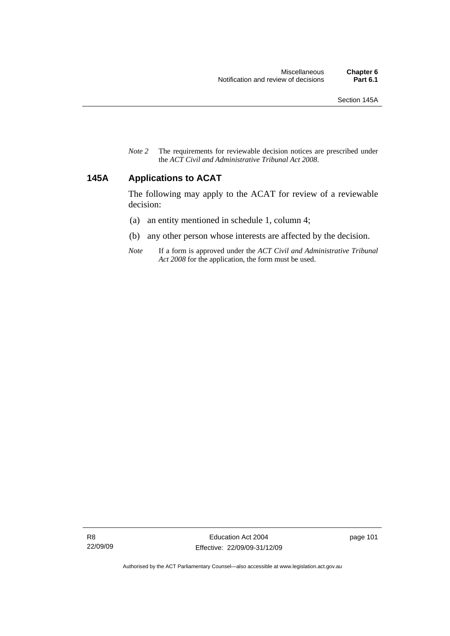*Note 2* The requirements for reviewable decision notices are prescribed under the *ACT Civil and Administrative Tribunal Act 2008*.

# **145A Applications to ACAT**

The following may apply to the ACAT for review of a reviewable decision:

- (a) an entity mentioned in schedule 1, column 4;
- (b) any other person whose interests are affected by the decision.
- *Note* If a form is approved under the *ACT Civil and Administrative Tribunal Act 2008* for the application, the form must be used.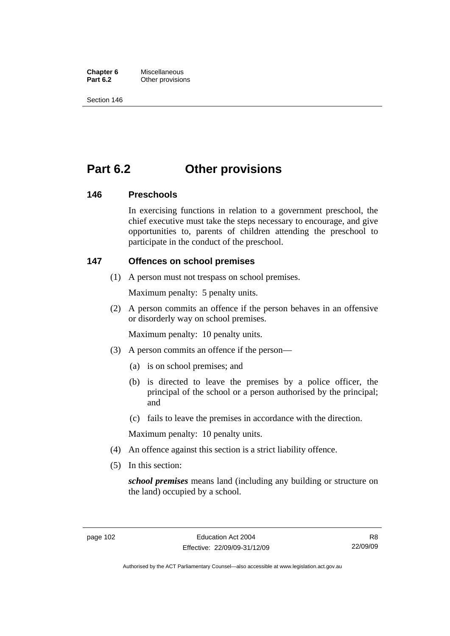**Chapter 6** Miscellaneous<br>**Part 6.2** Other provision **Other provisions** 

Section 146

# **Part 6.2 Other provisions**

# **146 Preschools**

In exercising functions in relation to a government preschool, the chief executive must take the steps necessary to encourage, and give opportunities to, parents of children attending the preschool to participate in the conduct of the preschool.

# **147 Offences on school premises**

(1) A person must not trespass on school premises.

Maximum penalty: 5 penalty units.

 (2) A person commits an offence if the person behaves in an offensive or disorderly way on school premises.

Maximum penalty: 10 penalty units.

- (3) A person commits an offence if the person—
	- (a) is on school premises; and
	- (b) is directed to leave the premises by a police officer, the principal of the school or a person authorised by the principal; and
	- (c) fails to leave the premises in accordance with the direction.

Maximum penalty: 10 penalty units.

- (4) An offence against this section is a strict liability offence.
- (5) In this section:

*school premises* means land (including any building or structure on the land) occupied by a school.

Authorised by the ACT Parliamentary Counsel—also accessible at www.legislation.act.gov.au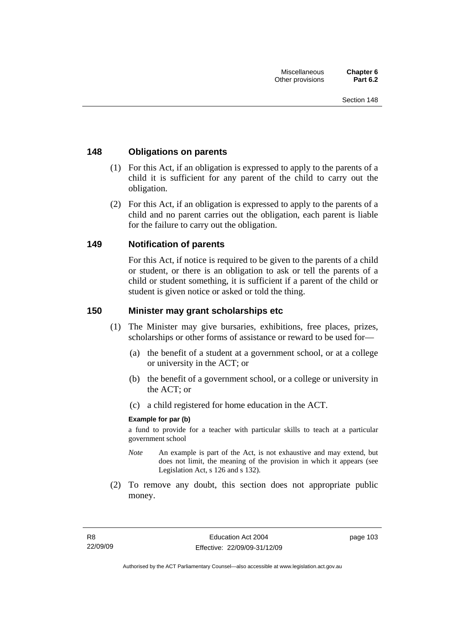# **148 Obligations on parents**

- (1) For this Act, if an obligation is expressed to apply to the parents of a child it is sufficient for any parent of the child to carry out the obligation.
- (2) For this Act, if an obligation is expressed to apply to the parents of a child and no parent carries out the obligation, each parent is liable for the failure to carry out the obligation.

# **149 Notification of parents**

For this Act, if notice is required to be given to the parents of a child or student, or there is an obligation to ask or tell the parents of a child or student something, it is sufficient if a parent of the child or student is given notice or asked or told the thing.

# **150 Minister may grant scholarships etc**

- (1) The Minister may give bursaries, exhibitions, free places, prizes, scholarships or other forms of assistance or reward to be used for—
	- (a) the benefit of a student at a government school, or at a college or university in the ACT; or
	- (b) the benefit of a government school, or a college or university in the ACT; or
	- (c) a child registered for home education in the ACT.

## **Example for par (b)**

a fund to provide for a teacher with particular skills to teach at a particular government school

- *Note* An example is part of the Act, is not exhaustive and may extend, but does not limit, the meaning of the provision in which it appears (see Legislation Act, s 126 and s 132).
- (2) To remove any doubt, this section does not appropriate public money.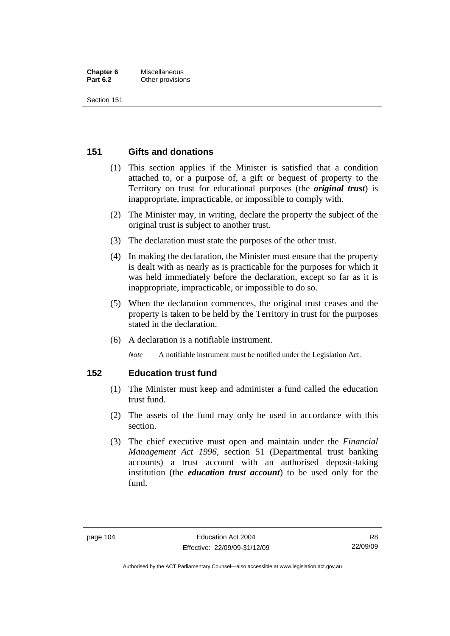#### **Chapter 6** Miscellaneous **Part 6.2** Other provisions

Section 151

# **151 Gifts and donations**

- (1) This section applies if the Minister is satisfied that a condition attached to, or a purpose of, a gift or bequest of property to the Territory on trust for educational purposes (the *original trust*) is inappropriate, impracticable, or impossible to comply with.
- (2) The Minister may, in writing, declare the property the subject of the original trust is subject to another trust.
- (3) The declaration must state the purposes of the other trust.
- (4) In making the declaration, the Minister must ensure that the property is dealt with as nearly as is practicable for the purposes for which it was held immediately before the declaration, except so far as it is inappropriate, impracticable, or impossible to do so.
- (5) When the declaration commences, the original trust ceases and the property is taken to be held by the Territory in trust for the purposes stated in the declaration.
- (6) A declaration is a notifiable instrument.

*Note* A notifiable instrument must be notified under the Legislation Act.

# **152 Education trust fund**

- (1) The Minister must keep and administer a fund called the education trust fund.
- (2) The assets of the fund may only be used in accordance with this section.
- (3) The chief executive must open and maintain under the *Financial Management Act 1996*, section 51 (Departmental trust banking accounts) a trust account with an authorised deposit-taking institution (the *education trust account*) to be used only for the fund.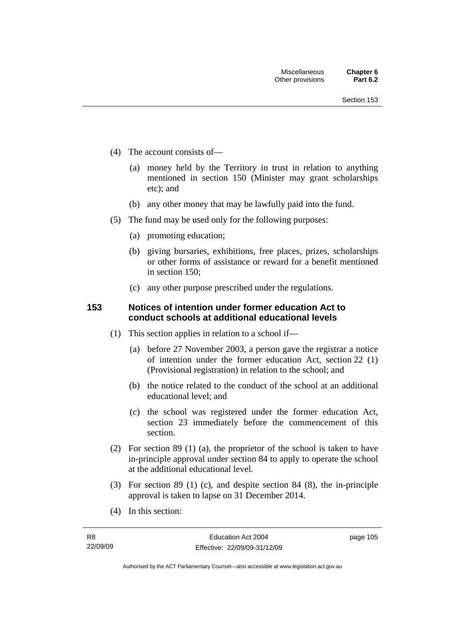- (4) The account consists of—
	- (a) money held by the Territory in trust in relation to anything mentioned in section 150 (Minister may grant scholarships etc); and
	- (b) any other money that may be lawfully paid into the fund.
- (5) The fund may be used only for the following purposes:
	- (a) promoting education;
	- (b) giving bursaries, exhibitions, free places, prizes, scholarships or other forms of assistance or reward for a benefit mentioned in section 150;
	- (c) any other purpose prescribed under the regulations.

# **153 Notices of intention under former education Act to conduct schools at additional educational levels**

- (1) This section applies in relation to a school if—
	- (a) before 27 November 2003, a person gave the registrar a notice of intention under the former education Act, section 22 (1) (Provisional registration) in relation to the school; and
	- (b) the notice related to the conduct of the school at an additional educational level; and
	- (c) the school was registered under the former education Act, section 23 immediately before the commencement of this section.
- (2) For section 89 (1) (a), the proprietor of the school is taken to have in-principle approval under section 84 to apply to operate the school at the additional educational level.
- (3) For section 89 (1) (c), and despite section 84 (8), the in-principle approval is taken to lapse on 31 December 2014.
- (4) In this section: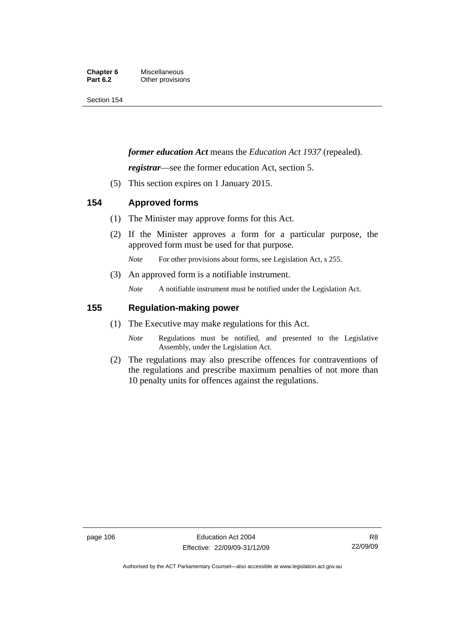#### **Chapter 6** Miscellaneous<br>**Part 6.2** Other provision **Other provisions**

Section 154

# *former education Act* means the *Education Act 1937* (repealed).

*registrar*—see the former education Act, section 5.

(5) This section expires on 1 January 2015.

# **154 Approved forms**

- (1) The Minister may approve forms for this Act.
- (2) If the Minister approves a form for a particular purpose, the approved form must be used for that purpose.

*Note* For other provisions about forms, see Legislation Act, s 255.

(3) An approved form is a notifiable instrument.

*Note* A notifiable instrument must be notified under the Legislation Act.

# **155 Regulation-making power**

- (1) The Executive may make regulations for this Act.
	- *Note* Regulations must be notified, and presented to the Legislative Assembly, under the Legislation Act.
- (2) The regulations may also prescribe offences for contraventions of the regulations and prescribe maximum penalties of not more than 10 penalty units for offences against the regulations.

Authorised by the ACT Parliamentary Counsel—also accessible at www.legislation.act.gov.au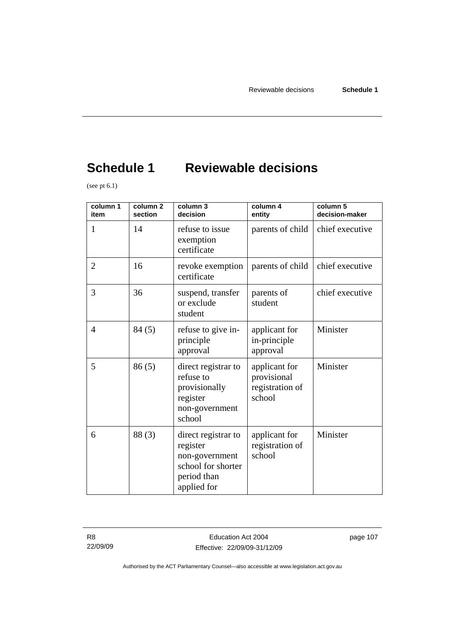# **Schedule 1 Reviewable decisions**

(see pt  $6.1$ )

| column 1<br>item | column <sub>2</sub><br>section | column 3<br>decision                                                                                  | column 4<br>entity                                        | column 5<br>decision-maker |
|------------------|--------------------------------|-------------------------------------------------------------------------------------------------------|-----------------------------------------------------------|----------------------------|
| 1                | 14                             | refuse to issue<br>exemption<br>certificate                                                           | parents of child                                          | chief executive            |
| $\overline{2}$   | 16                             | revoke exemption<br>certificate                                                                       | parents of child                                          | chief executive            |
| 3                | 36                             | suspend, transfer<br>or exclude<br>student                                                            | parents of<br>student                                     | chief executive            |
| $\overline{4}$   | 84(5)                          | refuse to give in-<br>principle<br>approval                                                           | applicant for<br>in-principle<br>approval                 | Minister                   |
| 5                | 86(5)                          | direct registrar to<br>refuse to<br>provisionally<br>register<br>non-government<br>school             | applicant for<br>provisional<br>registration of<br>school | Minister                   |
| 6                | 88(3)                          | direct registrar to<br>register<br>non-government<br>school for shorter<br>period than<br>applied for | applicant for<br>registration of<br>school                | Minister                   |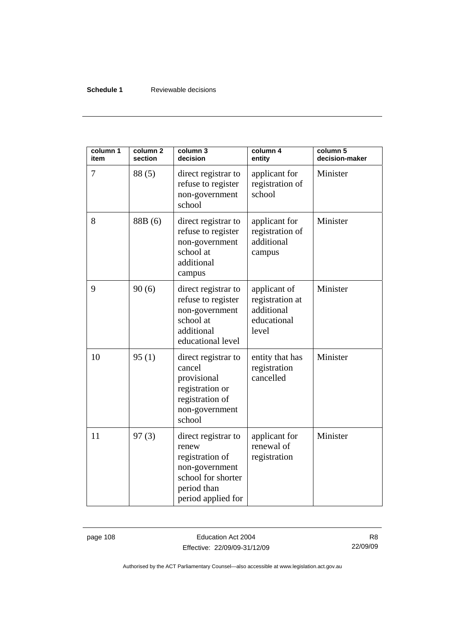## **Schedule 1** Reviewable decisions

| column 1<br>item | column <sub>2</sub><br>section | column 3<br>decision                                                                                                         | column 4<br>entity                                                    | column 5<br>decision-maker |
|------------------|--------------------------------|------------------------------------------------------------------------------------------------------------------------------|-----------------------------------------------------------------------|----------------------------|
| 7                | 88 (5)                         | direct registrar to<br>refuse to register<br>non-government<br>school                                                        | applicant for<br>registration of<br>school                            | Minister                   |
| 8                | 88B (6)                        | direct registrar to<br>refuse to register<br>non-government<br>school at<br>additional<br>campus                             | applicant for<br>registration of<br>additional<br>campus              | Minister                   |
| 9                | 90(6)                          | direct registrar to<br>refuse to register<br>non-government<br>school at<br>additional<br>educational level                  | applicant of<br>registration at<br>additional<br>educational<br>level | Minister                   |
| 10               | 95(1)                          | direct registrar to<br>cancel<br>provisional<br>registration or<br>registration of<br>non-government<br>school               | entity that has<br>registration<br>cancelled                          | Minister                   |
| 11               | 97(3)                          | direct registrar to<br>renew<br>registration of<br>non-government<br>school for shorter<br>period than<br>period applied for | applicant for<br>renewal of<br>registration                           | Minister                   |

page 108 **Education Act 2004** Effective: 22/09/09-31/12/09

R8 22/09/09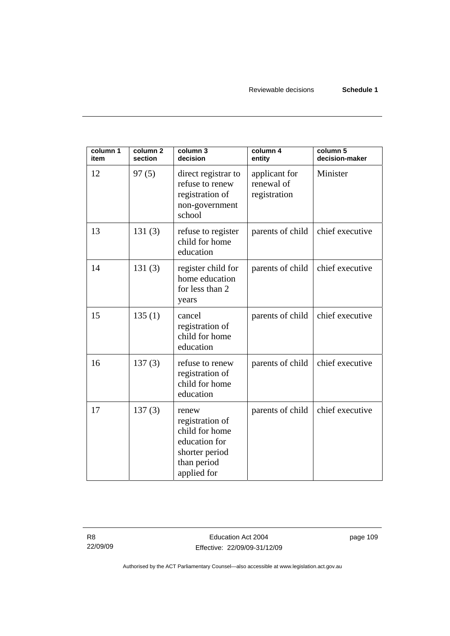Reviewable decisions **Schedule 1** 

| column 1<br>item | column 2<br>section | column 3<br>decision                                                                                        | column 4<br>entity                          | column 5<br>decision-maker |
|------------------|---------------------|-------------------------------------------------------------------------------------------------------------|---------------------------------------------|----------------------------|
| 12               | 97(5)               | direct registrar to<br>refuse to renew<br>registration of<br>non-government<br>school                       | applicant for<br>renewal of<br>registration | Minister                   |
| 13               | 131(3)              | refuse to register<br>child for home<br>education                                                           | parents of child                            | chief executive            |
| 14               | 131(3)              | register child for<br>home education<br>for less than 2<br>years                                            | parents of child                            | chief executive            |
| 15               | 135(1)              | cancel<br>registration of<br>child for home<br>education                                                    | parents of child                            | chief executive            |
| 16               | 137(3)              | refuse to renew<br>registration of<br>child for home<br>education                                           | parents of child                            | chief executive            |
| 17               | 137(3)              | renew<br>registration of<br>child for home<br>education for<br>shorter period<br>than period<br>applied for | parents of child                            | chief executive            |

page 109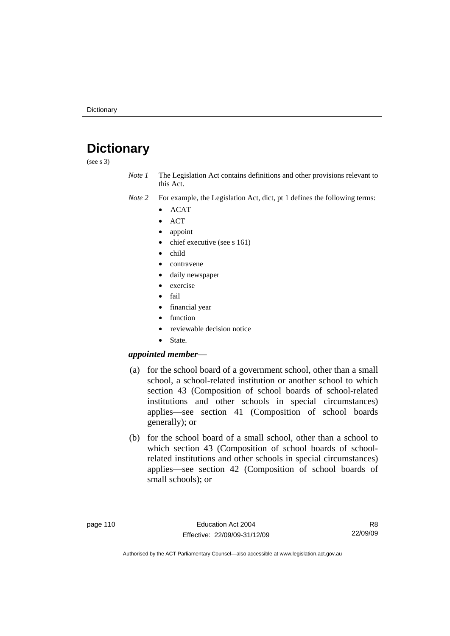# **Dictionary**

(see s 3)

*Note 1* The Legislation Act contains definitions and other provisions relevant to this Act.

*Note 2* For example, the Legislation Act, dict, pt 1 defines the following terms:

- ACAT
- ACT
- appoint
- chief executive (see s 161)
- child
- contravene
- daily newspaper
- exercise
- fail
- financial year
- function
- reviewable decision notice
- State.

## *appointed member*—

- (a) for the school board of a government school, other than a small school, a school-related institution or another school to which section 43 (Composition of school boards of school-related institutions and other schools in special circumstances) applies—see section 41 (Composition of school boards generally); or
- (b) for the school board of a small school, other than a school to which section 43 (Composition of school boards of schoolrelated institutions and other schools in special circumstances) applies—see section 42 (Composition of school boards of small schools); or

R8 22/09/09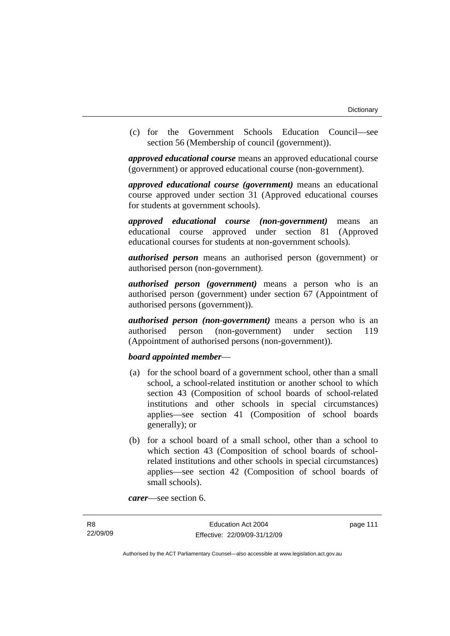(c) for the Government Schools Education Council—see section 56 (Membership of council (government)).

*approved educational course* means an approved educational course (government) or approved educational course (non-government).

*approved educational course (government)* means an educational course approved under section 31 (Approved educational courses for students at government schools).

*approved educational course (non-government)* means an educational course approved under section 81 (Approved educational courses for students at non-government schools).

*authorised person* means an authorised person (government) or authorised person (non-government).

*authorised person (government)* means a person who is an authorised person (government) under section 67 (Appointment of authorised persons (government)).

*authorised person (non-government)* means a person who is an authorised person (non-government) under section 119 (Appointment of authorised persons (non-government)).

## *board appointed member*—

- (a) for the school board of a government school, other than a small school, a school-related institution or another school to which section 43 (Composition of school boards of school-related institutions and other schools in special circumstances) applies—see section 41 (Composition of school boards generally); or
- (b) for a school board of a small school, other than a school to which section 43 (Composition of school boards of schoolrelated institutions and other schools in special circumstances) applies—see section 42 (Composition of school boards of small schools).

*carer*—see section 6.

page 111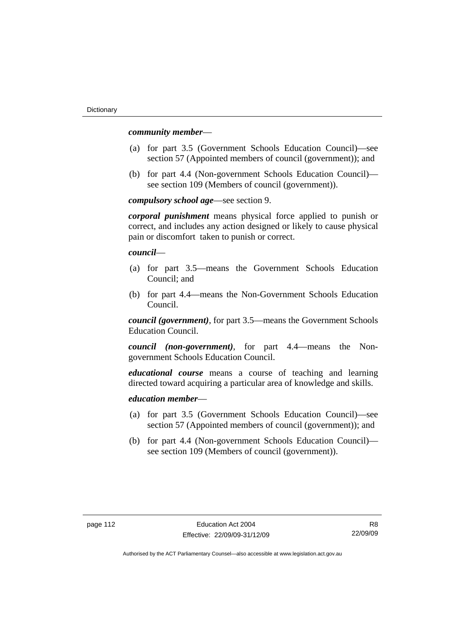#### *community member*—

- (a) for part 3.5 (Government Schools Education Council)—see section 57 (Appointed members of council (government)); and
- (b) for part 4.4 (Non-government Schools Education Council) see section 109 (Members of council (government)).

*compulsory school age*—see section 9.

*corporal punishment* means physical force applied to punish or correct, and includes any action designed or likely to cause physical pain or discomfort taken to punish or correct.

*council*—

- (a) for part 3.5—means the Government Schools Education Council; and
- (b) for part 4.4—means the Non-Government Schools Education Council.

*council (government)*, for part 3.5—means the Government Schools Education Council.

*council (non-government)*, for part 4.4—means the Nongovernment Schools Education Council.

*educational course* means a course of teaching and learning directed toward acquiring a particular area of knowledge and skills.

## *education member*—

- (a) for part 3.5 (Government Schools Education Council)—see section 57 (Appointed members of council (government)); and
- (b) for part 4.4 (Non-government Schools Education Council) see section 109 (Members of council (government)).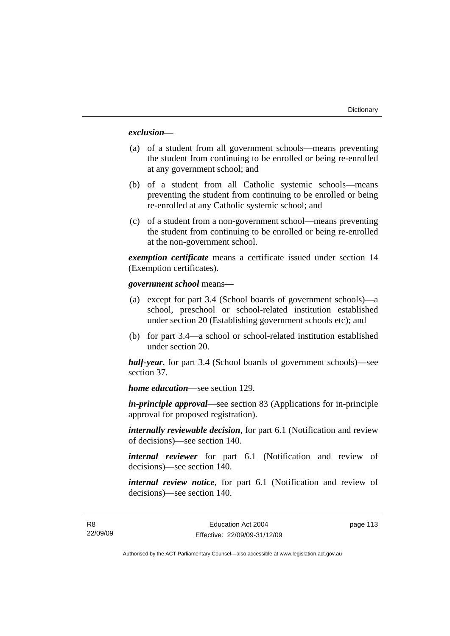## *exclusion***—**

- (a) of a student from all government schools—means preventing the student from continuing to be enrolled or being re-enrolled at any government school; and
- (b) of a student from all Catholic systemic schools—means preventing the student from continuing to be enrolled or being re-enrolled at any Catholic systemic school; and
- (c) of a student from a non-government school—means preventing the student from continuing to be enrolled or being re-enrolled at the non-government school.

*exemption certificate* means a certificate issued under section 14 (Exemption certificates).

#### *government school* means*—*

- (a) except for part 3.4 (School boards of government schools)—a school, preschool or school-related institution established under section 20 (Establishing government schools etc); and
- (b) for part 3.4—a school or school-related institution established under section 20.

*half-year*, for part 3.4 (School boards of government schools)—see section 37.

*home education*—see section 129.

*in-principle approval*—see section 83 (Applications for in-principle approval for proposed registration).

*internally reviewable decision*, for part 6.1 (Notification and review of decisions)—see section 140.

*internal reviewer* for part 6.1 (Notification and review of decisions)—see section 140.

*internal review notice*, for part 6.1 (Notification and review of decisions)—see section 140.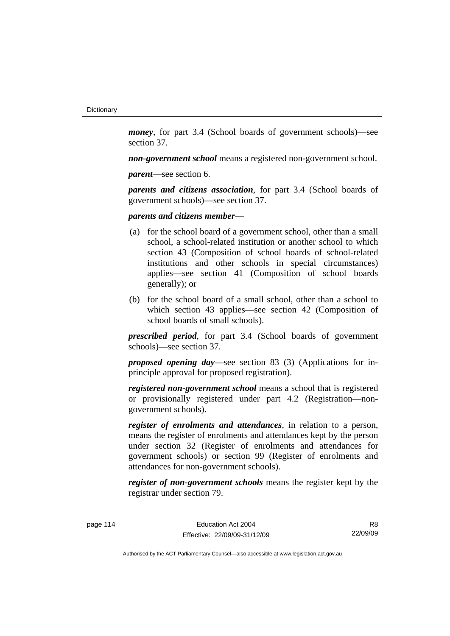*money*, for part 3.4 (School boards of government schools)—see section 37.

*non-government school* means a registered non-government school.

*parent*—see section 6.

*parents and citizens association*, for part 3.4 (School boards of government schools)—see section 37.

#### *parents and citizens member*—

- (a) for the school board of a government school, other than a small school, a school-related institution or another school to which section 43 (Composition of school boards of school-related institutions and other schools in special circumstances) applies—see section 41 (Composition of school boards generally); or
- (b) for the school board of a small school, other than a school to which section 43 applies—see section 42 (Composition of school boards of small schools).

*prescribed period*, for part 3.4 (School boards of government schools)—see section 37.

*proposed opening day*—see section 83 (3) (Applications for inprinciple approval for proposed registration).

*registered non-government school* means a school that is registered or provisionally registered under part 4.2 (Registration—nongovernment schools).

*register of enrolments and attendances*, in relation to a person, means the register of enrolments and attendances kept by the person under section 32 (Register of enrolments and attendances for government schools) or section 99 (Register of enrolments and attendances for non-government schools).

*register of non-government schools* means the register kept by the registrar under section 79.

page 114 Education Act 2004 Effective: 22/09/09-31/12/09

R8 22/09/09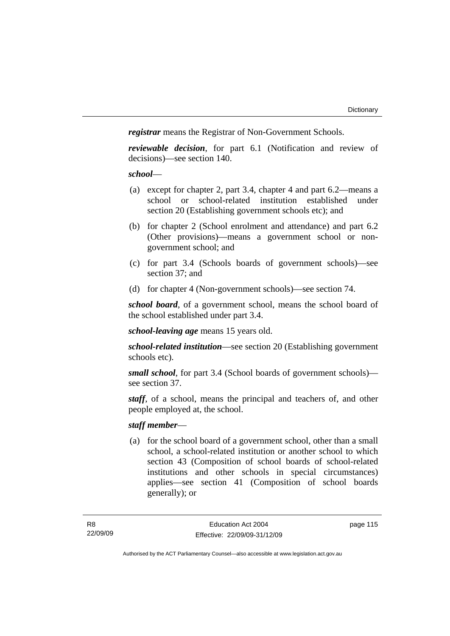*registrar* means the Registrar of Non-Government Schools.

*reviewable decision*, for part 6.1 (Notification and review of decisions)—see section 140.

## *school*—

- (a) except for chapter 2, part 3.4, chapter 4 and part 6.2—means a school or school-related institution established under section 20 (Establishing government schools etc); and
- (b) for chapter 2 (School enrolment and attendance) and part 6.2 (Other provisions)—means a government school or nongovernment school; and
- (c) for part 3.4 (Schools boards of government schools)—see section 37; and
- (d) for chapter 4 (Non-government schools)—see section 74.

*school board*, of a government school, means the school board of the school established under part 3.4.

*school-leaving age* means 15 years old.

*school-related institution*—see section 20 (Establishing government schools etc).

*small school*, for part 3.4 (School boards of government schools) see section 37.

*staff*, of a school, means the principal and teachers of, and other people employed at, the school.

## *staff member*—

 (a) for the school board of a government school, other than a small school, a school-related institution or another school to which section 43 (Composition of school boards of school-related institutions and other schools in special circumstances) applies—see section 41 (Composition of school boards generally); or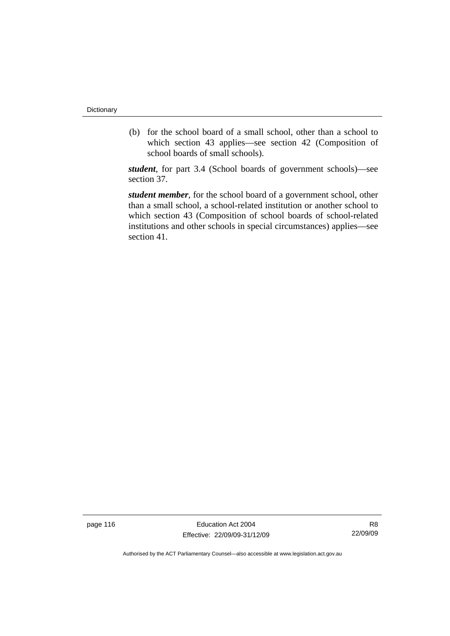(b) for the school board of a small school, other than a school to which section 43 applies—see section 42 (Composition of school boards of small schools).

*student*, for part 3.4 (School boards of government schools)—see section 37.

*student member*, for the school board of a government school, other than a small school, a school-related institution or another school to which section 43 (Composition of school boards of school-related institutions and other schools in special circumstances) applies—see section 41.

page 116 **Education Act 2004** Effective: 22/09/09-31/12/09

R8 22/09/09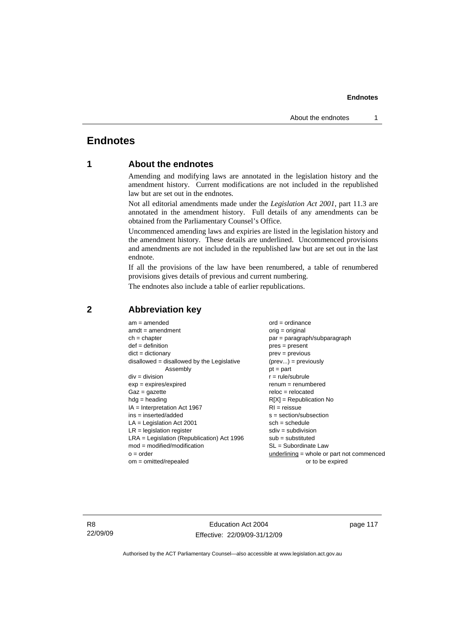# **Endnotes**

# **1 About the endnotes**

Amending and modifying laws are annotated in the legislation history and the amendment history. Current modifications are not included in the republished law but are set out in the endnotes.

Not all editorial amendments made under the *Legislation Act 2001*, part 11.3 are annotated in the amendment history. Full details of any amendments can be obtained from the Parliamentary Counsel's Office.

Uncommenced amending laws and expiries are listed in the legislation history and the amendment history. These details are underlined. Uncommenced provisions and amendments are not included in the republished law but are set out in the last endnote.

If all the provisions of the law have been renumbered, a table of renumbered provisions gives details of previous and current numbering.

The endnotes also include a table of earlier republications.

| $am = amended$                               | $ord = ordinance$                         |
|----------------------------------------------|-------------------------------------------|
| $amdt = amendment$                           | $orig = original$                         |
| $ch = chapter$                               | $par = paragraph/subparagraph$            |
| $def = definition$                           | $pres = present$                          |
| $dict = dictionary$                          | $prev = previous$                         |
| $disallowed = disallowed by the Legislative$ | $(\text{prev}) = \text{previously}$       |
| Assembly                                     | $pt = part$                               |
| $div = division$                             | $r = rule/subrule$                        |
| $exp = expires/expired$                      | $renum = renumbered$                      |
| $Gaz = gazette$                              | $reloc = relocated$                       |
| $hdg =$ heading                              | $R[X]$ = Republication No                 |
| $IA = Interpretation Act 1967$               | $RI = reissue$                            |
| $ins = inserted/added$                       | $s = section/subsection$                  |
| $LA =$ Legislation Act 2001                  | $sch = schedule$                          |
| $LR =$ legislation register                  | $sdiv = subdivision$                      |
| $LRA =$ Legislation (Republication) Act 1996 | $sub = substituted$                       |
| $mod = modified/modification$                | $SL = Subordinate$ Law                    |
| $o = order$                                  | underlining = whole or part not commenced |
| $om = omitted/repealed$                      | or to be expired                          |
|                                              |                                           |

## **2 Abbreviation key**

R8 22/09/09

Education Act 2004 Effective: 22/09/09-31/12/09 page 117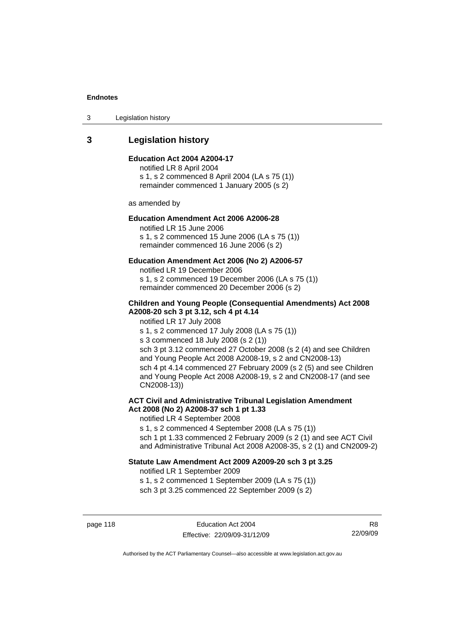3 Legislation history

# **3 Legislation history**

#### **Education Act 2004 A2004-17**

notified LR 8 April 2004 s 1, s 2 commenced 8 April 2004 (LA s 75 (1)) remainder commenced 1 January 2005 (s 2)

as amended by

## **Education Amendment Act 2006 A2006-28**

notified LR 15 June 2006 s 1, s 2 commenced 15 June 2006 (LA s 75 (1)) remainder commenced 16 June 2006 (s 2)

#### **Education Amendment Act 2006 (No 2) A2006-57**

notified LR 19 December 2006 s 1, s 2 commenced 19 December 2006 (LA s 75 (1)) remainder commenced 20 December 2006 (s 2)

#### **Children and Young People (Consequential Amendments) Act 2008 A2008-20 sch 3 pt 3.12, sch 4 pt 4.14**

notified LR 17 July 2008

s 1, s 2 commenced 17 July 2008 (LA s 75 (1))

s 3 commenced 18 July 2008 (s 2 (1))

sch 3 pt 3.12 commenced 27 October 2008 (s 2 (4) and see Children and Young People Act 2008 A2008-19, s 2 and CN2008-13) sch 4 pt 4.14 commenced 27 February 2009 (s 2 (5) and see Children and Young People Act 2008 A2008-19, s 2 and CN2008-17 (and see CN2008-13))

## **ACT Civil and Administrative Tribunal Legislation Amendment Act 2008 (No 2) A2008-37 sch 1 pt 1.33**

notified LR 4 September 2008

s 1, s 2 commenced 4 September 2008 (LA s 75 (1)) sch 1 pt 1.33 commenced 2 February 2009 (s 2 (1) and see ACT Civil and Administrative Tribunal Act 2008 A2008-35, s 2 (1) and CN2009-2)

#### **Statute Law Amendment Act 2009 A2009-20 sch 3 pt 3.25**

notified LR 1 September 2009 s 1, s 2 commenced 1 September 2009 (LA s 75 (1)) sch 3 pt 3.25 commenced 22 September 2009 (s 2)

page 118 **Education Act 2004** Effective: 22/09/09-31/12/09

R8 22/09/09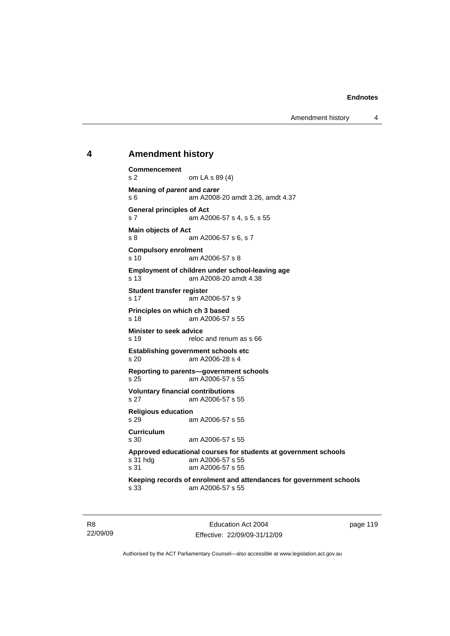Amendment history 4

## **4 Amendment history**

```
Commencement 
s 2 om LA s 89 (4) 
Meaning of parent and carer 
s 6 am A2008-20 amdt 3.26, amdt 4.37 
General principles of Act 
s 7 am A2006-57 s 4, s 5, s 55 
Main objects of Act 
s 8 am A2006-57 s 6, s 7 
Compulsory enrolment 
s 10 am A2006-57 s 8 
Employment of children under school-leaving age 
                am A2008-20 amdt 4.38
Student transfer register 
s 17 am A2006-57 s 9 
Principles on which ch 3 based<br>s 18 am A2006-57
               am A2006-57 s 55
Minister to seek advice 
s 19 reloc and renum as s 66
Establishing government schools etc<br>s 20 am A2006-28 s 4
               am A2006-28 s 4
Reporting to parents—government schools 
s 25 am A2006-57 s 55 
Voluntary financial contributions 
s 27 am A2006-57 s 55 
Religious education 
s 29 am A2006-57 s 55 
Curriculum 
s 30 am A2006-57 s 55 
Approved educational courses for students at government schools 
s 31 hdg am A2006-57 s 55 
s 31 am A2006-57 s 55 
Keeping records of enrolment and attendances for government schools 
s 33 am A2006-57 s 55
```
R8 22/09/09

Education Act 2004 Effective: 22/09/09-31/12/09 page 119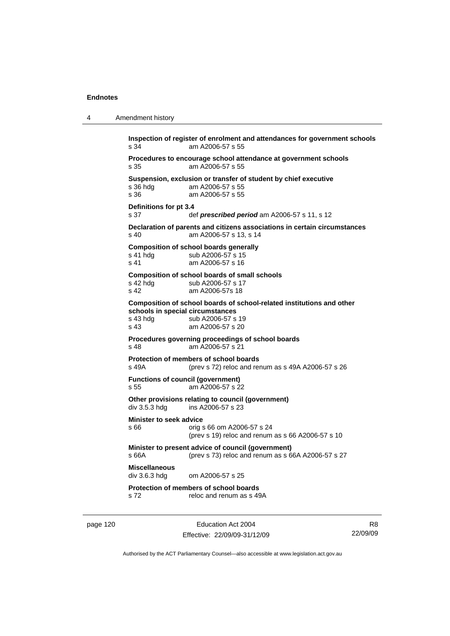```
4 Amendment history 
page 120 Education Act 2004
           Inspection of register of enrolment and attendances for government schools 
           s 34 am A2006-57 s 55 
           Procedures to encourage school attendance at government schools 
           s 35 am A2006-57 s 55 
           Suspension, exclusion or transfer of student by chief executive 
           s 36 hdg am A2006-57 s 55 
           s 36 am A2006-57 s 55 
           Definitions for pt 3.4 
           s 37 def prescribed period am A2006-57 s 11, s 12
           Declaration of parents and citizens associations in certain circumstances 
           s 40 am A2006-57 s 13, s 14 
           Composition of school boards generally 
           s 41 hdg sub A2006-57 s 15
           s 41 am A2006-57 s 16 
           Composition of school boards of small schools 
           s 42 hdg sub A2006-57 s 17<br>s 42 am A2006-57s 18
                            am A2006-57s 18
           Composition of school boards of school-related institutions and other 
           schools in special circumstances 
           s 43 hdg sub A2006-57 s 19<br>s 43 s 43 s am A2006-57 s 20
                            am A2006-57 s 20
           Procedures governing proceedings of school boards 
           s 48 am A2006-57 s 21 
           Protection of members of school boards<br>s 49A (prev s 72) reloc and real
                             (s) (prev s 72) reloc and renum as s 49A A2006-57 s 26
           Functions of council (government) 
           s 55 am A2006-57 s 22 
           Other provisions relating to council (government) 
           div 3.5.3 hdg ins A2006-57 s 23
           Minister to seek advice 
           s 66 orig s 66 om A2006-57 s 24 
                              (prev s 19) reloc and renum as s 66 A2006-57 s 10 
           Minister to present advice of council (government) 
           s 66A (prev s 73) reloc and renum as s 66A A2006-57 s 27 
           Miscellaneous 
                             om A2006-57 s 25.
           Protection of members of school boards 
           s 72 reloc and renum as s 49A
```
Effective: 22/09/09-31/12/09

R8 22/09/09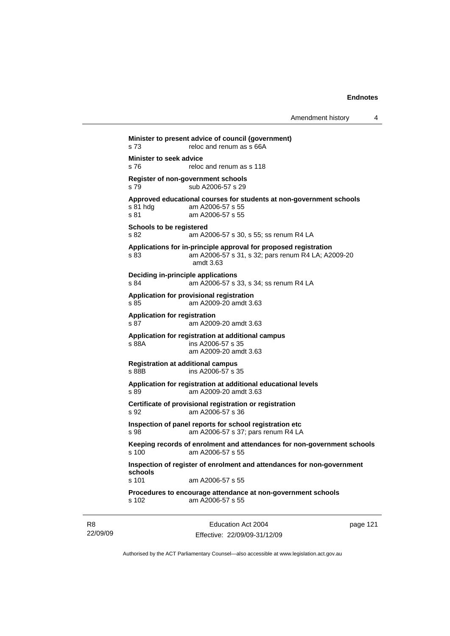|                                             | reloc and renum as s 66A                                                                                                            |
|---------------------------------------------|-------------------------------------------------------------------------------------------------------------------------------------|
| Minister to seek advice<br>s76              | reloc and renum as s 118                                                                                                            |
| s 79                                        | Register of non-government schools<br>sub A2006-57 s 29                                                                             |
| s 81 hdg<br>s 81                            | Approved educational courses for students at non-government schools<br>am A2006-57 s 55<br>am A2006-57 s 55                         |
| <b>Schools to be registered</b><br>s 82     | am A2006-57 s 30, s 55; ss renum R4 LA                                                                                              |
| s 83                                        | Applications for in-principle approval for proposed registration<br>am A2006-57 s 31, s 32; pars renum R4 LA; A2009-20<br>amdt 3.63 |
| s.84                                        | <b>Deciding in-principle applications</b><br>am A2006-57 s 33, s 34; ss renum R4 LA                                                 |
| s 85                                        | Application for provisional registration<br>am A2009-20 amdt 3.63                                                                   |
| <b>Application for registration</b><br>s 87 | am A2009-20 amdt 3.63                                                                                                               |
| s 88A                                       | Application for registration at additional campus<br>ins A2006-57 s 35<br>am A2009-20 amdt 3.63                                     |
| s 88B                                       | <b>Registration at additional campus</b><br>ins A2006-57 s 35                                                                       |
| s 89                                        | Application for registration at additional educational levels<br>am A2009-20 amdt 3.63                                              |
| s 92                                        | Certificate of provisional registration or registration<br>am A2006-57 s 36                                                         |
| s 98                                        | Inspection of panel reports for school registration etc<br>am A2006-57 s 37; pars renum R4 LA                                       |
| s 100                                       | Keeping records of enrolment and attendances for non-government schools<br>am A2006-57 s 55                                         |
| schools                                     | Inspection of register of enrolment and attendances for non-government                                                              |
| s 101                                       | am A2006-57 s 55                                                                                                                    |
| s 102                                       | Procedures to encourage attendance at non-government schools<br>am A2006-57 s 55                                                    |

R8 22/09/09

Education Act 2004 Effective: 22/09/09-31/12/09 page 121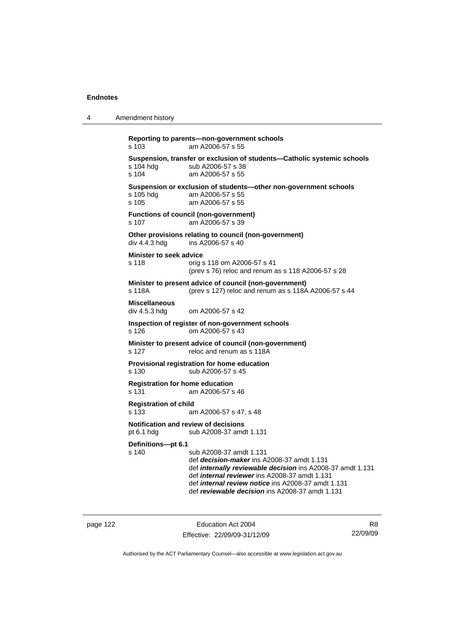```
4 Amendment history 
            Reporting to parents—non-government schools 
           s 103 am A2006-57 s 55 
           Suspension, transfer or exclusion of students—Catholic systemic schools 
           s 104 hdg sub A2006-57 s 38<br>s 104 am A2006-57 s 55
                             am A2006-57 s 55
            Suspension or exclusion of students—other non-government schools 
           s 105 hdg am A2006-57 s 55 
           s 105 am A2006-57 s 55 
            Functions of council (non-government) 
           s 107 am A2006-57 s 39 
           Other provisions relating to council (non-government)<br>div 4.4.3 hdg ins A2006-57 s 40
                             ins A2006-57 s 40
            Minister to seek advice 
           s 118 orig s 118 om A2006-57 s 41 
                              (prev s 76) reloc and renum as s 118 A2006-57 s 28 
           Minister to present advice of council (non-government) 
           s 118A (prev s 127) reloc and renum as s 118A A2006-57 s 44 
           Miscellaneous 
           div 4.5.3 hdg om A2006-57 s 42 
           Inspection of register of non-government schools 
           s 126 om A2006-57 s 43 
            Minister to present advice of council (non-government) 
           s 127 reloc and renum as s 118A
           Provisional registration for home education 
           s 130 sub A2006-57 s 45 
           Registration for home education 
           s 131 am A2006-57 s 46 
            Registration of child 
           s 133 am A2006-57 s 47, s 48 
           Notification and review of decisions 
           pt 6.1 hdg sub A2008-37 amdt 1.131 
            Definitions—pt 6.1 
           s 140 sub A2008-37 amdt 1.131 
                              def decision-maker ins A2008-37 amdt 1.131 
                              def internally reviewable decision ins A2008-37 amdt 1.131 
                              def internal reviewer ins A2008-37 amdt 1.131 
                              def internal review notice ins A2008-37 amdt 1.131 
                              def reviewable decision ins A2008-37 amdt 1.131
```
page 122 Education Act 2004 Effective: 22/09/09-31/12/09

R8 22/09/09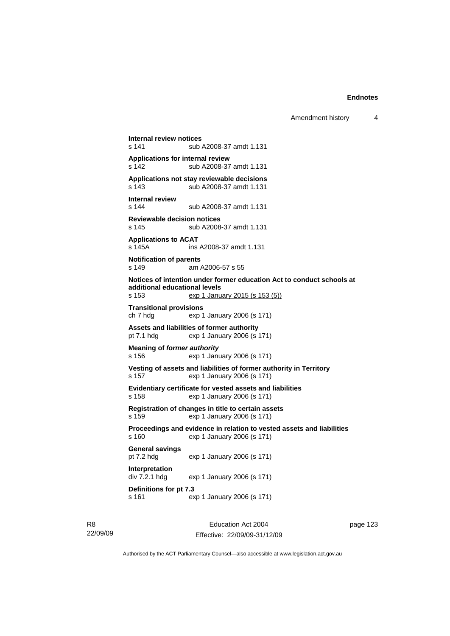```
Internal review notices 
                 sub A2008-37 amdt 1.131
Applications for internal review 
                sub A2008-37 amdt 1.131
Applications not stay reviewable decisions 
s 143 sub A2008-37 amdt 1.131 
Internal review 
s 144 sub A2008-37 amdt 1.131 
Reviewable decision notices 
s 145 sub A2008-37 amdt 1.131 
Applications to ACAT 
s 145A ins A2008-37 amdt 1.131 
Notification of parents 
s 149 am A2006-57 s 55 
Notices of intention under former education Act to conduct schools at 
additional educational levels 
s 153 exp 1 January 2015 (s 153 (5))
Transitional provisions 
ch 7 hdg exp 1 January 2006 (s 171) 
Assets and liabilities of former authority 
pt 7.1 hdg exp 1 January 2006 (s 171) 
Meaning of former authority
s 156 exp 1 January 2006 (s 171) 
Vesting of assets and liabilities of former authority in Territory 
s 157 exp 1 January 2006 (s 171) 
Evidentiary certificate for vested assets and liabilities 
s 158 exp 1 January 2006 (s 171) 
Registration of changes in title to certain assets 
s 159 exp 1 January 2006 (s 171) 
Proceedings and evidence in relation to vested assets and liabilities 
s 160 exp 1 January 2006 (s 171) 
General savings 
pt 7.2 hdg exp 1 January 2006 (s 171) 
Interpretation 
div 7.2.1 hdg exp 1 January 2006 (s 171) 
Definitions for pt 7.3 
s 161 exp 1 January 2006 (s 171)
```
R8 22/09/09

Education Act 2004 Effective: 22/09/09-31/12/09 page 123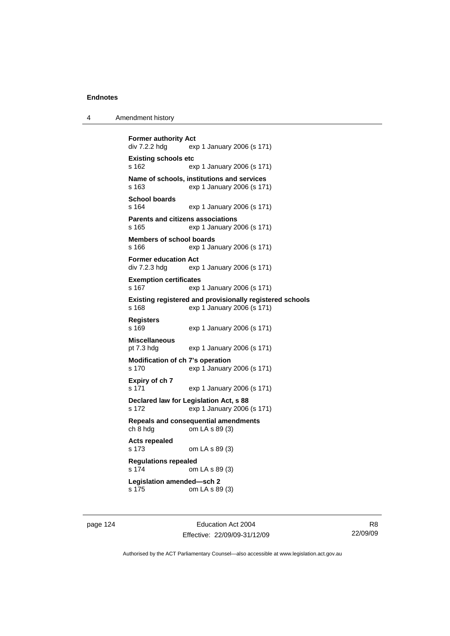| Amendment history<br>4 |  |
|------------------------|--|
|------------------------|--|

```
Former authority Act div 7.2.2 hdg ex
                exp 1 January 2006 (s 171)
Existing schools etc 
s 162 exp 1 January 2006 (s 171) 
Name of schools, institutions and services 
                exp 1 January 2006 (s 171)
School boards 
s 164 exp 1 January 2006 (s 171) 
Parents and citizens associations 
s 165 exp 1 January 2006 (s 171) 
Members of school boards 
s 166 exp 1 January 2006 (s 171) 
Former education Act 
div 7.2.3 hdg exp 1 January 2006 (s 171) 
Exemption certificates 
s 167 exp 1 January 2006 (s 171) 
Existing registered and provisionally registered schools 
s 168 exp 1 January 2006 (s 171) 
Registers 
s 169 exp 1 January 2006 (s 171) 
Miscellaneous 
pt 7.3 hdg exp 1 January 2006 (s 171) 
Modification of ch 7's operation 
s 170 exp 1 January 2006 (s 171) 
Expiry of ch 7 
s 171 exp 1 January 2006 (s 171) 
Declared law for Legislation Act, s 88 
s 172 exp 1 January 2006 (s 171) 
Repeals and consequential amendments 
                om LA \s 89 (3)
Acts repealed 
s 173 om LA s 89 (3) 
Regulations repealed 
s 174 om LA s 89 (3) 
Legislation amended—sch 2 
s 175 om LA s 89 (3)
```
page 124 Education Act 2004 Effective: 22/09/09-31/12/09

R8 22/09/09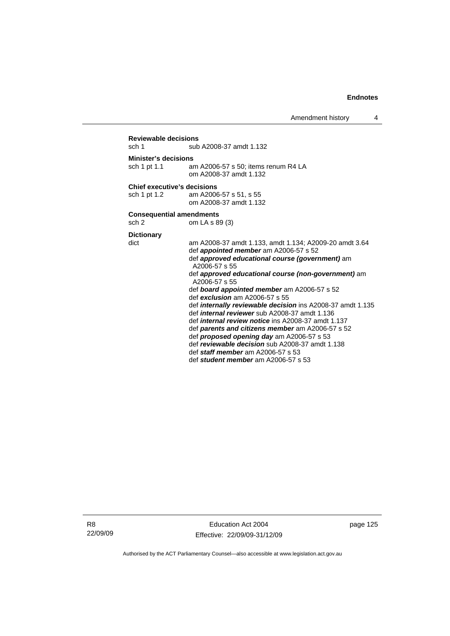### **Reviewable decisions**  sub A2008-37 amdt 1.132 **Minister's decisions**  sch 1 pt 1.1 am A2006-57 s 50; items renum R4 LA om A2008-37 amdt 1.132 **Chief executive's decisions**  sch 1 pt 1.2 am A2006-57 s 51, s 55 om A2008-37 amdt 1.132 **Consequential amendments**  sch 2 om LA s 89 (3) **Dictionary**  am A2008-37 amdt 1.133, amdt 1.134; A2009-20 amdt 3.64 def *appointed member* am A2006-57 s 52 def *approved educational course (government)* am A2006-57 s 55 def *approved educational course (non-government)* am A2006-57 s 55 def *board appointed member* am A2006-57 s 52 def *exclusion* am A2006-57 s 55 def *internally reviewable decision* ins A2008-37 amdt 1.135 def *internal reviewer* sub A2008-37 amdt 1.136 def *internal review notice* ins A2008-37 amdt 1.137 def *parents and citizens member* am A2006-57 s 52 def *proposed opening day* am A2006-57 s 53 def *reviewable decision* sub A2008-37 amdt 1.138 def *staff member* am A2006-57 s 53 def *student member* am A2006-57 s 53